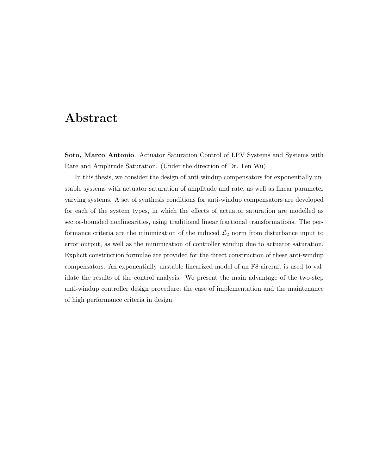# Abstract

Soto, Marco Antonio. Actuator Saturation Control of LPV Systems and Systems with Rate and Amplitude Saturation. (Under the direction of Dr. Fen Wu)

In this thesis, we consider the design of anti-windup compensators for exponentially unstable systems with actuator saturation of amplitude and rate, as well as linear parameter varying systems. A set of synthesis conditions for anti-windup compensators are developed for each of the system types, in which the effects of actuator saturation are modelled as sector-bounded nonlinearities, using traditional linear fractional transformations. The performance criteria are the minimization of the induced  $\mathcal{L}_2$  norm from disturbance input to error output, as well as the minimization of controller windup due to actuator saturation. Explicit construction formulae are provided for the direct construction of these anti-windup compensators. An exponentially unstable linearized model of an F8 aircraft is used to validate the results of the control analysis. We present the main advantage of the two-step anti-windup controller design procedure; the ease of implementation and the maintenance of high performance criteria in design.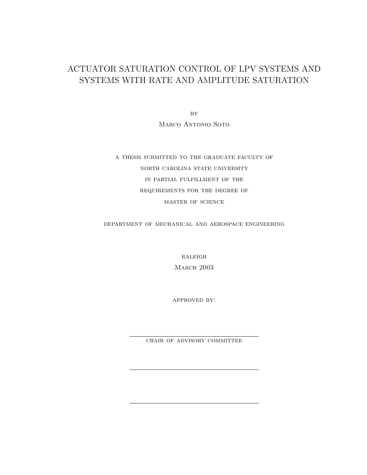## ACTUATOR SATURATION CONTROL OF LPV SYSTEMS AND SYSTEMS WITH RATE AND AMPLITUDE SATURATION

 $BY$ Marco Antonio Soto

a thesis submitted to the graduate faculty of north carolina state university in partial fulfillment of the requirements for the degree of master of science

department of mechanical and aerospace engineering

 $RALEIGH$ **MARCH 2003** 

approved by:

chair of advisory committee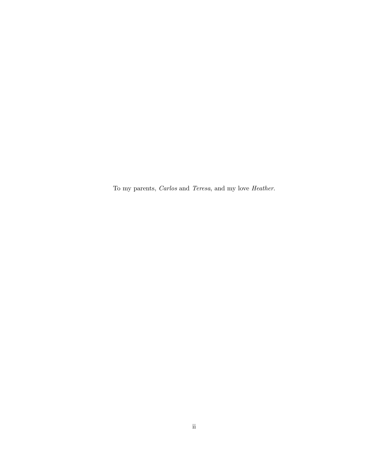To my parents, Carlos and Teresa, and my love Heather.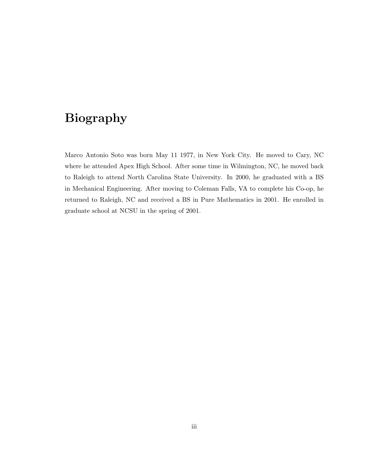# Biography

Marco Antonio Soto was born May 11 1977, in New York City. He moved to Cary, NC where he attended Apex High School. After some time in Wilmington, NC, he moved back to Raleigh to attend North Carolina State University. In 2000, he graduated with a BS in Mechanical Engineering. After moving to Coleman Falls, VA to complete his Co-op, he returned to Raleigh, NC and received a BS in Pure Mathematics in 2001. He enrolled in graduate school at NCSU in the spring of 2001.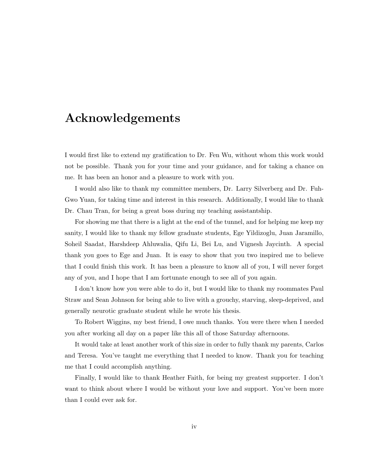# Acknowledgements

I would first like to extend my gratification to Dr. Fen Wu, without whom this work would not be possible. Thank you for your time and your guidance, and for taking a chance on me. It has been an honor and a pleasure to work with you.

I would also like to thank my committee members, Dr. Larry Silverberg and Dr. Fuh-Gwo Yuan, for taking time and interest in this research. Additionally, I would like to thank Dr. Chau Tran, for being a great boss during my teaching assistantship.

For showing me that there is a light at the end of the tunnel, and for helping me keep my sanity, I would like to thank my fellow graduate students, Ege Yildizoglu, Juan Jaramillo, Soheil Saadat, Harshdeep Ahluwalia, Qifu Li, Bei Lu, and Vignesh Jaycinth. A special thank you goes to Ege and Juan. It is easy to show that you two inspired me to believe that I could finish this work. It has been a pleasure to know all of you, I will never forget any of you, and I hope that I am fortunate enough to see all of you again.

I don't know how you were able to do it, but I would like to thank my roommates Paul Straw and Sean Johnson for being able to live with a grouchy, starving, sleep-deprived, and generally neurotic graduate student while he wrote his thesis.

To Robert Wiggins, my best friend, I owe much thanks. You were there when I needed you after working all day on a paper like this all of those Saturday afternoons.

It would take at least another work of this size in order to fully thank my parents, Carlos and Teresa. You've taught me everything that I needed to know. Thank you for teaching me that I could accomplish anything.

Finally, I would like to thank Heather Faith, for being my greatest supporter. I don't want to think about where I would be without your love and support. You've been more than I could ever ask for.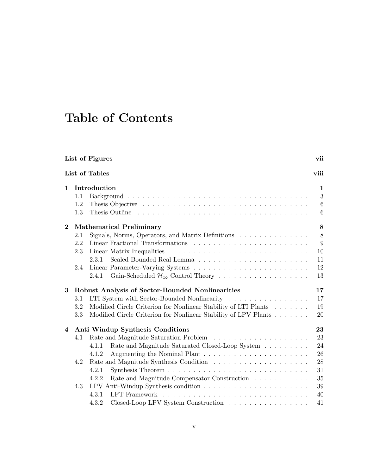# Table of Contents

| List of Figures |                                                         |                                                                                                |                 |  |  |  |  |  |  |  |  |  |
|-----------------|---------------------------------------------------------|------------------------------------------------------------------------------------------------|-----------------|--|--|--|--|--|--|--|--|--|
|                 |                                                         | List of Tables                                                                                 | viii            |  |  |  |  |  |  |  |  |  |
| $\mathbf{1}$    |                                                         | Introduction                                                                                   | 1               |  |  |  |  |  |  |  |  |  |
|                 | 1.1                                                     |                                                                                                | 3               |  |  |  |  |  |  |  |  |  |
|                 | 1.2                                                     |                                                                                                | $6\phantom{.}6$ |  |  |  |  |  |  |  |  |  |
|                 | 1.3                                                     |                                                                                                | 6               |  |  |  |  |  |  |  |  |  |
| $\bf{2}$        |                                                         | <b>Mathematical Preliminary</b>                                                                | 8               |  |  |  |  |  |  |  |  |  |
|                 | 2.1                                                     | Signals, Norms, Operators, and Matrix Definitions                                              | $8\,$           |  |  |  |  |  |  |  |  |  |
|                 | 2.2                                                     |                                                                                                | 9               |  |  |  |  |  |  |  |  |  |
|                 | 2.3                                                     |                                                                                                | 10              |  |  |  |  |  |  |  |  |  |
|                 |                                                         | 2.3.1                                                                                          | 11              |  |  |  |  |  |  |  |  |  |
|                 | 2.4                                                     |                                                                                                | 12              |  |  |  |  |  |  |  |  |  |
|                 |                                                         | Gain-Scheduled $\mathcal{H}_{\infty}$ Control Theory<br>2.4.1                                  | 13              |  |  |  |  |  |  |  |  |  |
| 3               | <b>Robust Analysis of Sector-Bounded Nonlinearities</b> |                                                                                                |                 |  |  |  |  |  |  |  |  |  |
|                 | 3.1                                                     | LTI System with Sector-Bounded Nonlinearity                                                    | 17              |  |  |  |  |  |  |  |  |  |
|                 | 3.2                                                     | Modified Circle Criterion for Nonlinear Stability of LTI Plants                                | 19              |  |  |  |  |  |  |  |  |  |
|                 | 3.3                                                     | Modified Circle Criterion for Nonlinear Stability of LPV Plants                                | 20              |  |  |  |  |  |  |  |  |  |
| $\overline{4}$  | Anti Windup Synthesis Conditions                        |                                                                                                |                 |  |  |  |  |  |  |  |  |  |
|                 | 4.1                                                     |                                                                                                | 23              |  |  |  |  |  |  |  |  |  |
|                 |                                                         | Rate and Magnitude Saturated Closed-Loop System $\;\ldots\; \ldots\; \ldots\; \ldots$<br>4.1.1 | 24              |  |  |  |  |  |  |  |  |  |
|                 |                                                         | 4.1.2                                                                                          | 26              |  |  |  |  |  |  |  |  |  |
|                 | 4.2                                                     |                                                                                                | 28              |  |  |  |  |  |  |  |  |  |
|                 |                                                         | 4.2.1                                                                                          | 31              |  |  |  |  |  |  |  |  |  |
|                 |                                                         | 4.2.2<br>Rate and Magnitude Compensator Construction                                           | 35              |  |  |  |  |  |  |  |  |  |
|                 | 4.3                                                     |                                                                                                | 39              |  |  |  |  |  |  |  |  |  |
|                 |                                                         | 4.3.1                                                                                          | 40              |  |  |  |  |  |  |  |  |  |
|                 |                                                         | Closed-Loop LPV System Construction<br>4.3.2                                                   | 41              |  |  |  |  |  |  |  |  |  |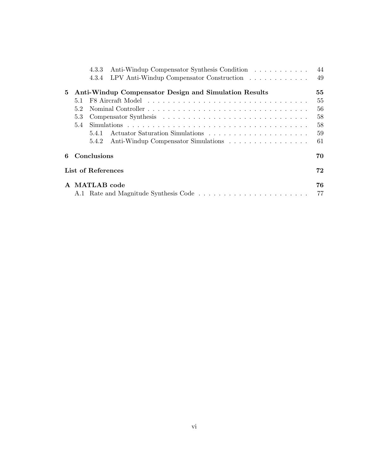|                  |                    | 4.3.3         | Anti-Windup Compensator Synthesis Condition                     | 44 |  |  |  |  |  |  |
|------------------|--------------------|---------------|-----------------------------------------------------------------|----|--|--|--|--|--|--|
|                  |                    | 4.3.4         | LPV Anti-Windup Compensator Construction $\ldots \ldots \ldots$ | 49 |  |  |  |  |  |  |
| 5                |                    |               | Anti-Windup Compensator Design and Simulation Results           | 55 |  |  |  |  |  |  |
|                  | 5.1                |               |                                                                 | 55 |  |  |  |  |  |  |
|                  | 5.2                |               |                                                                 | 56 |  |  |  |  |  |  |
|                  | 5.3                |               |                                                                 | 58 |  |  |  |  |  |  |
|                  | 5.4                |               |                                                                 | 58 |  |  |  |  |  |  |
|                  |                    | 541           |                                                                 | 59 |  |  |  |  |  |  |
|                  |                    | 5.4.2         | Anti-Windup Compensator Simulations                             | 61 |  |  |  |  |  |  |
| Conclusions<br>6 |                    |               |                                                                 |    |  |  |  |  |  |  |
|                  | List of References |               |                                                                 |    |  |  |  |  |  |  |
|                  |                    | A MATLAB code |                                                                 | 76 |  |  |  |  |  |  |
|                  |                    |               |                                                                 | 77 |  |  |  |  |  |  |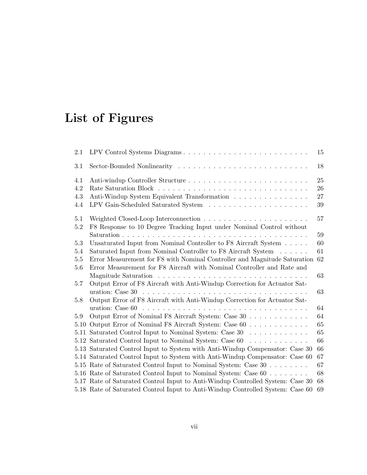# List of Figures

| 2.1  | LPV Control Systems Diagrams                                                                                                                                                                                                   | 15 |
|------|--------------------------------------------------------------------------------------------------------------------------------------------------------------------------------------------------------------------------------|----|
| 3.1  |                                                                                                                                                                                                                                | 18 |
| 4.1  |                                                                                                                                                                                                                                | 25 |
| 4.2  |                                                                                                                                                                                                                                | 26 |
| 4.3  | Anti-Windup System Equivalent Transformation                                                                                                                                                                                   | 27 |
| 4.4  |                                                                                                                                                                                                                                | 39 |
| 5.1  |                                                                                                                                                                                                                                | 57 |
| 5.2  | F8 Response to 10 Degree Tracking Input under Nominal Control without                                                                                                                                                          |    |
|      |                                                                                                                                                                                                                                | 59 |
| 5.3  | Unsaturated Input from Nominal Controller to F8 Aircraft System                                                                                                                                                                | 60 |
| 5.4  | Saturated Input from Nominal Controller to F8 Aircraft System                                                                                                                                                                  | 61 |
| 5.5  | Error Measurement for F8 with Nominal Controller and Magnitude Saturation                                                                                                                                                      | 62 |
| 5.6  | Error Measurement for F8 Aircraft with Nominal Controller and Rate and                                                                                                                                                         |    |
|      | Magnitude Saturation resources in the set of the set of the set of the set of the set of the set of the set of the set of the set of the set of the set of the set of the set of the set of the set of the set of the set of t | 63 |
| 5.7  | Output Error of F8 Aircraft with Anti-Windup Correction for Actuator Sat-                                                                                                                                                      |    |
|      |                                                                                                                                                                                                                                | 63 |
| 5.8  | Output Error of F8 Aircraft with Anti-Windup Correction for Actuator Sat-                                                                                                                                                      |    |
|      |                                                                                                                                                                                                                                | 64 |
| 5.9  | Output Error of Nominal F8 Aircraft System: Case 30                                                                                                                                                                            | 64 |
| 5.10 | Output Error of Nominal F8 Aircraft System: Case 60                                                                                                                                                                            | 65 |
| 5.11 | Saturated Control Input to Nominal System: Case 30                                                                                                                                                                             | 65 |
| 5.12 | Saturated Control Input to Nominal System: Case 60                                                                                                                                                                             | 66 |
|      | 5.13 Saturated Control Input to System with Anti-Windup Compensator: Case 30                                                                                                                                                   | 66 |
|      | 5.14 Saturated Control Input to System with Anti-Windup Compensator: Case 60                                                                                                                                                   | 67 |
|      | 5.15 Rate of Saturated Control Input to Nominal System: Case 30                                                                                                                                                                | 67 |
|      | 5.16 Rate of Saturated Control Input to Nominal System: Case 60                                                                                                                                                                | 68 |
|      | 5.17 Rate of Saturated Control Input to Anti-Windup Controlled System: Case 30                                                                                                                                                 | 68 |
|      | 5.18 Rate of Saturated Control Input to Anti-Windup Controlled System: Case 60                                                                                                                                                 | 69 |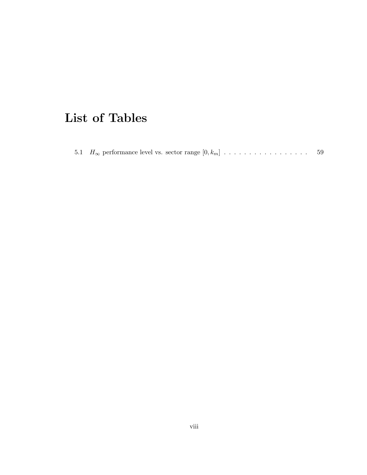# List of Tables

|  |  | 5.1 $H_{\infty}$ performance level vs. sector range $[0, k_m]$ |  |  |  |  |  |  |  |  |  |  |  |  |  |  |  |  |  |  |  | 59 |  |
|--|--|----------------------------------------------------------------|--|--|--|--|--|--|--|--|--|--|--|--|--|--|--|--|--|--|--|----|--|
|--|--|----------------------------------------------------------------|--|--|--|--|--|--|--|--|--|--|--|--|--|--|--|--|--|--|--|----|--|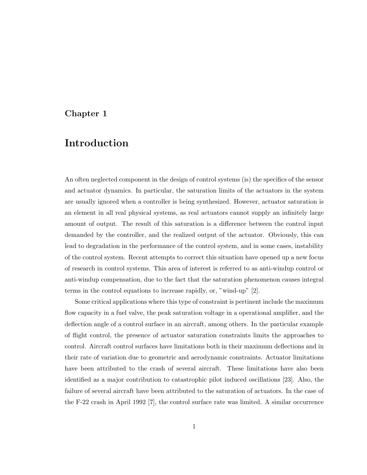#### Chapter 1

## Introduction

An often neglected component in the design of control systems (is) the specifics of the sensor and actuator dynamics. In particular, the saturation limits of the actuators in the system are usually ignored when a controller is being synthesized. However, actuator saturation is an element in all real physical systems, as real actuators cannot supply an infinitely large amount of output. The result of this saturation is a difference between the control input demanded by the controller, and the realized output of the actuator. Obviously, this can lead to degradation in the performance of the control system, and in some cases, instability of the control system. Recent attempts to correct this situation have opened up a new focus of research in control systems. This area of interest is referred to as anti-windup control or anti-windup compensation, due to the fact that the saturation phenomenon causes integral terms in the control equations to increase rapidly, or, "wind-up" [2].

Some critical applications where this type of constraint is pertinent include the maximum flow capacity in a fuel valve, the peak saturation voltage in a operational amplifier, and the deflection angle of a control surface in an aircraft, among others. In the particular example of flight control, the presence of actuator saturation constraints limits the approaches to control. Aircraft control surfaces have limitations both in their maximum deflections and in their rate of variation due to geometric and aerodynamic constraints. Actuator limitations have been attributed to the crash of several aircraft. These limitations have also been identified as a major contribution to catastrophic pilot induced oscillations [23]. Also, the failure of several aircraft have been attributed to the saturation of actuators. In the case of the F-22 crash in April 1992 [7], the control surface rate was limited. A similar occurrence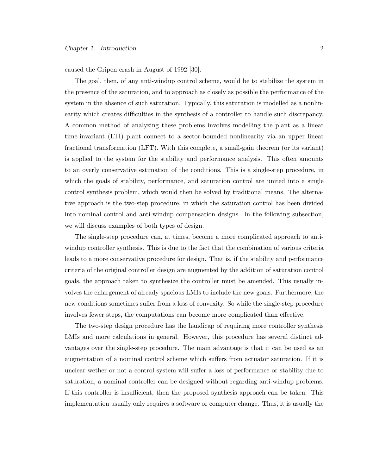caused the Gripen crash in August of 1992 [30].

The goal, then, of any anti-windup control scheme, would be to stabilize the system in the presence of the saturation, and to approach as closely as possible the performance of the system in the absence of such saturation. Typically, this saturation is modelled as a nonlinearity which creates difficulties in the synthesis of a controller to handle such discrepancy. A common method of analyzing these problems involves modelling the plant as a linear time-invariant (LTI) plant connect to a sector-bounded nonlinearity via an upper linear fractional transformation (LFT). With this complete, a small-gain theorem (or its variant) is applied to the system for the stability and performance analysis. This often amounts to an overly conservative estimation of the conditions. This is a single-step procedure, in which the goals of stability, performance, and saturation control are united into a single control synthesis problem, which would then be solved by traditional means. The alternative approach is the two-step procedure, in which the saturation control has been divided into nominal control and anti-windup compensation designs. In the following subsection, we will discuss examples of both types of design.

The single-step procedure can, at times, become a more complicated approach to antiwindup controller synthesis. This is due to the fact that the combination of various criteria leads to a more conservative procedure for design. That is, if the stability and performance criteria of the original controller design are augmented by the addition of saturation control goals, the approach taken to synthesize the controller must be amended. This usually involves the enlargement of already spacious LMIs to include the new goals. Furthermore, the new conditions sometimes suffer from a loss of convexity. So while the single-step procedure involves fewer steps, the computations can become more complicated than effective.

The two-step design procedure has the handicap of requiring more controller synthesis LMIs and more calculations in general. However, this procedure has several distinct advantages over the single-step procedure. The main advantage is that it can be used as an augmentation of a nominal control scheme which suffers from actuator saturation. If it is unclear wether or not a control system will suffer a loss of performance or stability due to saturation, a nominal controller can be designed without regarding anti-windup problems. If this controller is insufficient, then the proposed synthesis approach can be taken. This implementation usually only requires a software or computer change. Thus, it is usually the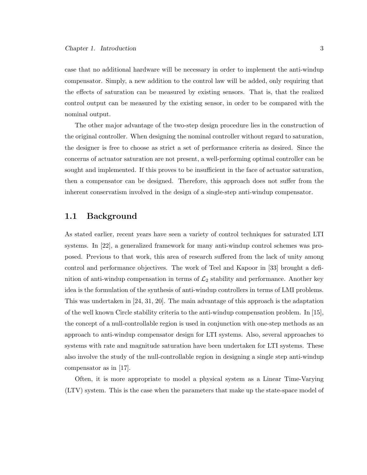case that no additional hardware will be necessary in order to implement the anti-windup compensator. Simply, a new addition to the control law will be added, only requiring that the effects of saturation can be measured by existing sensors. That is, that the realized control output can be measured by the existing sensor, in order to be compared with the nominal output.

The other major advantage of the two-step design procedure lies in the construction of the original controller. When designing the nominal controller without regard to saturation, the designer is free to choose as strict a set of performance criteria as desired. Since the concerns of actuator saturation are not present, a well-performing optimal controller can be sought and implemented. If this proves to be insufficient in the face of actuator saturation, then a compensator can be designed. Therefore, this approach does not suffer from the inherent conservatism involved in the design of a single-step anti-windup compensator.

#### 1.1 Background

As stated earlier, recent years have seen a variety of control techniques for saturated LTI systems. In [22], a generalized framework for many anti-windup control schemes was proposed. Previous to that work, this area of research suffered from the lack of unity among control and performance objectives. The work of Teel and Kapoor in [33] brought a definition of anti-windup compensation in terms of  $\mathcal{L}_2$  stability and performance. Another key idea is the formulation of the synthesis of anti-windup controllers in terms of LMI problems. This was undertaken in [24, 31, 20]. The main advantage of this approach is the adaptation of the well known Circle stability criteria to the anti-windup compensation problem. In [15], the concept of a null-controllable region is used in conjunction with one-step methods as an approach to anti-windup compensator design for LTI systems. Also, several approaches to systems with rate and magnitude saturation have been undertaken for LTI systems. These also involve the study of the null-controllable region in designing a single step anti-windup compensator as in [17].

Often, it is more appropriate to model a physical system as a Linear Time-Varying (LTV) system. This is the case when the parameters that make up the state-space model of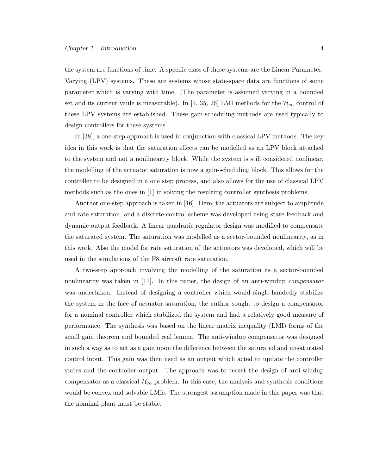the system are functions of time. A specific class of these systems are the Linear Parameter-Varying (LPV) systems. These are systems whose state-space data are functions of some parameter which is varying with time. (The parameter is assumed varying in a bounded set and its current vaule is measurable). In [1, 35, 26] LMI methods for the  $\mathcal{H}_{\infty}$  control of these LPV systems are established. These gain-scheduling methods are used typically to design controllers for these systems.

In [38], a one-step approach is used in conjunction with classical LPV methods. The key idea in this work is that the saturation effects can be modelled as an LPV block attached to the system and not a nonlinearity block. While the system is still considered nonlinear, the modelling of the actuator saturation is now a gain-scheduling block. This allows for the controller to be designed in a one step process, and also allows for the use of classical LPV methods such as the ones in [1] in solving the resulting controller synthesis problems.

Another one-step approach is taken in [16]. Here, the actuators are subject to amplitude and rate saturation, and a discrete control scheme was developed using state feedback and dynamic output feedback. A linear quadratic regulator design was modified to compensate the saturated system. The saturation was modelled as a sector-bounded nonlinearity, as in this work. Also the model for rate saturation of the actuators was developed, which will be used in the simulations of the F8 aircraft rate saturation.

A two-step approach involving the modelling of the saturation as a sector-bounded nonlinearity was taken in  $|11|$ . In this paper, the design of an anti-windup *compensator* was undertaken. Instead of designing a controller which would single-handedly stabilize the system in the face of actuator saturation, the author sought to design a compensator for a nominal controller which stabilized the system and had a relatively good measure of performance. The synthesis was based on the linear matrix inequality (LMI) forms of the small gain theorem and bounded real lemma. The anti-windup compensator was designed in such a way as to act as a gain upon the difference between the saturated and unsaturated control input. This gain was then used as an output which acted to update the controller states and the controller output. The approach was to recast the design of anti-windup compensator as a classical  $\mathcal{H}_{\infty}$  problem. In this case, the analysis and synthesis conditions would be convex and solvable LMIs. The strongest assumption made in this paper was that the nominal plant must be stable.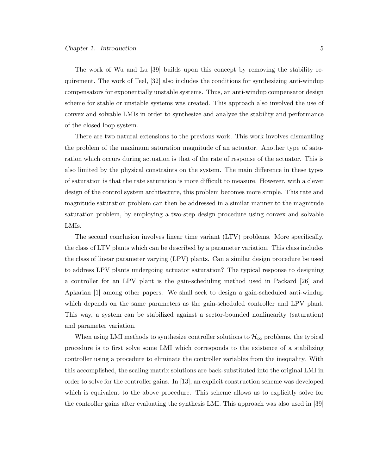The work of Wu and Lu [39] builds upon this concept by removing the stability requirement. The work of Teel, [32] also includes the conditions for synthesizing anti-windup compensators for exponentially unstable systems. Thus, an anti-windup compensator design scheme for stable or unstable systems was created. This approach also involved the use of convex and solvable LMIs in order to synthesize and analyze the stability and performance of the closed loop system.

There are two natural extensions to the previous work. This work involves dismantling the problem of the maximum saturation magnitude of an actuator. Another type of saturation which occurs during actuation is that of the rate of response of the actuator. This is also limited by the physical constraints on the system. The main difference in these types of saturation is that the rate saturation is more difficult to measure. However, with a clever design of the control system architecture, this problem becomes more simple. This rate and magnitude saturation problem can then be addressed in a similar manner to the magnitude saturation problem, by employing a two-step design procedure using convex and solvable LMIs.

The second conclusion involves linear time variant (LTV) problems. More specifically, the class of LTV plants which can be described by a parameter variation. This class includes the class of linear parameter varying (LPV) plants. Can a similar design procedure be used to address LPV plants undergoing actuator saturation? The typical response to designing a controller for an LPV plant is the gain-scheduling method used in Packard [26] and Apkarian [1] among other papers. We shall seek to design a gain-scheduled anti-windup which depends on the same parameters as the gain-scheduled controller and LPV plant. This way, a system can be stabilized against a sector-bounded nonlinearity (saturation) and parameter variation.

When using LMI methods to synthesize controller solutions to  $\mathcal{H}_{\infty}$  problems, the typical procedure is to first solve some LMI which corresponds to the existence of a stabilizing controller using a procedure to eliminate the controller variables from the inequality. With this accomplished, the scaling matrix solutions are back-substituted into the original LMI in order to solve for the controller gains. In [13], an explicit construction scheme was developed which is equivalent to the above procedure. This scheme allows us to explicitly solve for the controller gains after evaluating the synthesis LMI. This approach was also used in [39]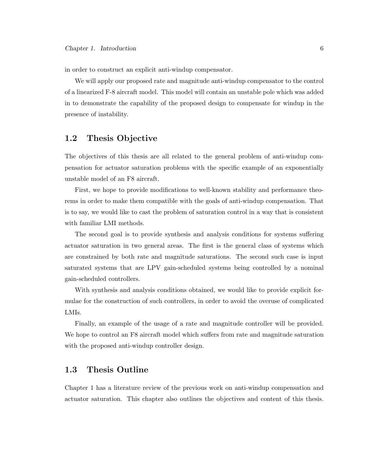in order to construct an explicit anti-windup compensator.

We will apply our proposed rate and magnitude anti-windup compensator to the control of a linearized F-8 aircraft model. This model will contain an unstable pole which was added in to demonstrate the capability of the proposed design to compensate for windup in the presence of instability.

### 1.2 Thesis Objective

The objectives of this thesis are all related to the general problem of anti-windup compensation for actuator saturation problems with the specific example of an exponentially unstable model of an F8 aircraft.

First, we hope to provide modifications to well-known stability and performance theorems in order to make them compatible with the goals of anti-windup compensation. That is to say, we would like to cast the problem of saturation control in a way that is consistent with familiar LMI methods.

The second goal is to provide synthesis and analysis conditions for systems suffering actuator saturation in two general areas. The first is the general class of systems which are constrained by both rate and magnitude saturations. The second such case is input saturated systems that are LPV gain-scheduled systems being controlled by a nominal gain-scheduled controllers.

With synthesis and analysis conditions obtained, we would like to provide explicit formulae for the construction of such controllers, in order to avoid the overuse of complicated LMIs.

Finally, an example of the usage of a rate and magnitude controller will be provided. We hope to control an F8 aircraft model which suffers from rate and magnitude saturation with the proposed anti-windup controller design.

### 1.3 Thesis Outline

Chapter 1 has a literature review of the previous work on anti-windup compensation and actuator saturation. This chapter also outlines the objectives and content of this thesis.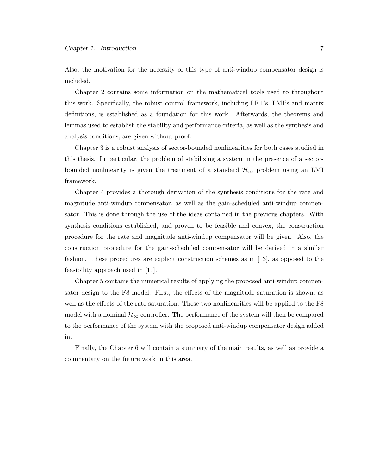Also, the motivation for the necessity of this type of anti-windup compensator design is included.

Chapter 2 contains some information on the mathematical tools used to throughout this work. Specifically, the robust control framework, including LFT's, LMI's and matrix definitions, is established as a foundation for this work. Afterwards, the theorems and lemmas used to establish the stability and performance criteria, as well as the synthesis and analysis conditions, are given without proof.

Chapter 3 is a robust analysis of sector-bounded nonlinearities for both cases studied in this thesis. In particular, the problem of stabilizing a system in the presence of a sectorbounded nonlinearity is given the treatment of a standard  $\mathcal{H}_{\infty}$  problem using an LMI framework.

Chapter 4 provides a thorough derivation of the synthesis conditions for the rate and magnitude anti-windup compensator, as well as the gain-scheduled anti-windup compensator. This is done through the use of the ideas contained in the previous chapters. With synthesis conditions established, and proven to be feasible and convex, the construction procedure for the rate and magnitude anti-windup compensator will be given. Also, the construction procedure for the gain-scheduled compensator will be derived in a similar fashion. These procedures are explicit construction schemes as in [13], as opposed to the feasibility approach used in [11].

Chapter 5 contains the numerical results of applying the proposed anti-windup compensator design to the F8 model. First, the effects of the magnitude saturation is shown, as well as the effects of the rate saturation. These two nonlinearities will be applied to the F8 model with a nominal  $\mathcal{H}_{\infty}$  controller. The performance of the system will then be compared to the performance of the system with the proposed anti-windup compensator design added in.

Finally, the Chapter 6 will contain a summary of the main results, as well as provide a commentary on the future work in this area.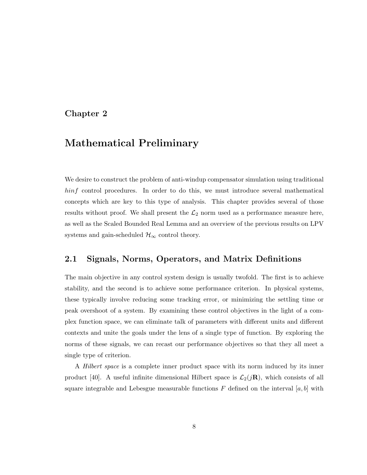### Chapter 2

## Mathematical Preliminary

We desire to construct the problem of anti-windup compensator simulation using traditional hinf control procedures. In order to do this, we must introduce several mathematical concepts which are key to this type of analysis. This chapter provides several of those results without proof. We shall present the  $\mathcal{L}_2$  norm used as a performance measure here, as well as the Scaled Bounded Real Lemma and an overview of the previous results on LPV systems and gain-scheduled  $\mathcal{H}_{\infty}$  control theory.

#### 2.1 Signals, Norms, Operators, and Matrix Definitions

The main objective in any control system design is usually twofold. The first is to achieve stability, and the second is to achieve some performance criterion. In physical systems, these typically involve reducing some tracking error, or minimizing the settling time or peak overshoot of a system. By examining these control objectives in the light of a complex function space, we can eliminate talk of parameters with different units and different contexts and unite the goals under the lens of a single type of function. By exploring the norms of these signals, we can recast our performance objectives so that they all meet a single type of criterion.

A Hilbert space is a complete inner product space with its norm induced by its inner product [40]. A useful infinite dimensional Hilbert space is  $\mathcal{L}_2(j\mathbf{R})$ , which consists of all square integrable and Lebesgue measurable functions F defined on the interval [a, b] with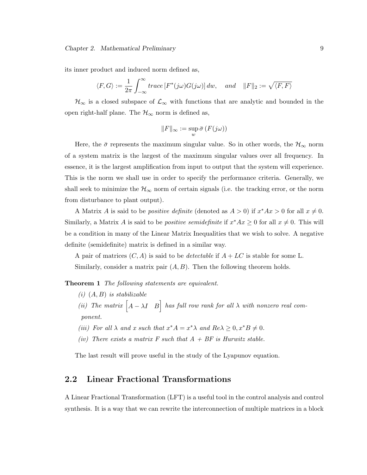#### Chapter 2. Mathematical Preliminary 9

its inner product and induced norm defined as,

$$
\langle F, G \rangle := \frac{1}{2\pi} \int_{-\infty}^{\infty} trace \left[ F^*(j\omega) G(j\omega) \right] dw, \quad and \quad ||F||_2 := \sqrt{\langle F, F \rangle}
$$

 $\mathcal{H}_{\infty}$  is a closed subspace of  $\mathcal{L}_{\infty}$  with functions that are analytic and bounded in the open right-half plane. The  $\mathcal{H}_{\infty}$  norm is defined as,

$$
||F||_{\infty} := \sup_{w} \bar{\sigma} (F(j\omega))
$$

Here, the  $\bar{\sigma}$  represents the maximum singular value. So in other words, the  $\mathcal{H}_{\infty}$  norm of a system matrix is the largest of the maximum singular values over all frequency. In essence, it is the largest amplification from input to output that the system will experience. This is the norm we shall use in order to specify the performance criteria. Generally, we shall seek to minimize the  $\mathcal{H}_{\infty}$  norm of certain signals (i.e. the tracking error, or the norm from disturbance to plant output).

A Matrix A is said to be *positive definite* (denoted as  $A > 0$ ) if  $x^*Ax > 0$  for all  $x \neq 0$ . Similarly, a Matrix A is said to be *positive semidefinite* if  $x^*Ax \geq 0$  for all  $x \neq 0$ . This will be a condition in many of the Linear Matrix Inequalities that we wish to solve. A negative definite (semidefinite) matrix is defined in a similar way.

A pair of matrices  $(C, A)$  is said to be *detectable* if  $A + LC$  is stable for some L. Similarly, consider a matrix pair  $(A, B)$ . Then the following theorem holds.

**Theorem 1** The following statements are equivalent.

- $(i)$   $(A, B)$  is stabilizable (i)  $(A, D)$  is stablizable<br>(ii) The matrix  $\begin{bmatrix} A - \lambda I & B \end{bmatrix}$  has full row rank for all  $\lambda$  with nonzero real component.
- (iii) For all  $\lambda$  and x such that  $x^*A = x^*\lambda$  and  $Re\lambda \geq 0, x^*B \neq 0$ .
- (iv) There exists a matrix F such that  $A + BF$  is Hurwitz stable.

The last result will prove useful in the study of the Lyapunov equation.

#### 2.2 Linear Fractional Transformations

A Linear Fractional Transformation (LFT) is a useful tool in the control analysis and control synthesis. It is a way that we can rewrite the interconnection of multiple matrices in a block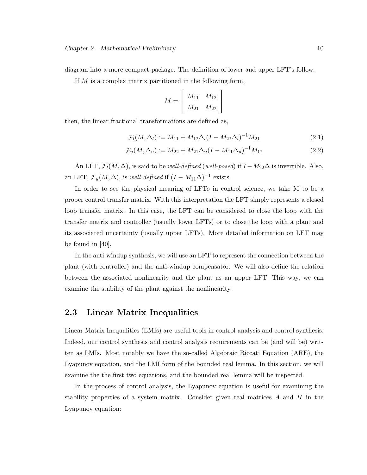If M is a complex matrix partitioned in the following form,

$$
M = \left[ \begin{array}{cc} M_{11} & M_{12} \\ M_{21} & M_{22} \end{array} \right]
$$

then, the linear fractional transformations are defined as,

$$
\mathcal{F}_l(M, \Delta_l) := M_{11} + M_{12} \Delta_l (I - M_{22} \Delta_l)^{-1} M_{21}
$$
\n(2.1)

$$
\mathcal{F}_u(M, \Delta_u) := M_{22} + M_{21} \Delta_u (I - M_{11} \Delta_u)^{-1} M_{12}
$$
\n(2.2)

An LFT,  $\mathcal{F}_l(M,\Delta)$ , is said to be *well-defined* (*well-posed*) if  $I - M_{22}\Delta$  is invertible. Also, an LFT,  $\mathcal{F}_u(M, \Delta)$ , is *well-defined* if  $(I - M_{11}\Delta)^{-1}$  exists.

In order to see the physical meaning of LFTs in control science, we take M to be a proper control transfer matrix. With this interpretation the LFT simply represents a closed loop transfer matrix. In this case, the LFT can be considered to close the loop with the transfer matrix and controller (usually lower LFTs) or to close the loop with a plant and its associated uncertainty (usually upper LFTs). More detailed information on LFT may be found in [40].

In the anti-windup synthesis, we will use an LFT to represent the connection between the plant (with controller) and the anti-windup compensator. We will also define the relation between the associated nonlinearity and the plant as an upper LFT. This way, we can examine the stability of the plant against the nonlinearity.

#### 2.3 Linear Matrix Inequalities

Linear Matrix Inequalities (LMIs) are useful tools in control analysis and control synthesis. Indeed, our control synthesis and control analysis requirements can be (and will be) written as LMIs. Most notably we have the so-called Algebraic Riccati Equation (ARE), the Lyapunov equation, and the LMI form of the bounded real lemma. In this section, we will examine the the first two equations, and the bounded real lemma will be inspected.

In the process of control analysis, the Lyapunov equation is useful for examining the stability properties of a system matrix. Consider given real matrices  $A$  and  $H$  in the Lyapunov equation: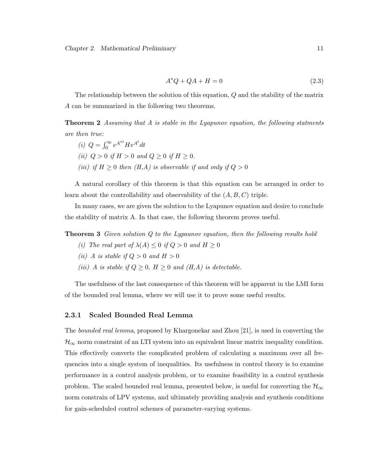$$
A^*Q + QA + H = 0 \tag{2.3}
$$

The relationship between the solution of this equation, Q and the stability of the matrix A can be summarized in the following two theorems.

**Theorem 2** Assuming that A is stable in the Lyapunov equation, the following statments are then true:

(*i*)  $Q = \int_0^\infty$  $\int_0^\infty e^{A^{*t}}He^{A^t}dt$ (ii)  $Q > 0$  if  $H > 0$  and  $Q \ge 0$  if  $H \ge 0$ . (iii) if  $H \geq 0$  then  $(H,A)$  is observable if and only if  $Q > 0$ 

A natural corollary of this theorem is that this equation can be arranged in order to learn about the controllability and observability of the  $(A, B, C)$  triple.

In many cases, we are given the solution to the Lyapunov equation and desire to conclude the stability of matrix A. In that case, the following theorem proves useful.

**Theorem 3** Given solution Q to the Lypaunov equation, then the following results hold

- (i) The real part of  $\lambda(A) \leq 0$  if  $Q > 0$  and  $H \geq 0$
- (ii) A is stable if  $Q > 0$  and  $H > 0$
- (iii) A is stable if  $Q \geq 0$ ,  $H \geq 0$  and  $(H, A)$  is detectable.

The usefulness of the last consequence of this theorem will be apparent in the LMI form of the bounded real lemma, where we will use it to prove some useful results.

#### 2.3.1 Scaled Bounded Real Lemma

The bounded real lemma, proposed by Khargonekar and Zhou [21], is used in converting the  $\mathcal{H}_{\infty}$  norm constraint of an LTI system into an equivalent linear matrix inequality condition. This effectively converts the complicated problem of calculating a maximum over all frequencies into a single system of inequalities. Its usefulness in control theory is to examine performance in a control analysis problem, or to examine feasibility in a control synthesis problem. The scaled bounded real lemma, presented below, is useful for converting the  $\mathcal{H}_{\infty}$ norm constrain of LPV systems, and ultimately providing analysis and synthesis conditions for gain-scheduled control schemes of parameter-varying systems.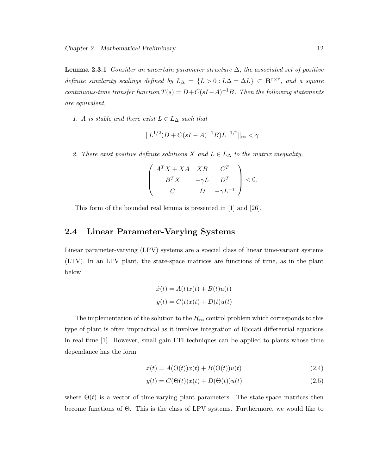**Lemma 2.3.1** Consider an uncertain parameter structure  $\Delta$ , the associated set of positive definite similarity scalings defined by  $L_{\Delta} = \{L > 0 : L\Delta = \Delta L\} \subset \mathbb{R}^{r \times r}$ , and a square continuous-time transfer function  $T(s) = D + C(sI - A)^{-1}B$ . Then the following statements are equivalent,

1. A is stable and there exist  $L \in L_{\Delta}$  such that

$$
||L^{1/2}(D+C(sI-A)^{-1}B)L^{-1/2}||_{\infty} < \gamma
$$

2. There exist positive definite solutions X and  $L \in L_{\Delta}$  to the matrix inequality,

$$
\left(\begin{array}{ccc}A^TX+XA & XB & C^T\\ B^TX & -\gamma L & D^T\\ C & D & -\gamma L^{-1}\end{array}\right)<0.
$$

This form of the bounded real lemma is presented in [1] and [26].

## 2.4 Linear Parameter-Varying Systems

Linear parameter-varying (LPV) systems are a special class of linear time-variant systems (LTV). In an LTV plant, the state-space matrices are functions of time, as in the plant below

$$
\dot{x}(t) = A(t)x(t) + B(t)u(t)
$$

$$
y(t) = C(t)x(t) + D(t)u(t)
$$

The implementation of the solution to the  $\mathcal{H}_{\infty}$  control problem which corresponds to this type of plant is often impractical as it involves integration of Riccati differential equations in real time [1]. However, small gain LTI techniques can be applied to plants whose time dependance has the form

$$
\dot{x}(t) = A(\Theta(t))x(t) + B(\Theta(t))u(t)
$$
\n(2.4)

$$
y(t) = C(\Theta(t))x(t) + D(\Theta(t))u(t)
$$
\n(2.5)

where  $\Theta(t)$  is a vector of time-varying plant parameters. The state-space matrices then become functions of Θ. This is the class of LPV systems. Furthermore, we would like to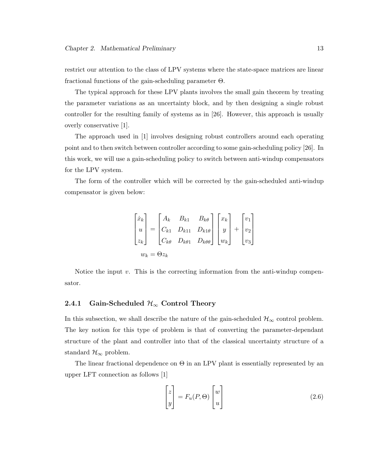restrict our attention to the class of LPV systems where the state-space matrices are linear fractional functions of the gain-scheduling parameter Θ.

The typical approach for these LPV plants involves the small gain theorem by treating the parameter variations as an uncertainty block, and by then designing a single robust controller for the resulting family of systems as in [26]. However, this approach is usually overly conservative [1].

The approach used in [1] involves designing robust controllers around each operating point and to then switch between controller according to some gain-scheduling policy [26]. In this work, we will use a gain-scheduling policy to switch between anti-windup compensators for the LPV system.

The form of the controller which will be corrected by the gain-scheduled anti-windup compensator is given below:

$$
\begin{bmatrix} \dot{x}_k \\ u \\ z_k \end{bmatrix} = \begin{bmatrix} A_k & B_{k1} & B_{k\theta} \\ C_{k1} & D_{k11} & D_{k1\theta} \\ C_{k\theta} & D_{k\theta 1} & D_{k\theta \theta} \end{bmatrix} \begin{bmatrix} x_k \\ y \\ w_k \end{bmatrix} + \begin{bmatrix} v_1 \\ v_2 \\ v_3 \end{bmatrix}
$$

$$
w_k = \Theta z_k
$$

Notice the input  $v$ . This is the correcting information from the anti-windup compensator.

#### 2.4.1 Gain-Scheduled  $\mathcal{H}_{\infty}$  Control Theory

In this subsection, we shall describe the nature of the gain-scheduled  $\mathcal{H}_{\infty}$  control problem. The key notion for this type of problem is that of converting the parameter-dependant structure of the plant and controller into that of the classical uncertainty structure of a standard  $\mathcal{H}_{\infty}$  problem.

The linear fractional dependence on  $\Theta$  in an LPV plant is essentially represented by an upper LFT connection as follows [1]

$$
\begin{bmatrix} z \\ y \end{bmatrix} = F_u(P, \Theta) \begin{bmatrix} w \\ u \end{bmatrix}
$$
 (2.6)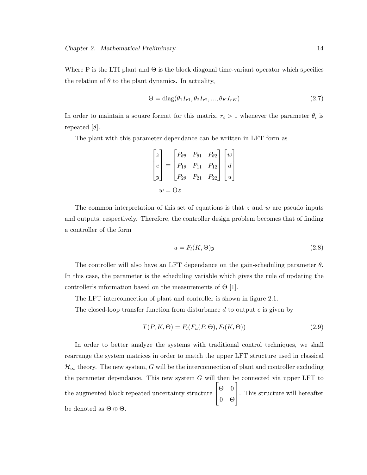Where P is the LTI plant and  $\Theta$  is the block diagonal time-variant operator which specifies the relation of  $\theta$  to the plant dynamics. In actuality,

$$
\Theta = \text{diag}(\theta_1 I_{r1}, \theta_2 I_{r2}, \dots, \theta_K I_{rK})
$$
\n
$$
(2.7)
$$

In order to maintain a square format for this matrix,  $r_i > 1$  whenever the parameter  $\theta_i$  is repeated [8].

The plant with this parameter dependance can be written in LFT form as

$$
\begin{bmatrix} z \\ e \\ y \end{bmatrix} = \begin{bmatrix} P_{\theta\theta} & P_{\theta1} & P_{\theta2} \\ P_{1\theta} & P_{11} & P_{12} \\ P_{2\theta} & P_{21} & P_{22} \end{bmatrix} \begin{bmatrix} w \\ d \\ u \end{bmatrix}
$$

$$
w = \Theta z
$$

The common interpretation of this set of equations is that  $z$  and  $w$  are pseudo inputs and outputs, respectively. Therefore, the controller design problem becomes that of finding a controller of the form

$$
u = F_l(K, \Theta)y \tag{2.8}
$$

The controller will also have an LFT dependance on the gain-scheduling parameter  $\theta$ . In this case, the parameter is the scheduling variable which gives the rule of updating the controller's information based on the measurements of  $\Theta$  [1].

The LFT interconnection of plant and controller is shown in figure 2.1.

The closed-loop transfer function from disturbance  $d$  to output  $e$  is given by

$$
T(P, K, \Theta) = F_l(F_u(P, \Theta), F_l(K, \Theta))
$$
\n(2.9)

In order to better analyze the systems with traditional control techniques, we shall rearrange the system matrices in order to match the upper LFT structure used in classical  $\mathcal{H}_{\infty}$  theory. The new system, G will be the interconnection of plant and controller excluding the parameter dependance. This new system  $G$  will then be connected via upper LFT to the augmented block repeated uncertainty structure  $\begin{vmatrix} \Theta & 0 \end{vmatrix}$ 0 Θ . This structure will hereafter be denoted as  $\Theta \oplus \Theta$ .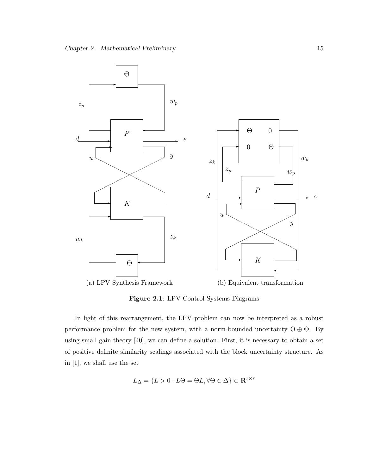

Figure 2.1: LPV Control Systems Diagrams

In light of this rearrangement, the LPV problem can now be interpreted as a robust performance problem for the new system, with a norm-bounded uncertainty  $\Theta \oplus \Theta$ . By using small gain theory [40], we can define a solution. First, it is necessary to obtain a set of positive definite similarity scalings associated with the block uncertainty structure. As in [1], we shall use the set

$$
L_{\Delta} = \{ L > 0 : L\Theta = \Theta L, \forall \Theta \in \Delta \} \subset \mathbf{R}^{r \times r}
$$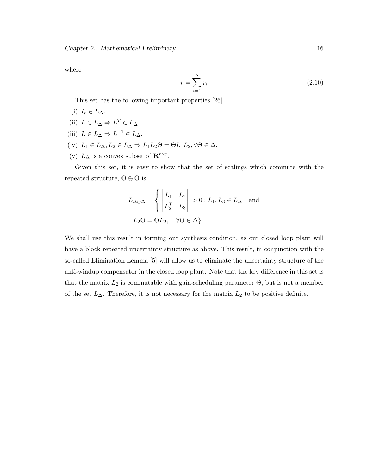where

$$
r = \sum_{i=1}^{K} r_i
$$
\n(2.10)

This set has the following important properties [26]

- (i)  $I_r \in L_{\Delta}$ .
- (ii)  $L \in L_{\Delta} \Rightarrow L^T \in L_{\Delta}$ .
- (iii)  $L \in L_{\Delta} \Rightarrow L^{-1} \in L_{\Delta}$ .
- (iv)  $L_1 \in L_\Delta, L_2 \in L_\Delta \Rightarrow L_1 L_2 \Theta = \Theta L_1 L_2, \forall \Theta \in \Delta.$
- (v)  $L_{\Delta}$  is a convex subset of  $\mathbf{R}^{r \times r}$ .

Given this set, it is easy to show that the set of scalings which commute with the repeated structure,  $\Theta \oplus \Theta$  is

$$
L_{\Delta \oplus \Delta} = \begin{cases} \begin{bmatrix} L_1 & L_2 \\ L_2^T & L_3 \end{bmatrix} > 0 : L_1, L_3 \in L_{\Delta} \text{ and} \\ L_2 \Theta = \Theta L_2, \quad \forall \Theta \in \Delta \} \end{cases}
$$

We shall use this result in forming our synthesis condition, as our closed loop plant will have a block repeated uncertainty structure as above. This result, in conjunction with the so-called Elimination Lemma [5] will allow us to eliminate the uncertainty structure of the anti-windup compensator in the closed loop plant. Note that the key difference in this set is that the matrix  $L_2$  is commutable with gain-scheduling parameter  $\Theta$ , but is not a member of the set  $L_{\Delta}$ . Therefore, it is not necessary for the matrix  $L_2$  to be positive definite.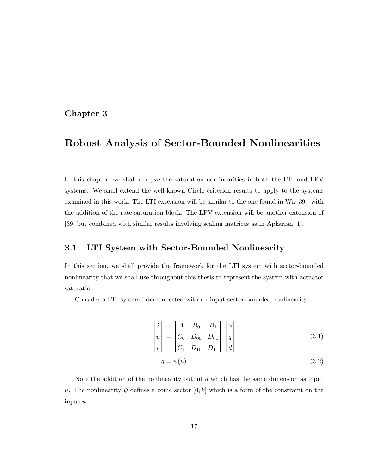## Chapter 3

## Robust Analysis of Sector-Bounded Nonlinearities

In this chapter, we shall analyze the saturation nonlinearities in both the LTI and LPV systems. We shall extend the well-known Circle criterion results to apply to the systems examined in this work. The LTI extension will be similar to the one found in Wu [39], with the addition of the rate saturation block. The LPV extension will be another extension of [39] but combined with similar results involving scaling matrices as in Apkarian [1].

### 3.1 LTI System with Sector-Bounded Nonlinearity

In this section, we shall provide the framework for the LTI system with sector-bounded nonlinearity that we shall use throughout this thesis to represent the system with actuator saturation.

Consider a LTI system interconnected with an input sector-bounded nonlinearity.

$$
\begin{bmatrix} \dot{x} \\ u \\ e \end{bmatrix} = \begin{bmatrix} A & B_0 & B_1 \\ C_0 & D_{00} & D_{01} \\ C_1 & D_{10} & D_{11} \end{bmatrix} \begin{bmatrix} x \\ q \\ d \end{bmatrix}
$$
 (3.1)

$$
q = \psi(u) \tag{3.2}
$$

Note the addition of the nonlinearity output  $q$  which has the same dimension as input u. The nonlinearity  $\psi$  defines a conic sector  $[0, k]$  which is a form of the constraint on the input u.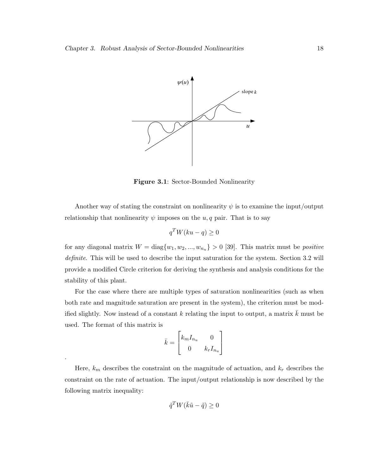

Figure 3.1: Sector-Bounded Nonlinearity

Another way of stating the constraint on nonlinearity  $\psi$  is to examine the input/output relationship that nonlinearity  $\psi$  imposes on the  $u, q$  pair. That is to say

$$
q^T W(ku - q) \ge 0
$$

for any diagonal matrix  $W = diag\{w_1, w_2, ..., w_{n_u}\} > 0$  [39]. This matrix must be *positive* definite. This will be used to describe the input saturation for the system. Section 3.2 will provide a modified Circle criterion for deriving the synthesis and analysis conditions for the stability of this plant.

For the case where there are multiple types of saturation nonlinearities (such as when both rate and magnitude saturation are present in the system), the criterion must be modified slightly. Now instead of a constant k relating the input to output, a matrix  $\bar{k}$  must be used. The format of this matrix is  $\overline{r}$  $\overline{a}$ 

$$
\bar{k} = \begin{bmatrix} k_m I_{n_u} & 0 \\ 0 & k_r I_{n_u} \end{bmatrix}
$$

.

Here,  $k_m$  describes the constraint on the magnitude of actuation, and  $k_r$  describes the constraint on the rate of actuation. The input/output relationship is now described by the following matrix inequality:

$$
\tilde{q}^T W(\bar{k}\tilde{u} - \tilde{q}) \ge 0
$$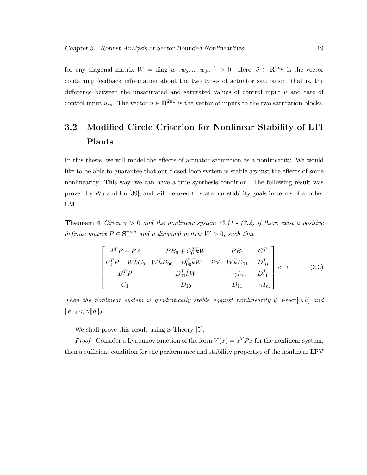for any diagonal matrix  $W = \text{diag}\{w_1, w_2, ..., w_{2n_u}\} > 0$ . Here,  $\tilde{q} \in \mathbb{R}^{2n_u}$  is the vector containing feedback information about the two types of actuator saturation, that is, the difference between the unsaturated and saturated values of control input  $u$  and rate of control input  $\dot{u}_{ss}$ . The vector  $\tilde{u} \in \mathbb{R}^{2n_u}$  is the vector of inputs to the two saturation blocks.

## 3.2 Modified Circle Criterion for Nonlinear Stability of LTI Plants

In this thesis, we will model the effects of actuator saturation as a nonlinearity. We would like to be able to guarantee that our closed-loop system is stable against the effects of some nonlinearity. This way, we can have a true synthesis condition. The following result was proven by Wu and Lu [39], and will be used to state our stability goals in terms of another LMI.

**Theorem 4** Given  $\gamma > 0$  and the nonlinear system (3.1) - (3.2) if there exist a positive definite matrix  $P \in \mathbf{S}_{+}^{n \times n}$  and a diagonal matrix  $W > 0$ , such that

$$
\begin{bmatrix}\nA^T P + P A & P B_0 + C_0^T \bar{k} W & P B_1 & C_1^T \\
B_0^T P + W \bar{k} C_0 & W \bar{k} D_{00} + D_{00}^T \bar{k} W - 2W & W \bar{k} D_{01} & D_{10}^T \\
B_1^T P & D_{01}^T \bar{k} W & -\gamma I_{n_d} & D_{11}^T \\
C_1 & D_{10} & D_{11} & -\gamma I_{n_e}\n\end{bmatrix} < 0
$$
\n(3.3)

Then the nonlinear system is quadratically stable against nonlinearity  $\psi \in \text{sect}[0, k]$  and  $||e||_2 < \gamma ||d||_2.$ 

We shall prove this result using S-Theory [5].

*Proof:* Consider a Lyapunov function of the form  $V(x) = x^T P x$  for the nonlinear system, then a sufficient condition for the performance and stability properties of the nonlinear LPV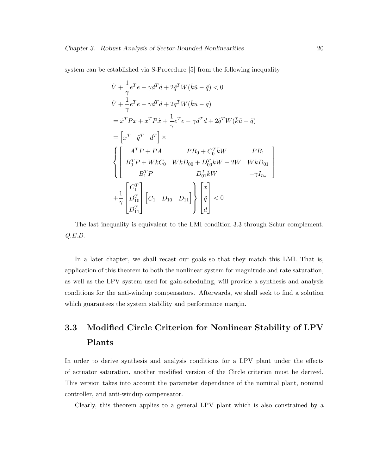system can be established via S-Procedure [5] from the following inequality

$$
\dot{V} + \frac{1}{\gamma}e^{T}e - \gamma d^{T}d + 2\tilde{q}^{T}W(\bar{k}\tilde{u} - \tilde{q}) < 0
$$
\n
$$
\dot{V} + \frac{1}{\gamma}e^{T}e - \gamma d^{T}d + 2\tilde{q}^{T}W(\bar{k}\tilde{u} - \tilde{q})
$$
\n
$$
= \dot{x}^{T}Px + x^{T}P\dot{x} + \frac{1}{\gamma}e^{T}e - \gamma d^{T}d + 2\tilde{q}^{T}W(\bar{k}\tilde{u} - \tilde{q})
$$
\n
$$
= \left[x^{T} \quad \tilde{q}^{T} \quad d^{T}\right] \times
$$
\n
$$
\begin{cases}\nA^{T}P + PA & PB_{0} + C_{0}^{T}\bar{k}W & PB_{1} \\
B_{0}^{T}P + W\bar{k}C_{0} & W\bar{k}D_{00} + D_{00}^{T}\bar{k}W - 2W & W\bar{k}D_{01} \\
B_{1}^{T}P & D_{01}^{T}\bar{k}W & -\gamma I_{n_d} \\
+ \frac{1}{\gamma}\n\begin{bmatrix}\nC_{1}^{T} \\
D_{10}^{T} \\
D_{11}^{T}\n\end{bmatrix}\n\begin{bmatrix}\nc_{1} & D_{10} & D_{11}\n\end{bmatrix}\n\begin{bmatrix}\nx \\
\tilde{q} \\
d\n\end{bmatrix} < 0\n\end{cases}
$$

The last inequality is equivalent to the LMI condition 3.3 through Schur complement. Q.E.D.

In a later chapter, we shall recast our goals so that they match this LMI. That is, application of this theorem to both the nonlinear system for magnitude and rate saturation, as well as the LPV system used for gain-scheduling, will provide a synthesis and analysis conditions for the anti-windup compensators. Afterwards, we shall seek to find a solution which guarantees the system stability and performance margin.

## 3.3 Modified Circle Criterion for Nonlinear Stability of LPV Plants

In order to derive synthesis and analysis conditions for a LPV plant under the effects of actuator saturation, another modified version of the Circle criterion must be derived. This version takes into account the parameter dependance of the nominal plant, nominal controller, and anti-windup compensator.

Clearly, this theorem applies to a general LPV plant which is also constrained by a

 $\overline{a}$  $\overline{1}$  $\mathbf{I}$  $\mathbf{I}$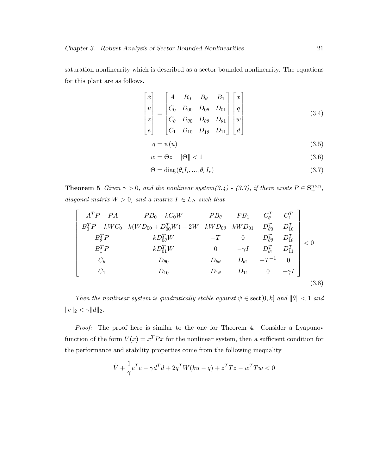saturation nonlinearity which is described as a sector bounded nonlinearity. The equations for this plant are as follows.

$$
\begin{bmatrix} \dot{x} \\ u \\ z \\ e \end{bmatrix} = \begin{bmatrix} A & B_0 & B_\theta & B_1 \\ C_0 & D_{00} & D_{0\theta} & D_{01} \\ C_\theta & D_{\theta 0} & D_{\theta \theta} & D_{\theta 1} \\ C_1 & D_{10} & D_{1\theta} & D_{11} \end{bmatrix} \begin{bmatrix} x \\ q \\ w \\ d \end{bmatrix}
$$
 (3.4)

$$
q = \psi(u) \tag{3.5}
$$

$$
w = \Theta z \quad \|\Theta\| < 1 \tag{3.6}
$$

$$
\Theta = \text{diag}(\theta_i I_i, ..., \theta_r I_r) \tag{3.7}
$$

**Theorem 5** Given  $\gamma > 0$ , and the nonlinear system(3.4) - (3.7), if there exists  $P \in \mathbf{S}_{+}^{n \times n}$ , diagonal matrix  $W > 0$ , and a matrix  $T \in L_{\Delta}$  such that

$$
\begin{bmatrix}\nA^T P + P A & P B_0 + k C_0 W & P B_{\theta} & P B_1 & C_{\theta}^T & C_1^T \\
B_0^T P + k W C_0 & k (W D_{00} + D_{00}^T W) - 2W & k W D_{0\theta} & k W D_{01} & D_{\theta0}^T & D_{10}^T \\
B_{\theta}^T P & k D_{0\theta}^T W & -T & 0 & D_{\theta\theta}^T & D_{1\theta}^T \\
B_1^T P & k D_{01}^T W & 0 & -\gamma I & D_{\theta1}^T & D_{11}^T \\
C_{\theta} & D_{\theta0} & D_{\theta\theta} & D_{\theta1} & -T^{-1} & 0 \\
C_1 & D_{10} & D_{1\theta} & D_{11} & 0 & -\gamma I\n\end{bmatrix} (3.8)
$$

Then the nonlinear system is quadratically stable against  $\psi \in \text{sect}[0, k]$  and  $\|\theta\| < 1$  and  $||e||_2 < \gamma ||d||_2.$ 

Proof: The proof here is similar to the one for Theorem 4. Consider a Lyapunov function of the form  $V(x) = x^T P x$  for the nonlinear system, then a sufficient condition for the performance and stability properties come from the following inequality

$$
\dot{V}+\frac{1}{\gamma}e^{T}e-\gamma d^{T}d+2q^{T}W(ku-q)+z^{T}Tz-w^{T}Tw<0
$$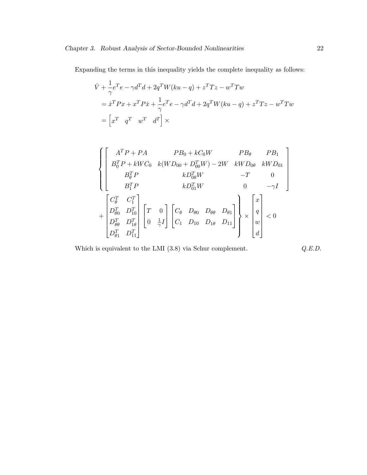Expanding the terms in this inequality yields the complete inequality as follows:

$$
\dot{V} + \frac{1}{\gamma}e^{T}e - \gamma d^{T}d + 2q^{T}W(ku - q) + z^{T}Tz - w^{T}Tw
$$
\n
$$
= \dot{x}^{T}Px + x^{T}P\dot{x} + \frac{1}{\gamma}e^{T}e - \gamma d^{T}d + 2q^{T}W(ku - q) + z^{T}Tz - w^{T}Tw
$$
\n
$$
= \begin{bmatrix} x^{T} & q^{T} & w^{T} & d^{T} \end{bmatrix} \times
$$

$$
\left\{\begin{bmatrix} A^T P+PA & PB_0+kC_0W & PB_\theta & PB_1 \\ B_0^T P +kWC_0 & k(WD_{00}+D_{00}^T W)-2W & kW D_{0\theta} & kW D_{01} \\ B_\theta^T P & kD_{0\theta}^T W & -T & 0 \\ B_1^T P & kD_{01}^T W & 0 & -\gamma I \end{bmatrix}\right.\\ \left. +\begin{bmatrix} C_\theta^T & C_1^T \\ D_{\theta0}^T & D_{10}^T \\ D_{\theta\theta}^T & D_{1\theta}^T \\ D_{\theta1}^T & D_{11}^T \end{bmatrix} \begin{bmatrix} T & 0 \\ 0 & \frac{1}{\gamma} I \end{bmatrix} \begin{bmatrix} C_\theta & D_{\theta0} & D_{\theta1} \\ C_1 & D_{10} & D_{1\theta} & D_{11} \end{bmatrix}\right\} \times \begin{bmatrix} x \\ q \\ w \\ d \end{bmatrix} < 0
$$

Which is equivalent to the LMI (3.8) via Schur complement.  $Q.E.D.$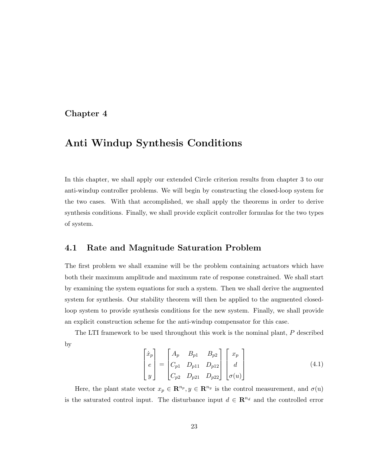### Chapter 4

## Anti Windup Synthesis Conditions

In this chapter, we shall apply our extended Circle criterion results from chapter 3 to our anti-windup controller problems. We will begin by constructing the closed-loop system for the two cases. With that accomplished, we shall apply the theorems in order to derive synthesis conditions. Finally, we shall provide explicit controller formulas for the two types of system.

#### 4.1 Rate and Magnitude Saturation Problem

The first problem we shall examine will be the problem containing actuators which have both their maximum amplitude and maximum rate of response constrained. We shall start by examining the system equations for such a system. Then we shall derive the augmented system for synthesis. Our stability theorem will then be applied to the augmented closedloop system to provide synthesis conditions for the new system. Finally, we shall provide an explicit construction scheme for the anti-windup compensator for this case.

The LTI framework to be used throughout this work is the nominal plant, P described by  $\overline{a}$  $\overline{a}$  $\overline{a}$  $\overline{a}$  $\overline{r}$  $\overline{a}$ 

$$
\begin{bmatrix} \dot{x}_p \\ e \\ y \end{bmatrix} = \begin{bmatrix} A_p & B_{p1} & B_{p2} \\ C_{p1} & D_{p11} & D_{p12} \\ C_{p2} & D_{p21} & D_{p22} \end{bmatrix} \begin{bmatrix} x_p \\ d \\ \sigma(u) \end{bmatrix}
$$
 (4.1)

Here, the plant state vector  $x_p \in \mathbb{R}^{n_p}, y \in \mathbb{R}^{n_y}$  is the control measurement, and  $\sigma(u)$ is the saturated control input. The disturbance input  $d \in \mathbb{R}^{n_d}$  and the controlled error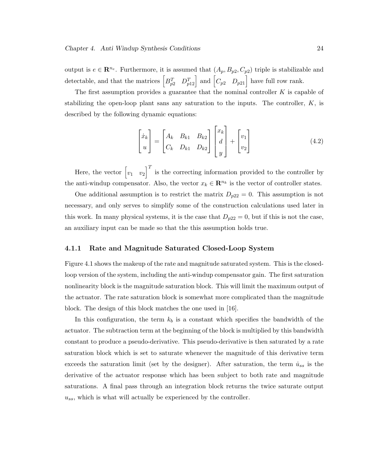output is  $e \in \mathbb{R}^{n_e}$ . Furthermore, it is assumed that  $(A_p, B_{p2}, C_{p2})$  triple is stabilizable and detectable, and that the matrices  $\begin{bmatrix} B_{p2}^T & D_{p12}^T \end{bmatrix}$  and  $\begin{bmatrix} C_{p2} & D_{p21} \end{bmatrix}$  have full row rank.

The first assumption provides a guarantee that the nominal controller  $K$  is capable of stabilizing the open-loop plant sans any saturation to the inputs. The controller,  $K$ , is described by the following dynamic equations:

$$
\begin{bmatrix} \dot{x}_k \\ u \end{bmatrix} = \begin{bmatrix} A_k & B_{k1} & B_{k2} \\ C_k & D_{k1} & D_{k2} \end{bmatrix} \begin{bmatrix} x_k \\ d \\ y \end{bmatrix} + \begin{bmatrix} v_1 \\ v_2 \end{bmatrix} \tag{4.2}
$$

Here, the vector  $\begin{bmatrix} v_1 & v_2 \end{bmatrix}$  $\overline{I}$ is the correcting information provided to the controller by the anti-windup compensator. Also, the vector  $x_k \in \mathbb{R}^{n_k}$  is the vector of controller states.

One additional assumption is to restrict the matrix  $D_{p22} = 0$ . This assumption is not necessary, and only serves to simplify some of the construction calculations used later in this work. In many physical systems, it is the case that  $D_{p22} = 0$ , but if this is not the case, an auxiliary input can be made so that the this assumption holds true.

#### 4.1.1 Rate and Magnitude Saturated Closed-Loop System

Figure 4.1 shows the makeup of the rate and magnitude saturated system. This is the closedloop version of the system, including the anti-windup compensator gain. The first saturation nonlinearity block is the magnitude saturation block. This will limit the maximum output of the actuator. The rate saturation block is somewhat more complicated than the magnitude block. The design of this block matches the one used in [16].

In this configuration, the term  $k_b$  is a constant which specifies the bandwidth of the actuator. The subtraction term at the beginning of the block is multiplied by this bandwidth constant to produce a pseudo-derivative. This pseudo-derivative is then saturated by a rate saturation block which is set to saturate whenever the magnitude of this derivative term exceeds the saturation limit (set by the designer). After saturation, the term  $\dot{u}_{ss}$  is the derivative of the actuator response which has been subject to both rate and magnitude saturations. A final pass through an integration block returns the twice saturate output  $u_{ss}$ , which is what will actually be experienced by the controller.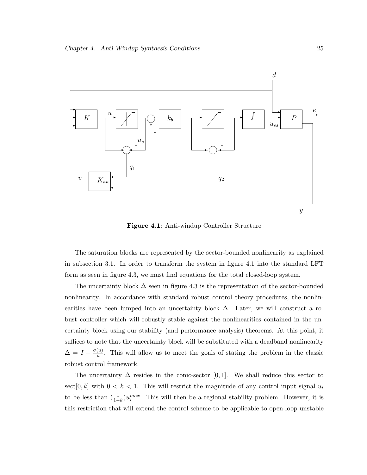

Figure 4.1: Anti-windup Controller Structure

The saturation blocks are represented by the sector-bounded nonlinearity as explained in subsection 3.1. In order to transform the system in figure 4.1 into the standard LFT form as seen in figure 4.3, we must find equations for the total closed-loop system.

The uncertainty block  $\Delta$  seen in figure 4.3 is the representation of the sector-bounded nonlinearity. In accordance with standard robust control theory procedures, the nonlinearities have been lumped into an uncertainty block  $\Delta$ . Later, we will construct a robust controller which will robustly stable against the nonlinearities contained in the uncertainty block using our stability (and performance analysis) theorems. At this point, it suffices to note that the uncertainty block will be substituted with a deadband nonlinearity  $\Delta = I - \frac{\sigma(u)}{u}$  $\frac{u}{u}$ . This will allow us to meet the goals of stating the problem in the classic robust control framework.

The uncertainty  $\Delta$  resides in the conic-sector [0, 1]. We shall reduce this sector to sect[0, k] with  $0 < k < 1$ . This will restrict the magnitude of any control input signal  $u_i$ to be less than  $(\frac{1}{1-k})u_i^{max}$ . This will then be a regional stability problem. However, it is this restriction that will extend the control scheme to be applicable to open-loop unstable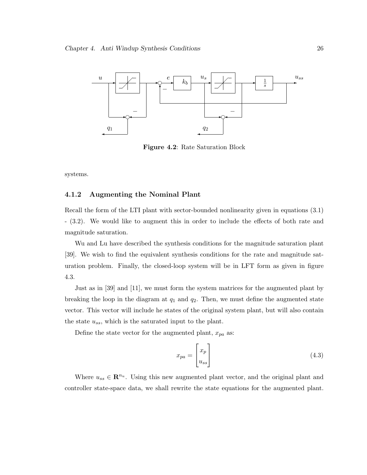

Figure 4.2: Rate Saturation Block

systems.

#### 4.1.2 Augmenting the Nominal Plant

Recall the form of the LTI plant with sector-bounded nonlinearity given in equations (3.1) - (3.2). We would like to augment this in order to include the effects of both rate and magnitude saturation.

Wu and Lu have described the synthesis conditions for the magnitude saturation plant [39]. We wish to find the equivalent synthesis conditions for the rate and magnitude saturation problem. Finally, the closed-loop system will be in LFT form as given in figure 4.3.

Just as in [39] and [11], we must form the system matrices for the augmented plant by breaking the loop in the diagram at  $q_1$  and  $q_2$ . Then, we must define the augmented state vector. This vector will include he states of the original system plant, but will also contain the state  $u_{ss}$ , which is the saturated input to the plant.

Define the state vector for the augmented plant,  $x_{pa}$  as:

$$
x_{pa} = \begin{bmatrix} x_p \\ u_{ss} \end{bmatrix} \tag{4.3}
$$

Where  $u_{ss} \in \mathbb{R}^{n_u}$ . Using this new augmented plant vector, and the original plant and controller state-space data, we shall rewrite the state equations for the augmented plant.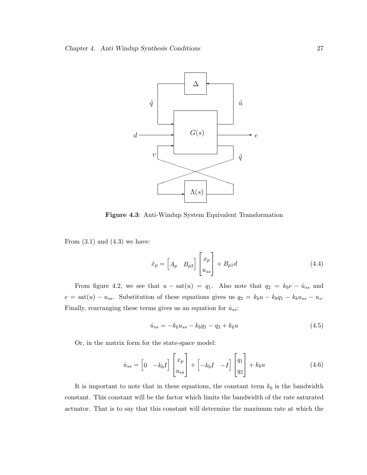

Figure 4.3: Anti-Windup System Equivalent Transformation

From  $(3.1)$  and  $(4.3)$  we have:

$$
\dot{x}_p = \begin{bmatrix} A_p & B_{p2} \end{bmatrix} \begin{bmatrix} x_p \\ u_{ss} \end{bmatrix} + B_{p1}d \tag{4.4}
$$

From figure 4.2, we see that  $u - sat(u) = q_1$ . Also note that  $q_2 = k_b e - \dot{u}_{ss}$  and  $e = \text{sat}(u) - u_{ss}$ . Substitution of these equations gives us  $q_2 = k_b u - k_b q_1 - k_b u_{ss} - u_s$ . Finally, rearranging these terms gives us an equation for  $\dot{u}_{ss}\text{:}$ 

$$
\dot{u}_{ss} = -k_b u_{ss} - k_b q_1 - q_2 + k_b u \tag{4.5}
$$

Or, in the matrix form for the state-space model:

$$
\dot{u}_{ss} = \begin{bmatrix} 0 & -k_b I \end{bmatrix} \begin{bmatrix} x_p \\ u_{ss} \end{bmatrix} + \begin{bmatrix} -k_b I & -I \end{bmatrix} \begin{bmatrix} q_1 \\ q_2 \end{bmatrix} + k_b u \tag{4.6}
$$

It is important to note that in these equations, the constant term  $k_b$  is the bandwidth constant. This constant will be the factor which limits the bandwidth of the rate saturated actuator. That is to say that this constant will determine the maximum rate at which the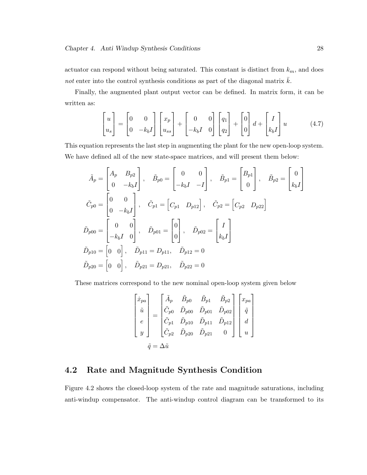actuator can respond without being saturated. This constant is distinct from  $k_m$ , and does not enter into the control synthesis conditions as part of the diagonal matrix  $k$ .

Finally, the augmented plant output vector can be defined. In matrix form, it can be written as:

$$
\begin{bmatrix} u \\ u_s \end{bmatrix} = \begin{bmatrix} 0 & 0 \\ 0 & -k_b I \end{bmatrix} \begin{bmatrix} x_p \\ u_{ss} \end{bmatrix} + \begin{bmatrix} 0 & 0 \\ -k_b I & 0 \end{bmatrix} \begin{bmatrix} q_1 \\ q_2 \end{bmatrix} + \begin{bmatrix} 0 \\ 0 \end{bmatrix} d + \begin{bmatrix} I \\ k_b I \end{bmatrix} u \tag{4.7}
$$

This equation represents the last step in augmenting the plant for the new open-loop system. We have defined all of the new state-space matrices, and will present them below:

$$
\tilde{A}_p = \begin{bmatrix} A_p & B_{p2} \\ 0 & -k_b I \end{bmatrix}, \quad \tilde{B}_{p0} = \begin{bmatrix} 0 & 0 \\ -k_b I & -I \end{bmatrix}, \quad \tilde{B}_{p1} = \begin{bmatrix} B_{p1} \\ 0 \end{bmatrix}, \quad \tilde{B}_{p2} = \begin{bmatrix} 0 \\ k_b I \end{bmatrix}
$$

$$
\tilde{C}_{p0} = \begin{bmatrix} 0 & 0 \\ 0 & -k_b I \end{bmatrix}, \quad \tilde{C}_{p1} = \begin{bmatrix} C_{p1} & D_{p12} \end{bmatrix}, \quad \tilde{C}_{p2} = \begin{bmatrix} C_{p2} & D_{p22} \end{bmatrix}
$$

$$
\tilde{D}_{p00} = \begin{bmatrix} 0 & 0 \\ -k_b I & 0 \end{bmatrix}, \quad \tilde{D}_{p01} = \begin{bmatrix} 0 \\ 0 \end{bmatrix}, \quad \tilde{D}_{p02} = \begin{bmatrix} I \\ k_b I \end{bmatrix}
$$

$$
\tilde{D}_{p10} = \begin{bmatrix} 0 & 0 \end{bmatrix}, \quad \tilde{D}_{p11} = D_{p11}, \quad \tilde{D}_{p12} = 0
$$

$$
\tilde{D}_{p20} = \begin{bmatrix} 0 & 0 \end{bmatrix}, \quad \tilde{D}_{p21} = D_{p21}, \quad \tilde{D}_{p22} = 0
$$

These matrices correspond to the new nominal open-loop system given below

$$
\begin{bmatrix} \dot{x}_{pa} \\ \tilde{u} \\ e \\ y \end{bmatrix} = \begin{bmatrix} \tilde{A}_p & \tilde{B}_{p0} & \tilde{B}_{p1} & \tilde{B}_{p2} \\ \tilde{C}_{p0} & \tilde{D}_{p00} & \tilde{D}_{p01} & \tilde{D}_{p02} \\ \tilde{C}_{p1} & \tilde{D}_{p10} & \tilde{D}_{p11} & \tilde{D}_{p12} \\ \tilde{C}_{p2} & \tilde{D}_{p20} & \tilde{D}_{p21} & 0 \end{bmatrix} \begin{bmatrix} x_{pa} \\ \tilde{q} \\ d \\ u \end{bmatrix}
$$

$$
\tilde{q} = \Delta \tilde{u}
$$

# 4.2 Rate and Magnitude Synthesis Condition

Figure 4.2 shows the closed-loop system of the rate and magnitude saturations, including anti-windup compensator. The anti-windup control diagram can be transformed to its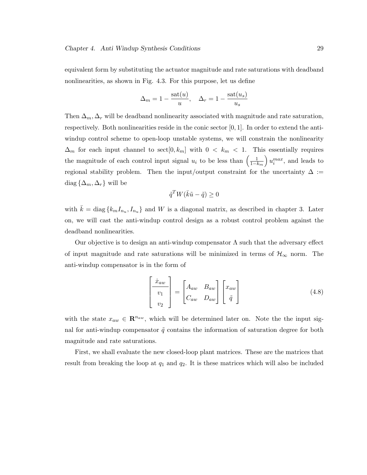equivalent form by substituting the actuator magnitude and rate saturations with deadband nonlinearities, as shown in Fig. 4.3. For this purpose, let us define

$$
\Delta_m = 1 - \frac{\text{sat}(u)}{u}, \quad \Delta_r = 1 - \frac{\text{sat}(u_s)}{u_s}
$$

Then  $\Delta_m, \Delta_r$  will be deadband nonlinearity associated with magnitude and rate saturation, respectively. Both nonlinearities reside in the conic sector  $[0, 1]$ . In order to extend the antiwindup control scheme to open-loop unstable systems, we will constrain the nonlinearity  $\Delta_m$  for each input channel to sect $[0, k_m]$  with  $0 < k_m < 1$ . This essentially requires  $\Delta_m$  for each input channel to sect  $[0, k_m]$  with  $0 \leq k_m \leq 1$ .  $\frac{1}{1-k_m}\right)u_i^{max}$ , and leads to regional stability problem. Then the input/output constraint for the uncertainty  $\Delta$  := diag  $\{\Delta_m, \Delta_r\}$  will be

$$
\tilde{q}^T W(\bar{k}\tilde{u} - \tilde{q}) \ge 0
$$

with  $\bar{k} = \text{diag} \{k_m I_{n_u}, I_{n_u}\}\$ and W is a diagonal matrix, as described in chapter 3. Later on, we will cast the anti-windup control design as a robust control problem against the deadband nonlinearities.

Our objective is to design an anti-windup compensator  $\Lambda$  such that the adversary effect of input magnitude and rate saturations will be minimized in terms of  $\mathcal{H}_{\infty}$  norm. The anti-windup compensator is in the form of

$$
\begin{bmatrix} \dot{x}_{aw} \\ v_1 \\ v_2 \end{bmatrix} = \begin{bmatrix} A_{aw} & B_{aw} \\ C_{aw} & D_{aw} \end{bmatrix} \begin{bmatrix} x_{aw} \\ \tilde{q} \end{bmatrix} \tag{4.8}
$$

with the state  $x_{aw} \in \mathbb{R}^{n_{aw}}$ , which will be determined later on. Note the the input signal for anti-windup compensator  $\tilde{q}$  contains the information of saturation degree for both magnitude and rate saturations.

First, we shall evaluate the new closed-loop plant matrices. These are the matrices that result from breaking the loop at  $q_1$  and  $q_2$ . It is these matrices which will also be included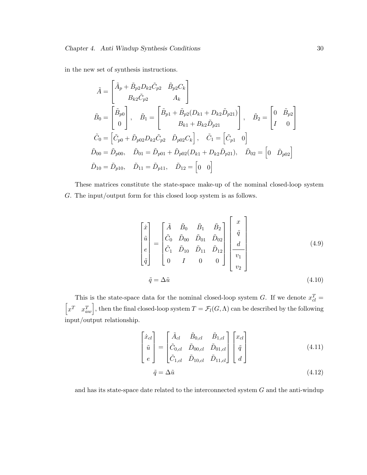in the new set of synthesis instructions.

$$
\tilde{A} = \begin{bmatrix}\n\tilde{A}_p + \tilde{B}_{p2}D_{k2}\tilde{C}_{p2} & \tilde{B}_{p2}C_k \\
B_{k2}\tilde{C}_{p2} & A_k\n\end{bmatrix}
$$
\n
$$
\tilde{B}_0 = \begin{bmatrix}\n\tilde{B}_{p0} \\
0\n\end{bmatrix}, \quad\n\tilde{B}_1 = \begin{bmatrix}\n\tilde{B}_{p1} + \tilde{B}_{p2}(D_{k1} + D_{k2}\tilde{D}_{p21}) \\
B_{k1} + B_{k2}\tilde{D}_{p21}\n\end{bmatrix}, \quad\n\tilde{B}_2 = \begin{bmatrix}\n0 & \tilde{B}_{p2} \\
I & 0\n\end{bmatrix}
$$
\n
$$
\tilde{C}_0 = \begin{bmatrix}\n\tilde{C}_{p0} + \tilde{D}_{p02}D_{k2}\tilde{C}_{p2} & \tilde{D}_{p02}C_k\n\end{bmatrix}, \quad\n\tilde{C}_1 = \begin{bmatrix}\n\tilde{C}_{p1} & 0\n\end{bmatrix}
$$
\n
$$
\tilde{D}_{00} = \tilde{D}_{p00}, \quad\n\tilde{D}_{01} = \tilde{D}_{p01} + \tilde{D}_{p02}(D_{k1} + D_{k2}\tilde{D}_{p21}), \quad\n\tilde{D}_{02} = \begin{bmatrix}\n0 & \tilde{D}_{p02}\n\end{bmatrix}
$$
\n
$$
\tilde{D}_{10} = \tilde{D}_{p10}, \quad\n\tilde{D}_{11} = \tilde{D}_{p11}, \quad\n\tilde{D}_{12} = \begin{bmatrix}\n0 & 0\n\end{bmatrix}
$$

These matrices constitute the state-space make-up of the nominal closed-loop system G. The input/output form for this closed loop system is as follows.

$$
\begin{bmatrix} \dot{x} \\ \tilde{u} \\ e \\ \tilde{q} \end{bmatrix} = \begin{bmatrix} \tilde{A} & \tilde{B}_0 & \tilde{B}_1 & \tilde{B}_2 \\ \tilde{C}_0 & \tilde{D}_{00} & \tilde{D}_{01} & \tilde{D}_{02} \\ \tilde{C}_1 & \tilde{D}_{10} & \tilde{D}_{11} & \tilde{D}_{12} \\ 0 & I & 0 & 0 \end{bmatrix} \begin{bmatrix} x \\ \tilde{q} \\ d \\ v_1 \\ v_2 \end{bmatrix}
$$
\n(4.9)\n
$$
\tilde{q} = \Delta \tilde{u}
$$
\n(4.10)

This is the state-space data for the nominal closed-loop system G. If we denote  $x_{cl}^T =$ h This is the state-space data for the hominal closed-loop system O. If we denote  $x_{cl} = x^T x_{aw}^T$ , then the final closed-loop system  $T = \mathcal{F}_l(G,\Lambda)$  can be described by the following input/output relationship.

$$
\begin{bmatrix} \dot{x}_{cl} \\ \tilde{u} \\ e \end{bmatrix} = \begin{bmatrix} \tilde{A}_{cl} & \tilde{B}_{0,cl} & \tilde{B}_{1,cl} \\ \tilde{C}_{0,cl} & \tilde{D}_{00,cl} & \tilde{D}_{01,cl} \\ \tilde{C}_{1,cl} & \tilde{D}_{10,cl} & \tilde{D}_{11,cl} \end{bmatrix} \begin{bmatrix} x_{cl} \\ \tilde{q} \\ d \end{bmatrix}
$$
 (4.11)

$$
\tilde{q} = \Delta \tilde{u} \tag{4.12}
$$

and has its state-space date related to the interconnected system  $G$  and the anti-windup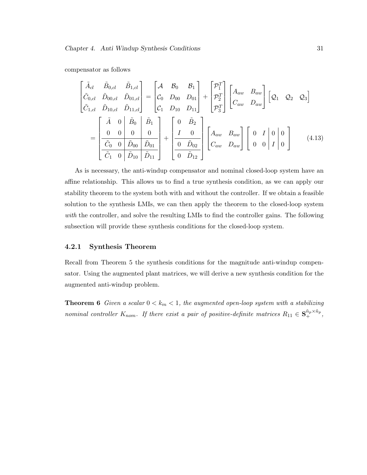compensator as follows

$$
\begin{bmatrix}\n\tilde{A}_{cl} & \tilde{B}_{0,cl} & \tilde{B}_{1,cl} \\
\tilde{C}_{0,cl} & \tilde{D}_{00,cl} & \tilde{D}_{01,cl} \\
\tilde{C}_{1,cl} & \tilde{D}_{10,cl} & \tilde{D}_{11,cl}\n\end{bmatrix} = \begin{bmatrix}\nA & B_0 & B_1 \\
C_0 & D_{00} & D_{01} \\
C_1 & D_{10} & D_{11}\n\end{bmatrix} + \begin{bmatrix}\n\mathcal{P}_1^T \\
\mathcal{P}_2^T \\
\mathcal{P}_3^T\n\end{bmatrix} \begin{bmatrix}\nA_{aw} & B_{aw} \\
C_{aw} & D_{aw}\n\end{bmatrix} \begin{bmatrix}\nQ_1 & Q_2 & Q_3\n\end{bmatrix}
$$
\n
$$
= \begin{bmatrix}\n\tilde{A} & 0 & \tilde{B}_0 & \tilde{B}_1 \\
0 & 0 & 0 & 0 \\
\hline\n\tilde{C}_0 & 0 & \tilde{D}_{00} & \tilde{D}_{01} \\
\hline\n\tilde{C}_1 & 0 & \tilde{D}_{10} & \tilde{D}_{11}\n\end{bmatrix} + \begin{bmatrix}\n0 & \tilde{B}_2 \\
I & 0 \\
0 & \tilde{D}_{02} \\
0 & \tilde{D}_{12}\n\end{bmatrix} \begin{bmatrix}\nA_{aw} & B_{aw} \\
C_{aw} & D_{aw}\n\end{bmatrix} \begin{bmatrix}\n0 & I & 0 & 0 \\
0 & 0 & I & 0 \\
0 & 0 & I & 0\n\end{bmatrix}
$$
\n(4.13)

As is necessary, the anti-windup compensator and nominal closed-loop system have an affine relationship. This allows us to find a true synthesis condition, as we can apply our stability theorem to the system both with and without the controller. If we obtain a feasible solution to the synthesis LMIs, we can then apply the theorem to the closed-loop system with the controller, and solve the resulting LMIs to find the controller gains. The following subsection will provide these synthesis conditions for the closed-loop system.

# 4.2.1 Synthesis Theorem

Recall from Theorem 5 the synthesis conditions for the magnitude anti-windup compensator. Using the augmented plant matrices, we will derive a new synthesis condition for the augmented anti-windup problem.

**Theorem 6** Given a scalar  $0 < k_m < 1$ , the augmented open-loop system with a stabilizing nominal controller  $K_{nom}$ . If there exist a pair of positive-definite matrices  $R_{11} \in \mathbf{S}_{+}^{\tilde{n}_p \times \tilde{n}_p}$ ,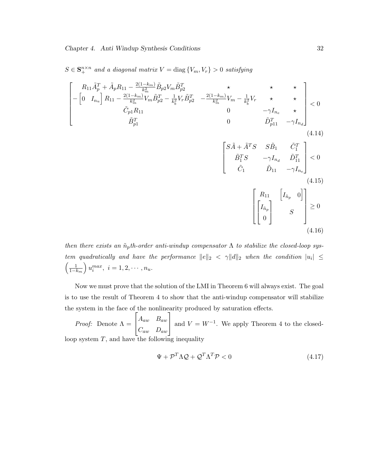$S \in \mathbf{S}_{+}^{n \times n}$  and a diagonal matrix  $V = \text{diag}\{V_m, V_r\} > 0$  satisfying

$$
\begin{bmatrix}\nR_{11}\tilde{A}_{p}^{T} + \tilde{A}_{p}R_{11} - \frac{2(1-k_{m})}{k_{m}^{2}}\tilde{B}_{p2}V_{m}\tilde{B}_{p2}^{T} & \star & \star & \star \\
- \left[0 & I_{n_{u}}\right]R_{11} - \frac{2(1-k_{m})}{k_{m}^{2}}V_{m}\tilde{B}_{p2}^{T} - \frac{1}{k_{b}^{2}}V_{r}\tilde{B}_{p2}^{T} & -\frac{2(1-k_{m})}{k_{m}^{2}}V_{m} - \frac{1}{k_{b}^{2}}V_{r} & \star & \star \\
\tilde{C}_{p1}R_{11} & 0 & -\gamma I_{n_{e}} & \star \\
\tilde{B}_{p1}^{T} & 0 & \tilde{D}_{p11}^{T} - \gamma I_{n_{d}}\n\end{bmatrix} < 0
$$
\n(4.14)\n
$$
\begin{bmatrix}\nS\tilde{A} + \tilde{A}^{T}S & S\tilde{B}_{1} & \tilde{C}_{1}^{T} \\
\tilde{B}_{1}^{T}S & -\gamma I_{n_{d}} & \tilde{D}_{11}^{T} \\
\tilde{C}_{1} & \tilde{D}_{11} & -\gamma I_{n_{e}}\n\end{bmatrix} < 0
$$
\n(4.15)\n
$$
\begin{bmatrix}\nR_{11} & \left[I_{\tilde{n}_{p}} & 0\right] \\
0 & S\n\end{bmatrix} \geq 0
$$
\n(4.16)

then there exists an  $\tilde{n}_p$ th-order anti-windup compensator  $\Lambda$  to stabilize the closed-loop system quadratically and have the performance  $||e||_2 < \gamma ||d||_2$  when the condition  $|u_i| \leq$ <br> $\left(\begin{array}{c}1\end{array}\right)_{\alpha}$ max  $i = 1, 2, \ldots, n$  $1-k_m$  $\frac{1}{\sqrt{2}}$  $u_i^{max}, i = 1, 2, \cdots, n_u.$ 

Now we must prove that the solution of the LMI in Theorem 6 will always exist. The goal is to use the result of Theorem 4 to show that the anti-windup compensator will stabilize the system in the face of the nonlinearity produced by saturation effects.

*Proof:* Denote  $\Lambda = \begin{vmatrix} A_{aw} & B_{aw} \end{vmatrix}$  $C_{aw}$   $D_{aw}$ | and  $V = W^{-1}$ . We apply Theorem 4 to the closedloop system  $T$ , and have the following inequality

$$
\Psi + \mathcal{P}^T \Lambda \mathcal{Q} + \mathcal{Q}^T \Lambda^T \mathcal{P} < 0 \tag{4.17}
$$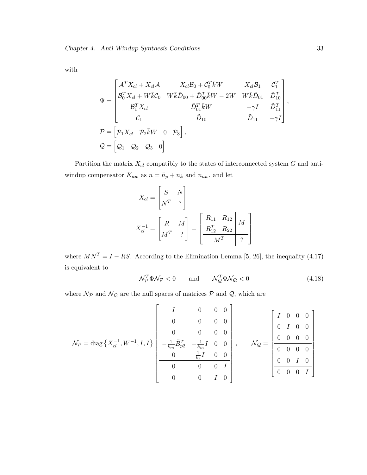with

$$
\Psi = \begin{bmatrix}\n\mathcal{A}^T X_{cl} + X_{cl} \mathcal{A} & X_{cl} \mathcal{B}_0 + \mathcal{C}_0^T \bar{k} W & X_{cl} \mathcal{B}_1 & \mathcal{C}_1^T \\
\mathcal{B}_0^T X_{cl} + W \bar{k} \mathcal{C}_0 & W \bar{k} \tilde{D}_{00} + \tilde{D}_{00}^T \bar{k} W - 2W & W \bar{k} \tilde{D}_{01} & \tilde{D}_{10}^T \\
\mathcal{B}_1^T X_{cl} & \tilde{D}_{01}^T \bar{k} W & -\gamma I & \tilde{D}_{11}^T \\
\mathcal{C}_1 & \tilde{D}_{10} & \tilde{D}_{11} & -\gamma I\n\end{bmatrix},
$$
\n
$$
\mathcal{P} = \begin{bmatrix}\n\mathcal{P}_1 X_{cl} & \mathcal{P}_2 \bar{k} W & 0 & \mathcal{P}_3\n\end{bmatrix},
$$
\n
$$
\mathcal{Q} = \begin{bmatrix}\n\mathcal{Q}_1 & \mathcal{Q}_2 & \mathcal{Q}_3 & 0\n\end{bmatrix}
$$

Partition the matrix  $X_{cl}$  compatibly to the states of interconnected system  $G$  and antiwindup compensator  $K_{aw}$  as  $n = \tilde{n}_p + n_k$  and  $n_{aw}$ , and let

$$
X_{cl} = \begin{bmatrix} S & N \\ N^T & ? \end{bmatrix}
$$
  

$$
X_{cl}^{-1} = \begin{bmatrix} R & M \\ M^T & ? \end{bmatrix} = \begin{bmatrix} R_{11} & R_{12} \\ R_{12}^T & R_{22} \\ M^T & ? \end{bmatrix}
$$

where  $MN^T = I - RS$ . According to the Elimination Lemma [5, 26], the inequality (4.17) is equivalent to

$$
\mathcal{N}_\mathcal{P}^T \Phi \mathcal{N}_\mathcal{P} < 0 \qquad \text{and} \qquad \mathcal{N}_\mathcal{Q}^T \Phi \mathcal{N}_\mathcal{Q} < 0 \tag{4.18}
$$

where  $\mathcal{N}_{\mathcal{P}}$  and  $\mathcal{N}_{\mathcal{Q}}$  are the null spaces of matrices  $\mathcal{P}$  and  $\mathcal{Q},$  which are

$$
\mathcal{N}_{\mathcal{P}} = \text{diag}\left\{X_{cl}^{-1}, W^{-1}, I, I\right\} \left[\begin{array}{cccc|cccc} I & 0 & 0 & 0 \\ 0 & 0 & 0 & 0 \\ 0 & 0 & 0 & 0 \\ \hline -\frac{1}{k_m} \tilde{B}_{p2}^T & -\frac{1}{k_m} I & 0 & 0 \\ 0 & \frac{1}{k_b} I & 0 & 0 \\ \hline 0 & 0 & 0 & I \\ \hline 0 & 0 & 0 & I \\ \end{array}\right], \qquad \mathcal{N}_{\mathcal{Q}} = \left[\begin{array}{cccc|cccc} I & 0 & 0 & 0 \\ 0 & I & 0 & 0 \\ 0 & 0 & 0 & 0 \\ \hline 0 & 0 & 0 & 0 \\ \hline 0 & 0 & I & 0 \\ \hline 0 & 0 & 0 & I \\ \end{array}\right]
$$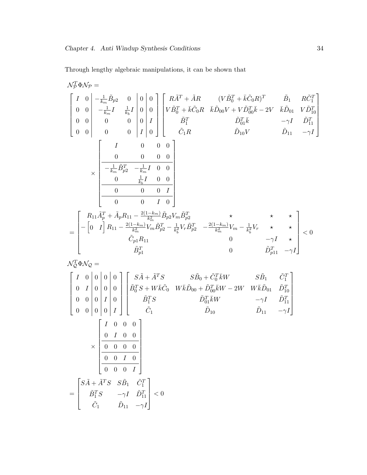Through lengthy algebraic manipulations, it can be shown that

$$
\begin{split} &N_{\mathcal{D}}^{T}\Phi\mathcal{N}_{\mathcal{P}} = \\ & \begin{bmatrix} I & 0 \\ 0 & 0 \\ 0 & 0 \\ 0 & 0 \\ 0 & 0 \\ 0 & 0 \\ 0 & 0 \\ 0 & 0 \\ 0 & 0 \\ 0 & 0 \\ 0 & 0 \\ 0 & 0 \\ 0 & 0 \\ 0 & 0 \\ 0 & 0 \\ 0 & 0 \\ 0 & 0 \\ 0 & 0 \\ 0 & 0 \\ 0 & 0 \\ 0 & 0 \\ 0 & 0 \\ 0 & 0 \\ 0 & 0 \\ 0 & 0 \\ 0 & 0 \\ 0 & 0 \\ 0 & 0 \\ 0 & 0 \\ 0 & 0 \\ 0 & 0 \\ 0 & 0 \\ 0 & 0 \\ 0 & 0 \\ 0 & 0 \\ 0 & 0 \\ 0 & 0 \\ 0 & 0 \\ 0 & 0 \\ 0 & 0 \\ 0 & 0 \\ 0 & 0 \\ 0 & 0 \\ 0 & 0 \\ 0 & 0 \\ 0 & 0 \\ 0 & 0 \\ 0 & 0 \\ 0 & 0 \\ 0 & 0 \\ 0 & 0 \\ 0 & 0 \\ 0 & 0 \\ 0 & 0 \\ 0 & 0 \\ 0 & 0 \\ 0 & 0 \\ 0 & 0 \\ 0 & 0 \\ 0 & 0 \\ 0 & 0 \\ 0 & 0 \\ 0 & 0 \\ 0 & 0 \\ 0 & 0 \\ 0 & 0 \\ 0 & 0 \\ 0 & 0 \\ 0 & 0 \\ 0 & 0 \\ 0 & 0 \\ 0 & 0 \\ 0 & 0 \\ 0 & 0 \\ 0 & 0 \\ 0 & 0 \\ 0 & 0 \\ 0 & 0 \\ 0 & 0 \\ 0 & 0 \\ 0 & 0 \\ 0 & 0 \\ 0 & 0 \\ 0 & 0 \\ 0 & 0 \\ 0 & 0 \\ 0 & 0 \\ 0 & 0 \\ 0 & 0 \\ 0 & 0 \\ 0 & 0 \\ 0 & 0 \\ 0 & 0 \\ 0 & 0 \\ 0 & 0 \\ 0 & 0 \\ 0 & 0 \\ 0 & 0 \\ 0 & 0 \\ 0 & 0 \\ 0 & 0 \\ 0 & 0 \\ 0 & 0 \\ 0 & 0 \\ 0 & 0 \\ 0 & 0 \\ 0 & 0 \\ 0 & 0 \\ 0 & 0 \\ 0 & 0 \\ 0 & 0 \\ 0 & 0 \\ 0 & 0 \\ 0 & 0 \\ 0 & 0 \\ 0 & 0 \\ 0 & 0 \\ 0 & 0 \\ 0 & 0 \\ 0 & 0 \\ 0
$$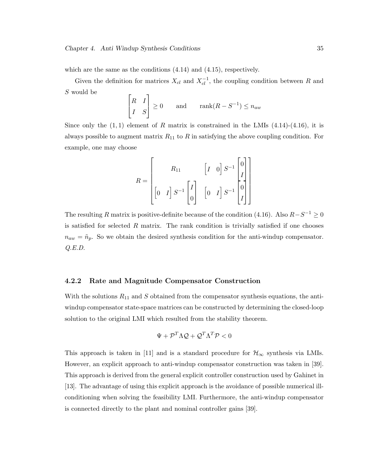which are the same as the conditions  $(4.14)$  and  $(4.15)$ , respectively.

Given the definition for matrices  $X_{cl}$  and  $X_{cl}^{-1}$ , the coupling condition between R and S would be  $\overline{a}$  $\overline{a}$ 

$$
\begin{bmatrix} R & I \\ I & S \end{bmatrix} \ge 0 \quad \text{and} \quad \text{rank}(R - S^{-1}) \le n_{aw}
$$

Since only the  $(1, 1)$  element of R matrix is constrained in the LMIs  $(4.14)-(4.16)$ , it is always possible to augment matrix  $R_{11}$  to R in satisfying the above coupling condition. For example, one may choose

$$
R = \begin{bmatrix} R_{11} & \begin{bmatrix} I & 0 \end{bmatrix} S^{-1} \begin{bmatrix} 0 \\ I \\ I \\ I \end{bmatrix} \\ \begin{bmatrix} 0 & I \end{bmatrix} S^{-1} \begin{bmatrix} I \\ 0 \\ I \end{bmatrix} & \begin{bmatrix} 0 & I \end{bmatrix} S^{-1} \begin{bmatrix} 0 \\ I \\ I \end{bmatrix} \end{bmatrix}
$$

The resulting R matrix is positive-definite because of the condition (4.16). Also  $R-S^{-1} \geq 0$ is satisfied for selected  $R$  matrix. The rank condition is trivially satisfied if one chooses  $n_{aw} = \tilde{n}_p$ . So we obtain the desired synthesis condition for the anti-windup compensator. Q.E.D.

### 4.2.2 Rate and Magnitude Compensator Construction

With the solutions  $R_{11}$  and S obtained from the compensator synthesis equations, the antiwindup compensator state-space matrices can be constructed by determining the closed-loop solution to the original LMI which resulted from the stability theorem.

$$
\Psi + \mathcal{P}^T\Lambda\mathcal{Q} + \mathcal{Q}^T\Lambda^T\mathcal{P} < 0
$$

This approach is taken in [11] and is a standard procedure for  $\mathcal{H}_{\infty}$  synthesis via LMIs. However, an explicit approach to anti-windup compensator construction was taken in [39]. This approach is derived from the general explicit controller construction used by Gahinet in [13]. The advantage of using this explicit approach is the avoidance of possible numerical illconditioning when solving the feasibility LMI. Furthermore, the anti-windup compensator is connected directly to the plant and nominal controller gains [39].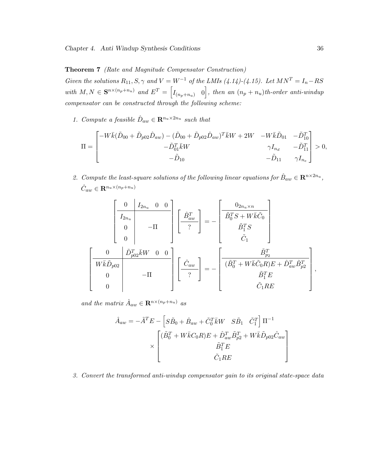Theorem 7 (Rate and Magnitude Compensator Construction)

Given the solutions  $R_{11}, S, \gamma$  and  $V = W^{-1}$  of the LMIs (4.14)-(4.15). Let  $MN^T = I_n - RS$ with  $M, N \in \mathbf{S}^{n \times (n_p+n_u)}$  and  $E^T = \begin{bmatrix} I_{(n_p+n_u)} & 0 \end{bmatrix}$ , then an  $(n_p+n_u)$ th-order anti-windup compensator can be constructed through the following scheme:

1. Compute a feasible  $\hat{D}_{aw} \in \mathbb{R}^{n_u \times 2n_u}$  such that

$$
\Pi = \begin{bmatrix} -W\bar{k}(\tilde{D}_{00} + \tilde{D}_{p02}\hat{D}_{aw}) - (\tilde{D}_{00} + \tilde{D}_{p02}\hat{D}_{aw})^T\bar{k}W + 2W & -W\bar{k}\tilde{D}_{01} & -\tilde{D}_{10}^T \\ & -\tilde{D}_{01}^T\bar{k}W & \gamma I_{n_d} & -\tilde{D}_{11}^T \\ & -\tilde{D}_{10} & -\tilde{D}_{11} & \gamma I_{n_e} \end{bmatrix} > 0,
$$

2. Compute the least-square solutions of the following linear equations for  $\hat{B}_{aw} \in \mathbb{R}^{n \times 2n_u}$ ,  $\hat{C}_{aw} \in \mathbf{R}^{n_u \times (n_p + n_u)}$ 

$$
\left[\begin{array}{c|c} 0 & I_{2n_u} & 0 & 0 \\ \hline I_{2n_u} & & & \\ 0 & -\Pi & & \\ 0 & & & \end{array}\right] \left[\begin{array}{c} \hat{B}_{aw}^T \\ \hline ? \end{array}\right] = - \left[\begin{array}{c} 0_{2n_u \times n} \\ \tilde{B}_0^T S + W \bar{k} \tilde{C}_0 \\ \tilde{B}_1^T S \\ \tilde{C}_1 \end{array}\right]
$$

$$
\left[\begin{array}{c|c} 0 & \tilde{D}_{p02}^T \bar{k} W & 0 & 0 \\ \hline W \bar{k} \tilde{D}_{p02} & & \\ 0 & -\Pi & \\ 0 & & & \end{array}\right] \left[\begin{array}{c} \hat{C}_{aw} \\ \hline ? \end{array}\right] = - \left[\begin{array}{c} \tilde{B}_{p_2}^T \\ (\tilde{B}_0^T + W \bar{k} \tilde{C}_0 R) E + \hat{D}_{aw}^T \tilde{B}_{p_2}^T \\ \tilde{B}_1^T E \\ \tilde{C}_1 R E \end{array}\right],
$$

and the matrix  $\hat{A}_{aw} \in \mathbf{R}^{n \times (n_p + n_u)}$  as

$$
\hat{A}_{aw} = -\tilde{A}^T E - \left[ S\tilde{B}_0 + \hat{B}_{aw} + \tilde{C}_0^T \bar{k} W \quad S\tilde{B}_1 \quad \tilde{C}_1^T \right] \Pi^{-1}
$$

$$
\times \begin{bmatrix}\n(\tilde{B}_0^T + W\bar{k}C_0R)E + \hat{D}_{aw}^T \tilde{B}_{p2}^T + W\bar{k}\tilde{D}_{p02}\hat{C}_{aw} \\
\tilde{B}_1^T E \\
\tilde{C}_1 RE\n\end{bmatrix}
$$

3. Convert the transformed anti-windup compensator gain to its original state-space data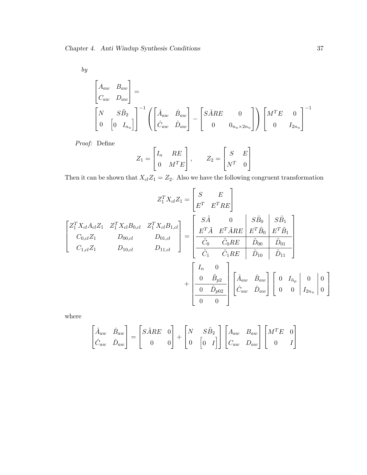by

$$
\begin{bmatrix}\nA_{aw} & B_{aw} \\
C_{aw} & D_{aw}\n\end{bmatrix} = \begin{bmatrix}\n\hat{A}_{aw} & \hat{B}_{aw} \\
0 & \begin{bmatrix} 0 & I_{nu} \end{bmatrix}\n\end{bmatrix}^{-1} \left( \begin{bmatrix} \hat{A}_{aw} & \hat{B}_{aw} \\
\hat{C}_{aw} & \hat{D}_{aw} \end{bmatrix} - \begin{bmatrix} S\tilde{A}RE & 0 \\
0 & 0_{nu \times 2n_u} \end{bmatrix} \right) \begin{bmatrix} M^T E & 0 \\
0 & I_{2n_u} \end{bmatrix}^{-1}
$$

Proof: Define

$$
Z_1 = \begin{bmatrix} I_n & RE \\ 0 & M^T E \end{bmatrix}, \qquad Z_2 = \begin{bmatrix} S & E \\ N^T & 0 \end{bmatrix}
$$

Then it can be shown that  $X_{cl}Z_1 = Z_2$ . Also we have the following congruent transformation

$$
Z_1^T X_{cl} Z_1 = \begin{bmatrix} S & E \\ E^T & E^T R E \end{bmatrix}
$$

$$
\begin{bmatrix} Z_1^T X_{cl} A_{cl} Z_1 & Z_1^T X_{cl} B_{0,cl} & Z_1^T X_{cl} B_{1,cl} \\ C_{0,cl} Z_1 & D_{00,cl} & D_{01,cl} \end{bmatrix} = \begin{bmatrix} S\tilde{A} & 0 & S\tilde{B}_0 & S\tilde{B}_1 \\ E^T \tilde{A} & E^T \tilde{A} R E & E^T \tilde{B}_0 & E^T \tilde{B}_1 \\ \hline \tilde{C}_0 & \tilde{C}_0 R E & \tilde{D}_{00} & \tilde{D}_{01} \\ \hline \tilde{C}_1 & \tilde{C}_1 R E & \tilde{D}_{10} & \tilde{D}_{11} \end{bmatrix}
$$

$$
+ \begin{bmatrix} I_n & 0 \\ 0 & \tilde{B}_{p2} \\ \hline \tilde{C}_{0w} & \tilde{D}_{aw} \end{bmatrix} \begin{bmatrix} \hat{A}_{aw} & \hat{B}_{aw} \\ \hat{C}_{aw} & \hat{D}_{aw} \end{bmatrix} \begin{bmatrix} 0 & I_{\tilde{n}_P} & 0 \\ 0 & 0 & I_{2n_u} & 0 \end{bmatrix}
$$

where

$$
\begin{bmatrix} \hat{A}_{aw} & \hat{B}_{aw} \\ \hat{C}_{aw} & \hat{D}_{aw} \end{bmatrix} = \begin{bmatrix} S\tilde{A}RE & 0 \\ 0 & 0 \end{bmatrix} + \begin{bmatrix} N & S\tilde{B}_2 \\ 0 & \begin{bmatrix} 0 & I \end{bmatrix} \end{bmatrix} \begin{bmatrix} A_{aw} & B_{aw} \\ C_{aw} & D_{aw} \end{bmatrix} \begin{bmatrix} M^T E & 0 \\ 0 & I \end{bmatrix}
$$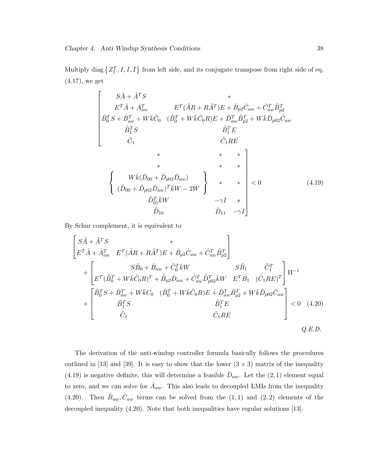Multiply diag  $\{Z_1^T, I, I, I\}$  from left side, and its conjugate transpose from right side of eq. (4.17), we get

$$
\begin{bmatrix}\nS\tilde{A} + \tilde{A}^{T}S & * \\
E^{T}\tilde{A} + \hat{A}_{aw}^{T} & E^{T}(\tilde{A}R + R\tilde{A}^{T})E + \tilde{B}_{p2}\hat{C}_{aw} + \hat{C}_{aw}^{T}\tilde{B}_{p2}^{T} \\
\tilde{B}_{0}^{T}S + \hat{B}_{aw}^{T} + W\bar{k}\tilde{C}_{0} & (\tilde{B}_{0}^{T} + W\bar{k}\tilde{C}_{0}R)E + \hat{D}_{aw}^{T}\tilde{B}_{p2}^{T} + W\bar{k}\tilde{D}_{p02}\hat{C}_{aw} \\
\tilde{B}_{1}^{T}S & \tilde{B}_{1}^{T}E & \tilde{C}_{1}RE \\
\tilde{C}_{1} & \tilde{C}_{1}RE \\
* & * & * & * \\
\{ \begin{array}{ccc}\nW\bar{k}(\tilde{D}_{00} + \tilde{D}_{p02}\hat{D}_{aw}) & * & * \\
\tilde{D}_{01}^{T}\bar{k}W & -2W & * \\
\tilde{D}_{10} & \tilde{D}_{11} & -\gamma I\n\end{array}\n\end{bmatrix} < 0
$$
\n(4.19)

By Schur complement, it is equivalent to

$$
\begin{bmatrix}\nS\tilde{A} + \tilde{A}^T S & * \\
E^T \tilde{A} + \hat{A}_{aw}^T & E^T (\tilde{A}R + R\tilde{A}^T)E + \tilde{B}_{p2}\hat{C}_{aw} + \hat{C}_{aw}^T \tilde{B}_{p2}^T\n\end{bmatrix}\n+ \begin{bmatrix}\nS\tilde{B}_0 + \hat{B}_{aw} + \tilde{C}_0^T \bar{k}W & S\tilde{B}_1 & \tilde{C}_1^T \\
E^T (\tilde{B}_0^T + W \bar{k} \tilde{C}_0 R)^T + \tilde{B}_{p2} \hat{D}_{aw} + \hat{C}_{aw}^T \tilde{D}_{p02}^T \bar{k}W & E^T \tilde{B}_1 & (\tilde{C}_1 R E)^T\n\end{bmatrix} \Pi^{-1}\n\times\n\times\n\begin{bmatrix}\n\tilde{B}_0^T S + \hat{B}_{aw}^T + W \bar{k} C_0 & (\tilde{B}_0^T + W \bar{k} \tilde{C}_0 R)E + \hat{D}_{aw}^T \tilde{B}_{p2}^T + W \bar{k} \tilde{D}_{p02} \hat{C}_{aw} \\
\tilde{B}_1^T S & \tilde{B}_1^T E \\
\tilde{C}_1 & \tilde{C}_1 RE\n\end{bmatrix}\n $\leq 0$ \n(4.20)
$$

The derivation of the anti-windup controller formula basically follows the procedures outlined in [13] and [39]. It is easy to show that the lower  $(3 \times 3)$  matrix of the inequality (4.19) is negative definite, this will determine a feasible  $\hat{D}_{aw}$ . Let the (2, 1) element equal to zero, and we can solve for  $\hat{A}_{aw}$ . This also leads to decoupled LMIs from the inequality (4.20). Then  $\hat{B}_{aw}, \hat{C}_{aw}$  terms can be solved from the (1,1) and (2,2) elements of the decoupled inequality (4.20). Note that both inequalities have regular solutions [13].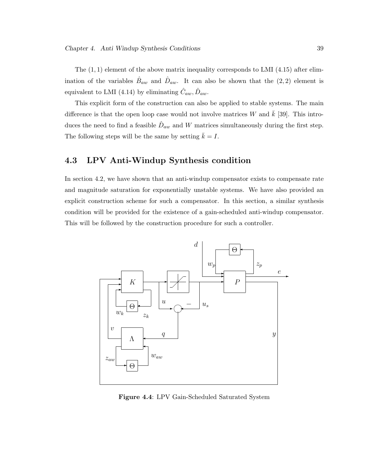The  $(1, 1)$  element of the above matrix inequality corresponds to LMI  $(4.15)$  after elimination of the variables  $\hat{B}_{aw}$  and  $\hat{D}_{aw}$ . It can also be shown that the  $(2, 2)$  element is equivalent to LMI (4.14) by eliminating  $\hat{C}_{aw}, \hat{D}_{aw}$ .

This explicit form of the construction can also be applied to stable systems. The main difference is that the open loop case would not involve matrices W and  $k$  [39]. This introduces the need to find a feasible  $\hat{D}_{aw}$  and W matrices simultaneously during the first step. The following steps will be the same by setting  $\bar{k} = I$ .

# 4.3 LPV Anti-Windup Synthesis condition

In section 4.2, we have shown that an anti-windup compensator exists to compensate rate and magnitude saturation for exponentially unstable systems. We have also provided an explicit construction scheme for such a compensator. In this section, a similar synthesis condition will be provided for the existence of a gain-scheduled anti-windup compensator. This will be followed by the construction procedure for such a controller.



Figure 4.4: LPV Gain-Scheduled Saturated System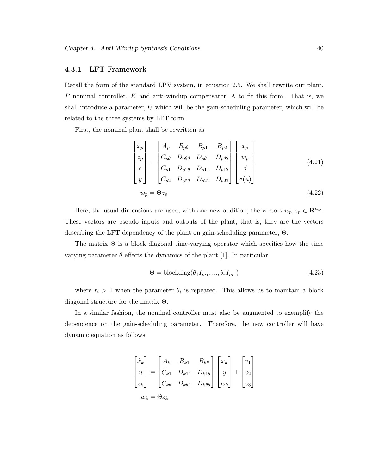### 4.3.1 LFT Framework

Recall the form of the standard LPV system, in equation 2.5. We shall rewrite our plant, P nominal controller, K and anti-windup compensator,  $\Lambda$  to fit this form. That is, we shall introduce a parameter, Θ which will be the gain-scheduling parameter, which will be related to the three systems by LFT form.

First, the nominal plant shall be rewritten as

$$
\begin{bmatrix} \dot{x}_p \\ z_p \\ e \\ y \end{bmatrix} = \begin{bmatrix} A_p & B_{p\theta} & B_{p1} & B_{p2} \\ C_{p\theta} & D_{p\theta\theta} & D_{p\theta1} & D_{p\theta2} \\ C_{p1} & D_{p1\theta} & D_{p11} & D_{p12} \\ C_{p2} & D_{p2\theta} & D_{p21} & D_{p22} \end{bmatrix} \begin{bmatrix} x_p \\ w_p \\ d \\ \sigma(u) \end{bmatrix}
$$
(4.21)  

$$
w_p = \Theta z_p
$$
(4.22)

Here, the usual dimensions are used, with one new addition, the vectors  $w_p, z_p \in \mathbb{R}^{n_w}$ . These vectors are pseudo inputs and outputs of the plant, that is, they are the vectors describing the LFT dependency of the plant on gain-scheduling parameter, Θ.

The matrix  $\Theta$  is a block diagonal time-varying operator which specifies how the time varying parameter  $\theta$  effects the dynamics of the plant [1]. In particular

$$
\Theta = \text{blockdiag}(\theta_1 I_{m_1}, ..., \theta_r I_{m_r}) \tag{4.23}
$$

where  $r_i > 1$  when the parameter  $\theta_i$  is repeated. This allows us to maintain a block diagonal structure for the matrix Θ.

In a similar fashion, the nominal controller must also be augmented to exemplify the dependence on the gain-scheduling parameter. Therefore, the new controller will have dynamic equation as follows.

$$
\begin{bmatrix} \dot{x}_k \\ u \\ z_k \end{bmatrix} = \begin{bmatrix} A_k & B_{k1} & B_{k\theta} \\ C_{k1} & D_{k11} & D_{k1\theta} \\ C_{k\theta} & D_{k\theta 1} & D_{k\theta \theta} \end{bmatrix} \begin{bmatrix} x_k \\ y \\ w_k \end{bmatrix} + \begin{bmatrix} v_1 \\ v_2 \\ v_3 \end{bmatrix}
$$

$$
w_k = \Theta z_k
$$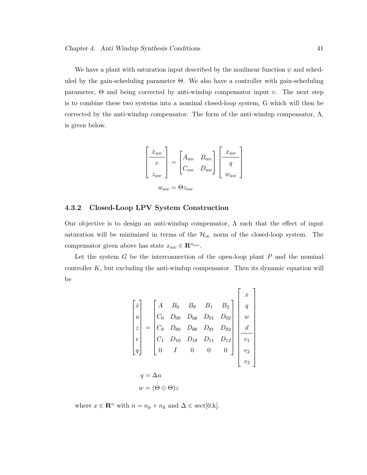We have a plant with saturation input described by the nonlinear function  $\psi$  and scheduled by the gain-scheduling parameter  $\Theta$ . We also have a controller with gain-scheduling parameter,  $\Theta$  and being corrected by anti-windup compensator input v. The next step is to combine these two systems into a nominal closed-loop system, G which will then be corrected by the anti-windup compensator. The form of the anti-windup compensator,  $\Lambda$ , is given below.

$$
\begin{bmatrix} \dot{x}_{aw} \\ v \\ z_{aw} \end{bmatrix} = \begin{bmatrix} A_{aw} & B_{aw} \\ C_{aw} & D_{aw} \end{bmatrix} \begin{bmatrix} x_{aw} \\ q \\ w_{aw} \end{bmatrix}
$$

$$
w_{aw} = \Theta z_{aw}
$$

# 4.3.2 Closed-Loop LPV System Construction

Our objective is to design an anti-windup compensator,  $\Lambda$  such that the effect of input saturation will be minimized in terms of the  $H_{\infty}$  norm of the closed-loop system. The compensator given above has state  $x_{aw} \in \mathbb{R}^{n_{aw}}$ .

Let the system  $G$  be the interconnection of the open-loop plant  $P$  and the nominal controller  $K$ , but excluding the anti-windup compensator. Then its dynamic equation will be

$$
\begin{bmatrix} \dot{x} \\ u \\ z \\ e \\ q \end{bmatrix} = \begin{bmatrix} A & B_0 & B_\theta & B_1 & B_2 \\ C_0 & D_{00} & D_{0\theta} & D_{01} & D_{02} \\ C_\theta & D_{\theta 0} & D_{\theta \theta} & D_{\theta 1} & D_{\theta 2} \\ C_1 & D_{10} & D_{1\theta} & D_{11} & D_{12} \\ 0 & I & 0 & 0 & 0 \end{bmatrix} \begin{bmatrix} x \\ q \\ w \\ d \\ v_1 \\ v_2 \\ v_3 \end{bmatrix}
$$

$$
q = \Delta u
$$

$$
w = (\Theta \oplus \Theta)z
$$

where  $x \in \mathbb{R}^n$  with  $n = n_p + n_k$  and  $\Delta \in \text{sect}[0, k]$ .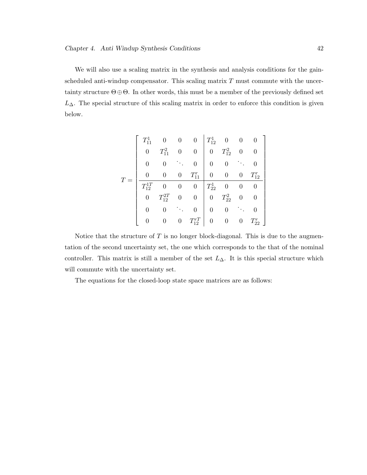We will also use a scaling matrix in the synthesis and analysis conditions for the gainscheduled anti-windup compensator. This scaling matrix  $T$  must commute with the uncertainty structure  $\Theta \oplus \Theta$ . In other words, this must be a member of the previously defined set  $L_{\Delta}$ . The special structure of this scaling matrix in order to enforce this condition is given below.

$$
T = \left[\begin{array}{ccccc|cc} T_{11}^1 & 0 & 0 & 0 & T_{12}^1 & 0 & 0 & 0 \\ 0 & T_{11}^2 & 0 & 0 & 0 & T_{12}^2 & 0 & 0 \\ 0 & 0 & \ddots & 0 & 0 & 0 & \ddots & 0 \\ \hline T_{12}^{1T} & 0 & 0 & 0 & T_{11}^T & 0 & 0 & 0 & T_{12}^T \\ 0 & T_{12}^{2T} & 0 & 0 & 0 & T_{22}^2 & 0 & 0 \\ 0 & T_{12}^{2T} & 0 & 0 & 0 & T_{22}^2 & 0 & 0 \\ 0 & 0 & \ddots & 0 & 0 & 0 & \ddots & 0 \\ 0 & 0 & 0 & T_{12}^{T} & 0 & 0 & 0 & T_{22}^T \end{array}\right]
$$

Notice that the structure of  $T$  is no longer block-diagonal. This is due to the augmentation of the second uncertainty set, the one which corresponds to the that of the nominal controller. This matrix is still a member of the set  $L_{\Delta}$ . It is this special structure which will commute with the uncertainty set.

The equations for the closed-loop state space matrices are as follows: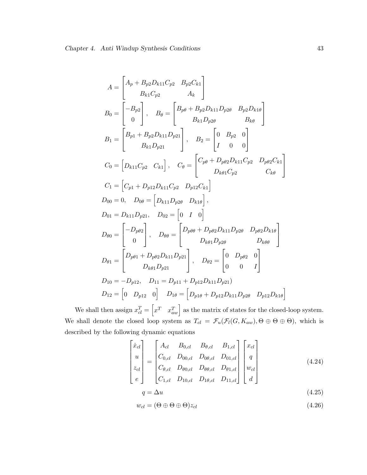$$
A = \begin{bmatrix} A_p + B_{p2}D_{k11}C_{p2} & B_{p2}C_{k1} \ B_{k1}C_{p2} & A_k \end{bmatrix}
$$
  
\n
$$
B_0 = \begin{bmatrix} -B_{p2} \ 0 \end{bmatrix}, \quad B_\theta = \begin{bmatrix} B_{p\theta} + B_{p2}D_{k11}D_{p2\theta} & B_{p2}D_{k1\theta} \ B_{k1}D_{p2\theta} & B_{k\theta} \end{bmatrix}
$$
  
\n
$$
B_1 = \begin{bmatrix} B_{p1} + B_{p2}D_{k11}D_{p21} \ B_{k1}D_{p21} \end{bmatrix}, \quad B_2 = \begin{bmatrix} 0 & B_{p2} & 0 \ I & 0 & 0 \end{bmatrix}
$$
  
\n
$$
C_0 = \begin{bmatrix} D_{k11}C_{p2} & C_{k1} \end{bmatrix}, \quad C_\theta = \begin{bmatrix} C_{p\theta} + D_{p\theta 2}D_{k11}C_{p2} & D_{p\theta 2}C_{k1} \ D_{k\theta 1}C_{p2} & C_{k\theta} \end{bmatrix}
$$
  
\n
$$
C_1 = \begin{bmatrix} C_{p1} + D_{p12}D_{k11}C_{p2} & D_{p12}C_{k1} \end{bmatrix}
$$
  
\n
$$
D_{00} = 0, \quad D_{0\theta} = \begin{bmatrix} D_{k11}D_{p2\theta} & D_{k1\theta} \end{bmatrix},
$$
  
\n
$$
D_{01} = D_{k11}D_{p21}, \quad D_{02} = \begin{bmatrix} 0 & I & 0 \end{bmatrix}
$$
  
\n
$$
D_{\theta 0} = \begin{bmatrix} -D_{p\theta 2} \ 0 \end{bmatrix}, \quad D_{\theta \theta} = \begin{bmatrix} D_{p\theta \theta} + D_{p\theta 2}D_{k11}D_{p2\theta} & D_{p\theta 2}D_{k1\theta} \ D_{k\theta \theta} \end{bmatrix}
$$
  
\n
$$
D_{\theta 1} = \begin{bmatrix} D_{p\theta 1} + D_{p\theta 2}D_{k11}D_{p21} \ D_{k\theta 1}D_{p
$$

We shall then assign  $x_{cl}^T =$  $x^T$   $x_{aw}^T$  as the matrix of states for the closed-loop system. We shall denote the closed loop system as  $T_{cl} = \mathcal{F}_u(\mathcal{F}_l(G, K_{aw}), \Theta \oplus \Theta \oplus \Theta)$ , which is described by the following dynamic equations

$$
\begin{bmatrix} \dot{x}_{cl} \\ u \\ z_{cl} \\ e \end{bmatrix} = \begin{bmatrix} A_{cl} & B_{0,cl} & B_{\theta,cl} & B_{1,cl} \\ C_{0,cl} & D_{00,cl} & D_{0\theta,cl} & D_{01,cl} \\ C_{\theta,cl} & D_{\theta 0,cl} & D_{\theta 0,cl} & D_{\theta 1,cl} \\ C_{1,cl} & D_{10,cl} & D_{1\theta,cl} & D_{11,cl} \end{bmatrix} \begin{bmatrix} x_{cl} \\ q \\ w_{cl} \\ w_{cl} \\ d \end{bmatrix}
$$
(4.24)  
\n
$$
q = \Delta u
$$
(4.25)

$$
w_{cl} = (\Theta \oplus \Theta \oplus \Theta)z_{cl} \tag{4.26}
$$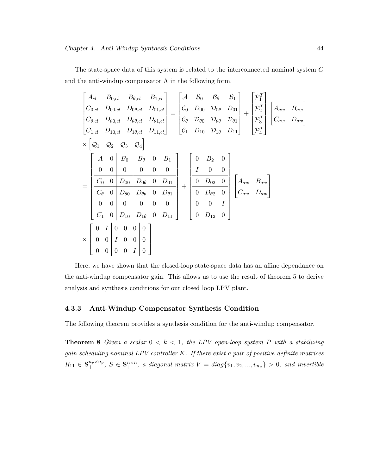The state-space data of this system is related to the interconnected nominal system G and the anti-windup compensator  $\Lambda$  in the following form.

|                                                                                                                                                                                                                                                                                                                                                                                                                                                                 | $\begin{bmatrix} A_{cl} & B_{0,cl} & B_{\theta,cl} & B_{1,cl} \\ C_{0,cl} & D_{00,cl} & D_{0\theta,cl} & D_{01,cl} \\ C_{\theta,cl} & D_{\theta 0,cl} & D_{\theta \theta,cl} & D_{\theta 1,cl} \\ C_{1,cl} & D_{10,cl} & D_{1\theta,cl} & D_{11,cl} \end{bmatrix} = \begin{bmatrix} \mathcal{A} & \mathcal{B}_0 & \mathcal{B}_\theta & \mathcal{B}_1 \\ \mathcal{C}_0 & D_{00} & \mathcal{D}_{0\theta} & D_{01} \\ \mathcal{C}_\theta & \$ |
|-----------------------------------------------------------------------------------------------------------------------------------------------------------------------------------------------------------------------------------------------------------------------------------------------------------------------------------------------------------------------------------------------------------------------------------------------------------------|--------------------------------------------------------------------------------------------------------------------------------------------------------------------------------------------------------------------------------------------------------------------------------------------------------------------------------------------------------------------------------------------------------------------------------------------|
| $\times$ $\left Q_1$ $Q_2$ $Q_3$ $Q_4\right $<br>$=\left[\begin{array}{cc cc cc} A & 0 & B_0 & B_\theta & 0 & B_1 \\ 0 & 0 & 0 & 0 & 0 & 0 \\ \hline C_0 & 0 & D_{00} & D_{0\theta} & 0 & D_{01} \\ \hline C_\theta & 0 & D_{\theta0} & D_{\theta\theta} & 0 & D_{\theta1} \\ 0 & 0 & 0 & 0 & 0 & 0 \\ \hline C_1 & 0 & D_{10} & D_{1\theta} & 0 & D_{11} \end{array}\right]+\left[\begin{array}{cc cc} 0 & B_2 & 0 & 0 & 0 \\ I & 0 & 0 & 0 & 0 \\ \hline 0 &$ |                                                                                                                                                                                                                                                                                                                                                                                                                                            |
| $\times \left[\begin{array}{ccc c} 0 & I & 0 & 0 & 0 & 0 \\ 0 & 0 & I & 0 & 0 & 0 \\ 0 & 0 & 0 & 0 & I & 0 \end{array}\right]$                                                                                                                                                                                                                                                                                                                                  |                                                                                                                                                                                                                                                                                                                                                                                                                                            |

Here, we have shown that the closed-loop state-space data has an affine dependance on the anti-windup compensator gain. This allows us to use the result of theorem 5 to derive analysis and synthesis conditions for our closed loop LPV plant.

### 4.3.3 Anti-Windup Compensator Synthesis Condition

The following theorem provides a synthesis condition for the anti-windup compensator.

**Theorem 8** Given a scalar  $0 < k < 1$ , the LPV open-loop system P with a stabilizing  $gain\text{-}scheduling\,nominal\ LPV\,controller\, K.$  If there exist a pair of positive-definite matrices  $R_{11} \in \mathbf{S}_{+}^{n_p \times n_p}, S \in \mathbf{S}_{+}^{n \times n}$ , a diagonal matrix  $V = diag\{v_1, v_2, ..., v_{n_u}\} > 0$ , and invertible

 $\overline{a}$  $\frac{1}{2}$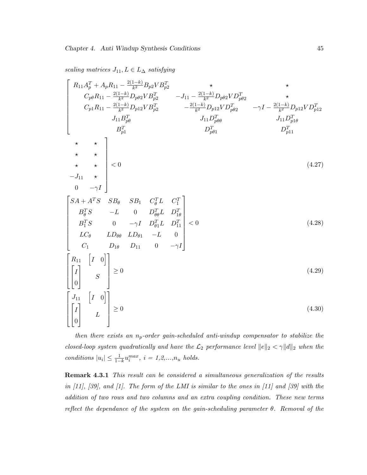scaling matrices  $J_{11}, L \in L_{\Delta}$  satisfying

$$
\begin{bmatrix}\nR_{11}A_p^T + A_p R_{11} - \frac{2(1-k)}{k^2} B_{p2} V B_p^T & \star & \star \\
C_{p\theta} R_{11} - \frac{2(1-k)}{k^2} D_{p\theta 2} V B_{p2}^T & -J_{11} - \frac{2(1-k)}{k^2} D_{p\theta 2} V D_{p\theta 2}^T & \star \\
C_{p1} R_{11} - \frac{2(1-k)}{k^2} D_{p12} V B_{p2}^T & -\frac{2(1-k)}{k^2} D_{p12} V D_{p\theta 2}^T & -\gamma I - \frac{2(1-k)}{k^2} D_{p12} V D_{p12}^T \\
J_{11}B_{p\theta}^T & J_{11}D_{p\theta\theta}^T & J_{11}D_{p\theta\theta}^T & J_{11}D_{p1\theta}^T \\
B_p^T & D_p^T & D_p^T\n\end{bmatrix}
$$
\n
$$
\star \star \star
$$
\n
$$
\star \star \star
$$
\n
$$
\star \star \star
$$
\n
$$
\star \star
$$
\n
$$
\star \star
$$
\n
$$
\star \star
$$
\n
$$
\star \star
$$
\n
$$
\star \star
$$
\n
$$
\star \star
$$
\n
$$
\star \star
$$
\n
$$
\star \star
$$
\n
$$
\star
$$
\n
$$
\star \star
$$
\n
$$
\star
$$
\n
$$
\star
$$
\n
$$
\star
$$
\n
$$
\star
$$
\n
$$
\star
$$
\n
$$
\star
$$
\n
$$
\star
$$
\n
$$
\star
$$
\n
$$
\star
$$
\n
$$
\star
$$
\n
$$
\star
$$
\n
$$
\star
$$
\n
$$
\star
$$
\n
$$
\star
$$
\n
$$
\star
$$
\n
$$
\star
$$
\n
$$
\star
$$
\n
$$
\star
$$
\n
$$
\star
$$
\n
$$
\star
$$
\n
$$
\star
$$
\n
$$
\star
$$
\n
$$
\star
$$
\n<math display="</math>

then there exists an  $n_p$ -order gain-scheduled anti-windup compensator to stabilize the closed-loop system quadratically and have the  $\mathcal{L}_2$  performance level  $||e||_2 < \gamma ||d||_2$  when the conditions  $|u_i| \leq \frac{1}{1-k} u_i^{max}, i = 1, 2, ..., n_u$  holds.

Remark 4.3.1 This result can be considered a simultaneous generalization of the results in [11], [39], and [1]. The form of the LMI is similar to the ones in [11] and [39] with the addition of two rows and two columns and an extra coupling condition. These new terms reflect the dependance of the system on the gain-scheduling parameter  $\theta$ . Removal of the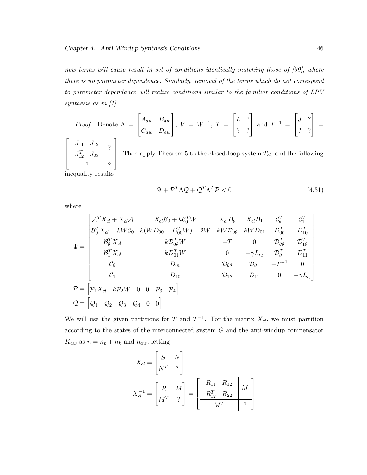new terms will cause result in set of conditions identically matching those of [39], where there is no parameter dependence. Similarly, removal of the terms which do not correspond to parameter dependance will realize conditions similar to the familiar conditions of LPV synthesis as in [1].

*Proof:* Denote 
$$
\Lambda = \begin{bmatrix} A_{aw} & B_{aw} \ C_{aw} & D_{aw} \end{bmatrix}
$$
,  $V = W^{-1}$ ,  $T = \begin{bmatrix} L & ? \ ? & ? \end{bmatrix}$  and  $T^{-1} = \begin{bmatrix} J & ? \ ? & ? \end{bmatrix} = \begin{bmatrix} J_{11} & J_{12} \ J_{12}^T & J_{22} \end{bmatrix}$ ? Then apply Theorem 5 to the closed-loop system  $T_{cl}$ , and the following  
inequality results

inequality results

$$
\Psi + \mathcal{P}^T \Lambda \mathcal{Q} + \mathcal{Q}^T \Lambda^T \mathcal{P} < 0 \tag{4.31}
$$

where

$$
\Psi = \begin{bmatrix}\n\mathcal{A}^T X_{cl} + X_{cl} \mathcal{A} & X_{cl} \mathcal{B}_0 + k \mathcal{C}_0^T W & X_{cl} B_\theta & X_{cl} B_1 & \mathcal{C}_\theta^T & \mathcal{C}_1^T \\
\mathcal{B}_0^T X_{cl} + k W \mathcal{C}_0 & k (W D_{00} + D_{00}^T W) - 2W & k W \mathcal{D}_{0\theta} & k W D_{01} & D_{00}^T & D_{10}^T \\
\mathcal{B}_\theta^T X_{cl} & k \mathcal{D}_{0\theta}^T W & -T & 0 & \mathcal{D}_{\theta\theta}^T & \mathcal{D}_{1\theta}^T \\
\mathcal{B}_1^T X_{cl} & k D_{01}^T W & 0 & -\gamma I_{n_d} & \mathcal{D}_{\theta1}^T & D_{11}^T \\
\mathcal{C}_\theta & D_{00} & \mathcal{D}_{\theta\theta} & \mathcal{D}_{\theta1} & -T^{-1} & 0 \\
\mathcal{C}_1 & D_{10} & \mathcal{D}_{1\theta} & D_{11} & 0 & -\gamma I_{n_e}\n\end{bmatrix}
$$
\n
$$
\mathcal{P} = \begin{bmatrix}\n\mathcal{P}_1 X_{cl} & k \mathcal{P}_2 W & 0 & 0 & \mathcal{P}_3 & \mathcal{P}_4\n\end{bmatrix}
$$
\n
$$
\mathcal{Q} = \begin{bmatrix}\n\mathcal{Q}_1 & \mathcal{Q}_2 & \mathcal{Q}_3 & \mathcal{Q}_4 & 0 & 0\n\end{bmatrix}
$$

We will use the given partitions for T and  $T^{-1}$ . For the matrix  $X_{cl}$ , we must partition according to the states of the interconnected system G and the anti-windup compensator  $K_{aw}$  as  $n = n_p + n_k$  and  $n_{aw}$ , letting

$$
X_{cl} = \begin{bmatrix} S & N \\ N^T & ? \end{bmatrix}
$$
  

$$
X_{cl}^{-1} = \begin{bmatrix} R & M \\ M^T & ? \end{bmatrix} = \begin{bmatrix} R_{11} & R_{12} & M \\ R_{12}^T & R_{22} & M \\ \hline M^T & ? \end{bmatrix}
$$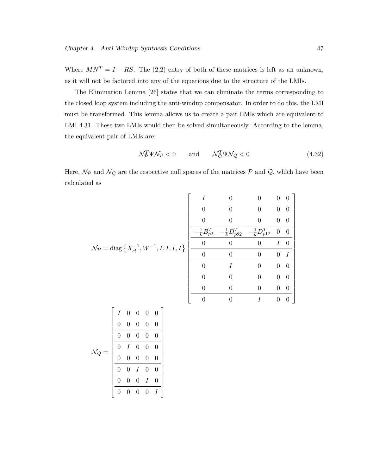Where  $MN^T = I - RS$ . The (2,2) entry of both of these matrices is left as an unknown, as it will not be factored into any of the equations due to the structure of the LMIs.

The Elimination Lemma [26] states that we can eliminate the terms corresponding to the closed loop system including the anti-windup compensator. In order to do this, the LMI must be transformed. This lemma allows us to create a pair LMIs which are equivalent to LMI 4.31. These two LMIs would then be solved simultaneously. According to the lemma, the equivalent pair of LMIs are:

$$
\mathcal{N}_\mathcal{P}^T \Psi \mathcal{N}_\mathcal{P} < 0 \qquad \text{and} \qquad \mathcal{N}_\mathcal{Q}^T \Psi \mathcal{N}_\mathcal{Q} < 0 \tag{4.32}
$$

 $0 \qquad 0 \qquad I \qquad 0 \quad 0$ 

Here,  $\mathcal{N}_{\mathcal{P}}$  and  $\mathcal{N}_{\mathcal{Q}}$  are the respective null spaces of the matrices  $\mathcal{P}$  and  $\mathcal{Q}$ , which have been calculated as

|                                                                                             | $\theta$         |
|---------------------------------------------------------------------------------------------|------------------|
| U                                                                                           | $\theta$         |
| $-\frac{1}{k}D_{p12}^T$<br>$-\frac{1}{k}B_{p2}^T$<br>$\frac{1}{k}D_{p\theta 2}^T$           | $\overline{0}$   |
| $\theta$<br>$\mathcal{N}_{\mathcal{P}} = \text{diag} \{ X_{cl}^{-1}, W^{-1}, I, I, I, I \}$ | $\left( \right)$ |
| $\Omega$                                                                                    | I                |
| 0                                                                                           | $\left( \right)$ |
|                                                                                             | $\theta$         |
|                                                                                             |                  |

|                             | $\overline{I}$ | $\overline{0}$ | $\overline{0}$ | $\overline{0}$ | $\overline{0}$ |
|-----------------------------|----------------|----------------|----------------|----------------|----------------|
|                             | 0              | $\overline{0}$ | $\overline{0}$ | 0              | 0              |
|                             | 0              | 0              | $\overline{0}$ | 0              | 0              |
| $\mathcal{N}_{\mathcal{Q}}$ | 0              |                | $\overline{0}$ | 0              | 0              |
|                             | 0              | 0              | 0              | 0              | 0              |
|                             | 0              |                |                | 0              | 0              |
|                             | 0              | 0              | $\Omega$       |                | 0              |
|                             |                |                |                |                |                |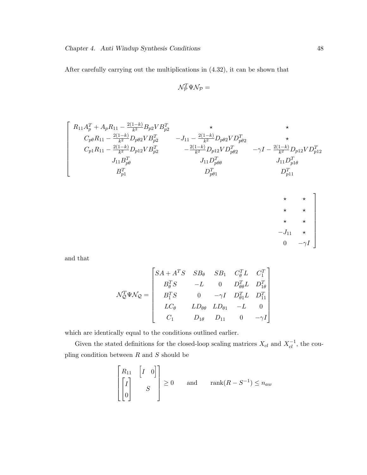After carefully carrying out the multiplications in (4.32), it can be shown that

$$
\mathcal{N}_{\mathcal{P}}^T\Psi \mathcal{N}_{\mathcal{P}}=
$$

$$
\left[ \begin{array}{cccc} R_{11}A_p^T + A_p R_{11} - \frac{2(1-k)}{k^2} B_{p2} V B_{p2}^T & \star & \star \\ C_{p\theta} R_{11} - \frac{2(1-k)}{k^2} D_{p\theta 2} V B_{p2}^T & -J_{11} - \frac{2(1-k)}{k^2} D_{p\theta 2} V D_{p\theta 2}^T & \star \\ C_{p1} R_{11} - \frac{2(1-k)}{k^2} D_{p12} V B_{p2}^T & - \frac{2(1-k)}{k^2} D_{p12} V D_{p\theta 2}^T & -\gamma I - \frac{2(1-k)}{k^2} D_{p12} V D_{p12}^T \\ J_{11}B_{p\theta}^T & J_{11}D_{p\theta\theta}^T & J_{11}D_{p1\theta}^T & \\ B_{p1}^T & D_{p\theta 1}^T & D_{p11}^T & \\ & & \ddots & \\ & & & & \ddots \\ \end{array} \right]
$$

$$
\begin{array}{ccc}\n\star & \star & \star \\
\star & \star & \star \\
\star & \star & \star \\
-J_{11} & \star & \\
0 & -\gamma I\n\end{array}
$$

and that

$$
\mathcal{N}_{\mathcal{Q}}^T \Psi \mathcal{N}_{\mathcal{Q}} = \begin{bmatrix} SA + A^T S & SB_{\theta} & SB_{1} & C_{\theta}^T L & C_{1}^T \\ B_{\theta}^T S & -L & 0 & D_{\theta \theta}^T L & D_{1 \theta}^T \\ B_{1}^T S & 0 & -\gamma I & D_{\theta 1}^T L & D_{11}^T \\ LC_{\theta} & LD_{\theta \theta} & LD_{\theta 1} & -L & 0 \\ C_{1} & D_{1 \theta} & D_{11} & 0 & -\gamma I \end{bmatrix}
$$

which are identically equal to the conditions outlined earlier.

Given the stated definitions for the closed-loop scaling matrices  $X_{cl}$  and  $X_{cl}^{-1}$ , the coupling condition between  $R$  and  $S$  should be

$$
\begin{bmatrix} R_{11} & \begin{bmatrix} I & 0 \end{bmatrix} \\ \begin{bmatrix} I \\ 0 \end{bmatrix} & S \end{bmatrix} \ge 0 \quad \text{and} \quad \text{rank}(R - S^{-1}) \le n_{aw}
$$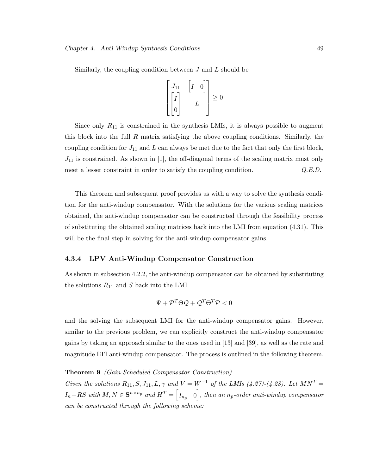Similarly, the coupling condition between J and L should be

$$
\begin{bmatrix} J_{11} & \begin{bmatrix} I & 0 \end{bmatrix} \\ \begin{bmatrix} I \\ 0 \end{bmatrix} & L \end{bmatrix} \geq 0
$$

Since only  $R_{11}$  is constrained in the synthesis LMIs, it is always possible to augment this block into the full R matrix satisfying the above coupling conditions. Similarly, the coupling condition for  $J_{11}$  and L can always be met due to the fact that only the first block,  $J_{11}$  is constrained. As shown in [1], the off-diagonal terms of the scaling matrix must only meet a lesser constraint in order to satisfy the coupling condition.  $Q.E.D.$ 

This theorem and subsequent proof provides us with a way to solve the synthesis condition for the anti-windup compensator. With the solutions for the various scaling matrices obtained, the anti-windup compensator can be constructed through the feasibility process of substituting the obtained scaling matrices back into the LMI from equation (4.31). This will be the final step in solving for the anti-windup compensator gains.

### 4.3.4 LPV Anti-Windup Compensator Construction

As shown in subsection 4.2.2, the anti-windup compensator can be obtained by substituting the solutions  $R_{11}$  and S back into the LMI

$$
\Psi + \mathcal{P}^T \Theta \mathcal{Q} + \mathcal{Q}^T \Theta^T \mathcal{P} < 0
$$

and the solving the subsequent LMI for the anti-windup compensator gains. However, similar to the previous problem, we can explicitly construct the anti-windup compensator gains by taking an approach similar to the ones used in [13] and [39], as well as the rate and magnitude LTI anti-windup compensator. The process is outlined in the following theorem.

### Theorem 9 (Gain-Scheduled Compensator Construction)

Given the solutions  $R_{11}, S, J_{11}, L, \gamma$  and  $V = W^{-1}$  of the LMIs (4.27)-(4.28). Let  $MN^T =$  $I_n-RS$  with  $M,N\in{\bf S}^{n\times n_p}$  and  $H^T=\begin{bmatrix}I_{n_p}&0\end{bmatrix}$ , then an  $n_p$ -order anti-windup compensator can be constructed through the following scheme: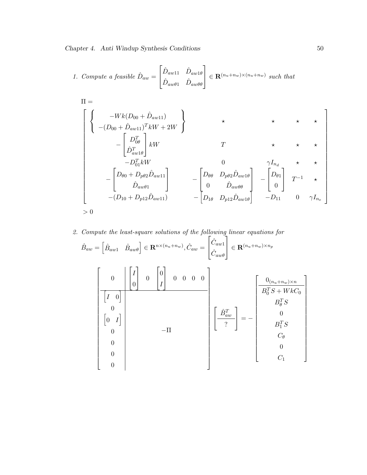1. Compute a feasible 
$$
\hat{D}_{aw} = \begin{bmatrix} \hat{D}_{aw11} & \hat{D}_{aw1\theta} \\ \hat{D}_{aw\theta1} & \hat{D}_{aw\theta\theta} \end{bmatrix} \in \mathbf{R}^{(n_u + n_w) \times (n_u + n_w)}
$$
 such that

$$
\Pi = \left[\begin{array}{c} -Wk(D_{00} + \hat{D}_{aw11}) \\ (-(D_{00} + \hat{D}_{aw11})^T kW + 2W \end{array}\right] \times \left[\begin{array}{ccc} \star & \star & \star & \star \\ \star & \star & \star & \star \\ -\begin{bmatrix} D_{00}^T \\ \hat{D}_{aw1\theta}^T \end{bmatrix} kW & T & \star & \star & \star \\ -D_{01}^T kW & 0 & \gamma I_{n_d} & \star & \star \\ -\begin{bmatrix} D_{\theta0} + D_{p\theta 2} \hat{D}_{aw11} \\ \hat{D}_{aw\theta 1} \end{bmatrix} & -\begin{bmatrix} D_{\theta\theta} & D_{p\theta 2} \hat{D}_{aw1\theta} \\ 0 & \hat{D}_{aw\theta \theta} \\ - (D_{10} + D_{p12} \hat{D}_{aw11}) & -\begin{bmatrix} D_{1\theta} & D_{p12} \hat{D}_{aw1\theta} \\ D_{1\theta} & D_{p12} \hat{D}_{aw1\theta} \end{bmatrix} & -D_{11} & 0 & \gamma I_{n_e} \end{array}\right]
$$

#### 2. Compute the least-square solutions of the following linear equations for u<br>יי  $\vec{r}$

$$
\hat{B}_{aw} = \begin{bmatrix} \hat{B}_{aw1} & \hat{B}_{aw\theta} \end{bmatrix} \in \mathbf{R}^{n \times (n_u + n_w)}, \hat{C}_{aw} = \begin{bmatrix} \hat{C}_{aw1} \\ \hat{C}_{aw\theta} \end{bmatrix} \in \mathbf{R}^{(n_u + n_w) \times n_p}
$$
\n
$$
\begin{bmatrix} 0 & 0 & 0 & 0 \\ 0 & 0 & 0 & 0 \\ 0 & 0 & 0 & 0 \\ 0 & 0 & 0 & 0 \\ 0 & 0 & 0 & 0 \\ 0 & 0 & 0 & 0 \\ 0 & 0 & 0 & 0 \\ 0 & 0 & 0 & 0 \\ 0 & 0 & 0 & 0 \\ 0 & 0 & 0 & 0 \\ 0 & 0 & 0 & 0 \\ 0 & 0 & 0 & 0 \\ 0 & 0 & 0 & 0 \\ 0 & 0 & 0 & 0 \\ 0 & 0 & 0 & 0 \\ 0 & 0 & 0 & 0 \\ 0 & 0 & 0 & 0 \\ 0 & 0 & 0 & 0 \\ 0 & 0 & 0 & 0 \\ 0 & 0 & 0 & 0 \\ 0 & 0 & 0 & 0 \\ 0 & 0 & 0 & 0 \\ 0 & 0 & 0 & 0 \\ 0 & 0 & 0 & 0 \\ 0 & 0 & 0 & 0 \\ 0 & 0 & 0 & 0 \\ 0 & 0 & 0 & 0 \\ 0 & 0 & 0 & 0 \\ 0 & 0 & 0 & 0 \\ 0 & 0 & 0 & 0 \\ 0 & 0 & 0 & 0 \\ 0 & 0 & 0 & 0 \\ 0 & 0 & 0 & 0 \\ 0 & 0 & 0 & 0 \\ 0 & 0 & 0 & 0 \\ 0 & 0 & 0 & 0 \\ 0 & 0 & 0 & 0 & 0 \\ 0 & 0 & 0 & 0 & 0 \\ 0 & 0 & 0 & 0 & 0 \\ 0 & 0 & 0 & 0 & 0 \\ 0 & 0 & 0 & 0 & 0 \\ 0 & 0 & 0 & 0 & 0 \\ 0 & 0 & 0 & 0 & 0 \\ 0 & 0 & 0 & 0 & 0 \\ 0 & 0 & 0 & 0 & 0 \\ 0 & 0 & 0 & 0 & 0 \\ 0 & 0 & 0 & 0 & 0 \\ 0 & 0 & 0 & 0 & 0 \\ 0 & 0 & 0 & 0 & 0 \\ 0 &
$$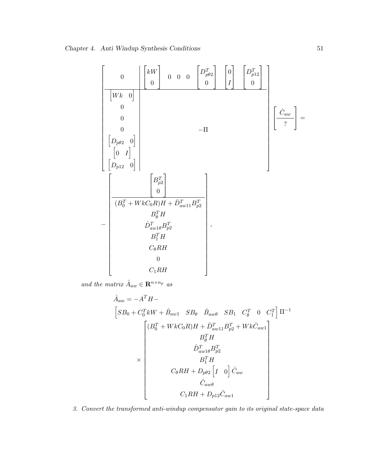0 kW 0 0 0 0 D<sup>T</sup> pθ2 0 0 I D<sup>T</sup> p12 0 h W k 0 i 0 0 0 h Dpθ<sup>2</sup> 0 i h 0 I i h Dp<sup>12</sup> 0 i −Π Cˆ aw ? = − B<sup>T</sup> p2 0 (B<sup>T</sup> <sup>0</sup> <sup>+</sup> W kC0R)<sup>H</sup> <sup>+</sup> <sup>D</sup><sup>ˆ</sup> <sup>T</sup> aw11B<sup>T</sup> p2 B<sup>T</sup> <sup>θ</sup> H Dˆ <sup>T</sup> aw1θB<sup>T</sup> p2 B<sup>T</sup> <sup>1</sup> H CθRH 0 C1RH ,

and the matrix  $\hat{A}_{aw} \in \mathbf{R}^{n \times n_p}$  as

$$
\hat{A}_{aw} = -A^{T}H -
$$
\n
$$
\begin{bmatrix}\nSB_{0} + C_{0}^{T}kW + \hat{B}_{aw1} & SB_{\theta} & \hat{B}_{aw\theta} & SB_{1} & C_{\theta}^{T} & 0 & C_{1}^{T}\n\end{bmatrix}\n\Pi^{-1}
$$
\n
$$
\times \begin{bmatrix}\n(B_{0}^{T} + WkC_{0}R)H + \hat{D}_{aw11}^{T}B_{p2}^{T} + Wk\hat{C}_{aw1} \\
B_{\theta}^{T}H & \hat{D}_{aw1\theta}^{T}B_{p2}^{T} \\
B_{1}^{T}H & \hat{C}_{\theta}RH + D_{p\theta 2} \left[I & 0\right]\hat{C}_{aw} \\
\hat{C}_{aw\theta} & \hat{C}_{aw\theta} \\
C_{1}RH + D_{p12}\hat{C}_{aw1}\n\end{bmatrix}
$$

3. Convert the transformed anti-windup compensator gain to its original state-space data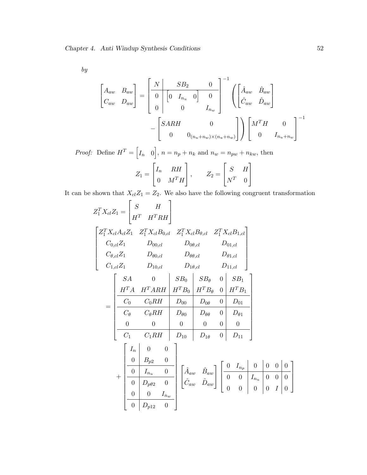$\boldsymbol{by}$ 

$$
\begin{bmatrix}\nA_{aw} & B_{aw} \\
C_{aw} & D_{aw}\n\end{bmatrix} = \begin{bmatrix}\nN & SB_2 & 0 \\
0 & 0 & I_{n_u} & 0 \\
0 & 0 & I_{n_w}\n\end{bmatrix}^{-1} \begin{bmatrix}\n\hat{A}_{aw} & \hat{B}_{aw} \\
\hat{C}_{aw} & \hat{D}_{aw}\n\end{bmatrix}
$$
\n
$$
- \begin{bmatrix}\nSARM & 0 \\
0 & 0_{(n_u + n_w)\times(n_u + n_w)}\n\end{bmatrix} \begin{bmatrix}\nM^TH & 0 \\
0 & I_{n_u + n_w}\n\end{bmatrix}^{-1}
$$

*Proof:* Define  $H^T =$  $I_n \quad 0$ ,  $n = n_p + n_k$  and  $n_w = n_{pw} + n_{kw}$ , then  $\ddot{r}$  and  $\ddot{r}$  and  $\ddot{r}$ 

$$
Z_1 = \begin{bmatrix} I_n & RH \\ 0 & M^T H \end{bmatrix}, \qquad Z_2 = \begin{bmatrix} S & H \\ N^T & 0 \end{bmatrix}
$$

It can be shown that  $X_{cl}Z_1 = Z_2$ . We also have the following congruent transformation

$$
Z_1^T X_{cl} Z_1 = \begin{bmatrix} S & H \\ H^T & H^T R H \end{bmatrix}
$$
  
\n
$$
Z_1^T X_{cl} A_{cl} Z_1 Z_1^T X_{cl} B_{0,cl} Z_1^T X_{cl} B_{\theta,cl} Z_1^T X_{cl} B_{1,cl}
$$
  
\n
$$
C_{0,cl} Z_1 D_{00,cl} D_{00,cl} D_{0\theta,cl} D_{01,cl}
$$
  
\n
$$
C_{1,cl} Z_1 D_{10,cl} D_{10,cl} D_{10,cl} D_{11,cl}
$$
  
\n
$$
= \begin{bmatrix} SA & 0 & SB_0 & SB_0 & SB_1 \\ H^T A & H^T R R H & H^T B_0 & H^T B_0 & 0 & SB_1 \\ \hline C_0 & C_0 R H & D_{00} & D_{0\theta} & 0 & D_{01} \\ \hline C_0 & C_0 R H & D_{00} & D_{0\theta} & 0 & D_{01} \\ 0 & 0 & 0 & 0 & 0 & 0 \\ \hline C_1 & C_1 R H & D_{10} & D_{1\theta} & 0 & D_{11} \end{bmatrix}
$$
  
\n
$$
+ \begin{bmatrix} I_n & 0 & 0 \\ 0 & B_{p2} & 0 \\ 0 & 0 & I_{n_u} & 0 \\ \hline 0 & D_{p\theta 2} & 0 \\ 0 & 0 & I_{n_w} \end{bmatrix} \begin{bmatrix} \hat{A}_{aw} & \hat{B}_{aw} \\ \hat{C}_{aw} & \hat{D}_{aw} \end{bmatrix} \begin{bmatrix} 0 & I_{n_p} & 0 & 0 & 0 \\ 0 & 0 & I_{n_q} & 0 & 0 \\ 0 & 0 & 0 & 0 & 0 \\ 0 & 0 & 0 & 0 & 0 \\ 0 & 0 & 0 & 0 & 0 \end{bmatrix}
$$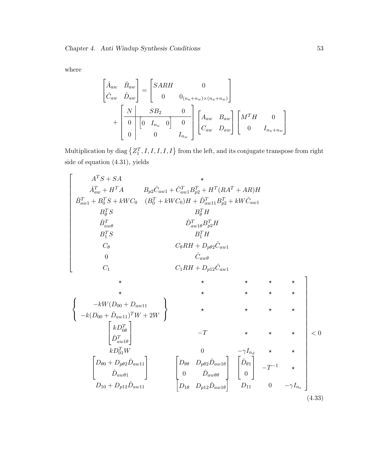where

$$
\begin{bmatrix}\n\hat{A}_{aw} & \hat{B}_{aw} \\
\hat{C}_{aw} & \hat{D}_{aw}\n\end{bmatrix} =\n\begin{bmatrix}\nSARM & 0 \\
0 & 0_{(n_u+n_w)\times(n_u+n_w)}\n\end{bmatrix} \\
+ \begin{bmatrix}\nN & SB_2 & 0 \\
0 & 0 & 0 \\
0 & 0 & I_{n_w}\n\end{bmatrix}\n\begin{bmatrix}\nA_{aw} & B_{aw} \\
C_{aw} & D_{aw}\n\end{bmatrix}\n\begin{bmatrix}\nM^TH & 0 \\
0 & I_{n_u+n_w}\n\end{bmatrix}
$$

Multiplication by diag  $\{Z_1^T, I, I, I, I, I\}$  from the left, and its conjugate transpose from right side of equation (4.31), yields

$$
\left\{\begin{array}{c} A^T S + SA & \star \\ \hat{A}^T_{aw} + H^T A & B_{p2} \hat{C}_{aw1} + \hat{C}^T_{aw1} B_{p2}^T + H^T (RA^T + AR) H \\ \hat{B}^T_{aw1} + B_0^T S + kWC_0 & (B_0^T + kWC_0) H + \hat{D}^T_{aw1} B_{p2}^T + kW \hat{C}_{aw1} \\ B_0^T S & B_0^T H \\ \hat{B}^T_{aw\theta} & \hat{D}^T_{aw1\theta} B_{p2}^T H \\ B_1^T S & B_1^T H \\ C_\theta & C_\theta R H + D_{p\theta 2} \hat{C}_{aw1} \\ 0 & \hat{C}_{aw\theta} \\ C_1 & C_1 R H + D_{p12} \hat{C}_{aw1} \\ \star & \star & \star & \star & \star \\ \left\{\begin{array}{c} -kW (D_{00} + D_{aw11}) \\ -k(D_{00} + \hat{D}_{aw11})^T W + 2W \\ \hat{D}^T_{aw\theta} \end{array}\right\} & \star & \star & \star & \star & \star \\ \star & \star & \star & \star & \star \\ \left\{\begin{array}{c} -kW (D_{00} + D_{aw11}) & \star \\ kD_{00}^T W \\ kD_{01}^T W \end{array}\right\} & \begin{array}{c} -T & \star & \star & \star \\ \star & \star & \star & \star \\ 0 & \hat{D}_{aw\theta \theta} \end{array}\right\} & < 0 \\ \left[D_{\theta 0}^T + D_{\theta 2} \hat{D}_{aw11} \right] & \left[D_{\theta \theta} \begin{array}{c} D_{\theta 0} D_{\theta 2} \hat{D}_{aw1 \theta} \\ D_{\theta 0} D_{\theta 2} \hat{D}_{aw1 \theta} \end{array}\right] & \left[D_{\theta 1} \begin{array}{c} D_{\theta 1} \\ D_{\theta 1} \end{array}\right] & -T^{-1} \star \\ D_{10} + D_{p12} \hat{D}_{aw11} & D_{11} \end{array} \tag{4.33}
$$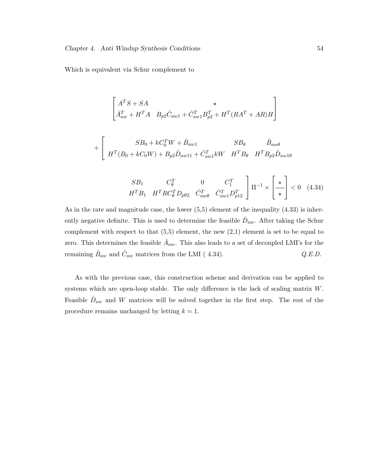Which is equivalent via Schur complement to

$$
\begin{bmatrix}\nA^T S + SA & \star \\
\hat{A}_{aw}^T + H^T A & B_{p2} \hat{C}_{aw1} + \hat{C}_{aw1}^T B_{p2}^T + H^T (RA^T + AR)H\n\end{bmatrix}
$$

$$
+ \left[ \begin{array}{cc} SB_0 + kC_0^TW + \hat{B}_{aw1} & SB_\theta & \hat{B}_{aw\theta} \\ H^T(B_0 + kC_0W) + B_{p2}\hat{D}_{aw11} + \hat{C}_{aw1}^T kW & H^TB_\theta & H^TB_{p2}\hat{D}_{aw1\theta} \end{array} \right.
$$

$$
\begin{array}{ccc}\nSB_1 & C_\theta^T & 0 & C_1^T \\
H^T B_1 & H^T R C_\theta^T D_{\rho \theta 2} & \hat{C}_{aw\theta}^T & \hat{C}_{aw1}^T D_{p12}^T\n\end{array}\n\begin{bmatrix}\n\end{bmatrix}\n\Pi^{-1} \times \begin{bmatrix}\n\star \\
\star\n\end{bmatrix} < 0 \quad (4.34)
$$

 $\overline{r}$ 

 $\overline{a}$ 

As in the rate and magnitude case, the lower (5,5) element of the inequality (4.33) is inherently negative definite. This is used to determine the feasible  $\hat{D}_{aw}$ . After taking the Schur complement with respect to that  $(5,5)$  element, the new  $(2,1)$  element is set to be equal to zero. This determines the feasible  $\hat{A}_{aw}$ . This also leads to a set of decoupled LMI's for the remaining  $\hat{B}_{aw}$  and  $\hat{C}_{aw}$  matrices from the LMI (4.34).  $Q.E.D.$ 

As with the previous case, this construction scheme and derivation can be applied to systems which are open-loop stable. The only difference is the lack of scaling matrix W. Feasible  $\hat{D}_{aw}$  and W matrices will be solved together in the first step. The rest of the procedure remains unchanged by letting  $k = 1$ .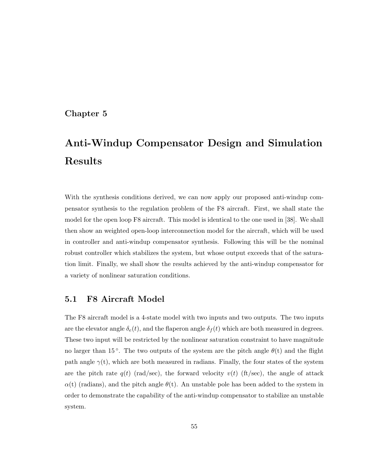# Chapter 5

# Anti-Windup Compensator Design and Simulation Results

With the synthesis conditions derived, we can now apply our proposed anti-windup compensator synthesis to the regulation problem of the F8 aircraft. First, we shall state the model for the open loop F8 aircraft. This model is identical to the one used in [38]. We shall then show an weighted open-loop interconnection model for the aircraft, which will be used in controller and anti-windup compensator synthesis. Following this will be the nominal robust controller which stabilizes the system, but whose output exceeds that of the saturation limit. Finally, we shall show the results achieved by the anti-windup compensator for a variety of nonlinear saturation conditions.

# 5.1 F8 Aircraft Model

The F8 aircraft model is a 4-state model with two inputs and two outputs. The two inputs are the elevator angle  $\delta_e(t)$ , and the flaperon angle  $\delta_f(t)$  which are both measured in degrees. These two input will be restricted by the nonlinear saturation constraint to have magnitude no larger than 15<sup>°</sup>. The two outputs of the system are the pitch angle  $\theta(t)$  and the flight path angle  $\gamma(t)$ , which are both measured in radians. Finally, the four states of the system are the pitch rate  $q(t)$  (rad/sec), the forward velocity  $v(t)$  (ft/sec), the angle of attack  $\alpha(t)$  (radians), and the pitch angle  $\theta(t)$ . An unstable pole has been added to the system in order to demonstrate the capability of the anti-windup compensator to stabilize an unstable system.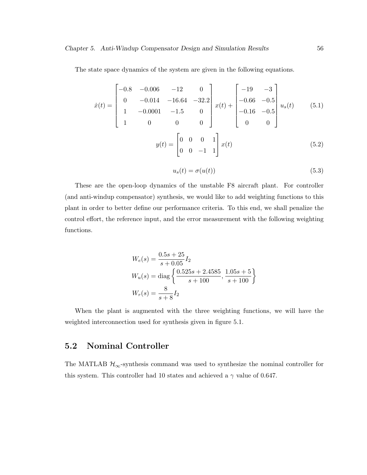The state space dynamics of the system are given in the following equations.

$$
\dot{x}(t) = \begin{bmatrix} -0.8 & -0.006 & -12 & 0 \\ 0 & -0.014 & -16.64 & -32.2 \\ 1 & -0.0001 & -1.5 & 0 \\ 1 & 0 & 0 & 0 \end{bmatrix} x(t) + \begin{bmatrix} -19 & -3 \\ -0.66 & -0.5 \\ -0.16 & -0.5 \\ 0 & 0 \end{bmatrix} u_s(t) \qquad (5.1)
$$

$$
y(t) = \begin{bmatrix} 0 & 0 & 0 & 1 \\ 0 & 0 & -1 & 1 \end{bmatrix} x(t) \qquad (5.2)
$$

$$
u_s(t) = \sigma(u(t))\tag{5.3}
$$

These are the open-loop dynamics of the unstable F8 aircraft plant. For controller (and anti-windup compensator) synthesis, we would like to add weighting functions to this plant in order to better define our performance criteria. To this end, we shall penalize the control effort, the reference input, and the error measurement with the following weighting functions.

$$
W_e(s) = \frac{0.5s + 25}{s + 0.05} I_2
$$
  
\n
$$
W_u(s) = \text{diag}\left\{\frac{0.525s + 2.4585}{s + 100}, \frac{1.05s + 5}{s + 100}\right\}
$$
  
\n
$$
W_r(s) = \frac{8}{s + 8} I_2
$$

When the plant is augmented with the three weighting functions, we will have the weighted interconnection used for synthesis given in figure 5.1.

# 5.2 Nominal Controller

The MATLAB  $\mathcal{H}_{\infty}$ -synthesis command was used to synthesize the nominal controller for this system. This controller had 10 states and achieved a  $\gamma$  value of 0.647.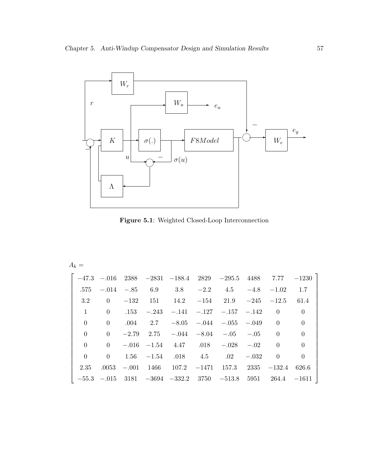

Figure 5.1: Weighted Closed-Loop Interconnection

|  |  |  | $\vert$ -47.3 -.016 2388 -2831 -188.4 2829 -295.5 4488 7.77 -1230 $\vert$                                                       |  |  |
|--|--|--|---------------------------------------------------------------------------------------------------------------------------------|--|--|
|  |  |  | $.575$ $-.014$ $-.85$ $6.9$ $3.8$ $-2.2$ $4.5$ $-4.8$ $-1.02$ $1.7$                                                             |  |  |
|  |  |  | 3.2 0 $-132$ 151 14.2 $-154$ 21.9 $-245$ $-12.5$ 61.4                                                                           |  |  |
|  |  |  | 1 0 .153 $-.243$ $-.141$ $-.127$ $-.157$ $-.142$ 0 0                                                                            |  |  |
|  |  |  | 0 0 .004 2.7 $-8.05$ $-0.04$ $-0.05$ $-0.049$ 0 0                                                                               |  |  |
|  |  |  | 0 0 -2.79 2.75 -.044 -8.04 -.05 -.05 0 0                                                                                        |  |  |
|  |  |  | 0 0 -0.016 -1.54 4.47 .018 -0.028 -0.02 0 0                                                                                     |  |  |
|  |  |  | 0 0 1.56 $-1.54$ .018 4.5 .02 $-0.032$ 0 0                                                                                      |  |  |
|  |  |  | $2.35$ $.0053$ $-.001$ $1466$ $107.2$ $-1471$ $157.3$ $2335$ $-132.4$ 626.6                                                     |  |  |
|  |  |  | $\vert -55.3 \vert -0.015 \vert 3181 \vert -3694 \vert -332.2 \vert 3750 \vert -513.8 \vert 5951 \vert 264.4 \vert -1611 \vert$ |  |  |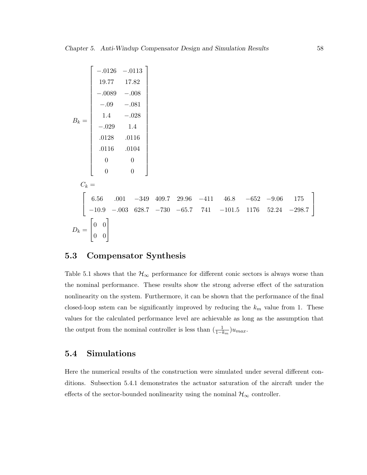$$
B_k = \begin{bmatrix} -.0126 & -.0113 \\ 19.77 & 17.82 \\ -.0089 & -.008 \\ -.009 & -.081 \\ 1.4 & -.028 \\ -.029 & 1.4 \\ .0116 & .0104 \\ 0 & 0 & 0 \\ 0 & 0 & 0 \end{bmatrix}
$$
  

$$
C_k = \begin{bmatrix} 6.56 & .001 & -349 & 409.7 & 29.96 & -411 & 46.8 & -652 & -9.06 & 175 \\ -10.9 & -.003 & 628.7 & -730 & -65.7 & 741 & -101.5 & 1176 & 52.24 & -298.7 \\ 0 & 0 & 0 & 0 & 0 & 0 \end{bmatrix}
$$
  

$$
D_k = \begin{bmatrix} 0 & 0 \\ 0 & 0 \\ 0 & 0 \end{bmatrix}
$$

# 5.3 Compensator Synthesis

Table 5.1 shows that the  $\mathcal{H}_{\infty}$  performance for different conic sectors is always worse than the nominal performance. These results show the strong adverse effect of the saturation nonlinearity on the system. Furthermore, it can be shown that the performance of the final closed-loop sstem can be significantly improved by reducing the  $k_m$  value from 1. These values for the calculated performance level are achievable as long as the assumption that the output from the nominal controller is less than  $(\frac{1}{1-k_m})u_{max}$ .

# 5.4 Simulations

Here the numerical results of the construction were simulated under several different conditions. Subsection 5.4.1 demonstrates the actuator saturation of the aircraft under the effects of the sector-bounded nonlinearity using the nominal  $\mathcal{H}_{\infty}$  controller.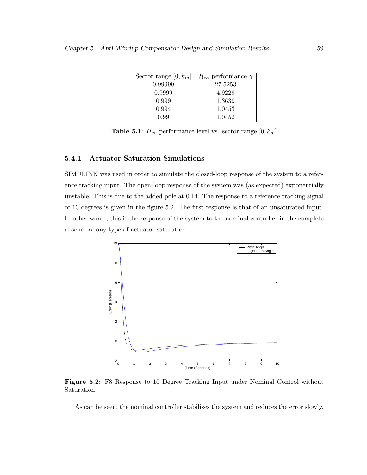| Sector range $[0, k_m]$ | $\mathcal{H}_{\infty}$ performance $\gamma$ |
|-------------------------|---------------------------------------------|
| 0.99999                 | 27.5253                                     |
| 0.9999                  | 4.9229                                      |
| 0.999                   | 1.3639                                      |
| 0.994                   | 1.0453                                      |
| N 99                    | 1.0452                                      |

**Table 5.1**:  $H_{\infty}$  performance level vs. sector range  $[0, k_m]$ 

## 5.4.1 Actuator Saturation Simulations

SIMULINK was used in order to simulate the closed-loop response of the system to a reference tracking input. The open-loop response of the system was (as expected) exponentially unstable. This is due to the added pole at 0.14. The response to a reference tracking signal of 10 degrees is given in the figure 5.2. The first response is that of an unsaturated input. In other words, this is the response of the system to the nominal controller in the complete absence of any type of actuator saturation.



Figure 5.2: F8 Response to 10 Degree Tracking Input under Nominal Control without Saturation

As can be seen, the nominal controller stabilizes the system and reduces the error slowly,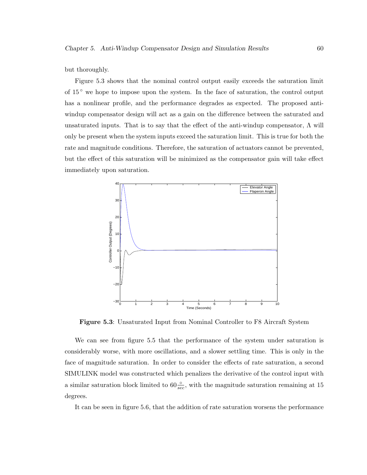but thoroughly.

Figure 5.3 shows that the nominal control output easily exceeds the saturation limit of 15 ◦ we hope to impose upon the system. In the face of saturation, the control output has a nonlinear profile, and the performance degrades as expected. The proposed antiwindup compensator design will act as a gain on the difference between the saturated and unsaturated inputs. That is to say that the effect of the anti-windup compensator,  $\Lambda$  will only be present when the system inputs exceed the saturation limit. This is true for both the rate and magnitude conditions. Therefore, the saturation of actuators cannot be prevented, but the effect of this saturation will be minimized as the compensator gain will take effect immediately upon saturation.



Figure 5.3: Unsaturated Input from Nominal Controller to F8 Aircraft System

We can see from figure 5.5 that the performance of the system under saturation is considerably worse, with more oscillations, and a slower settling time. This is only in the face of magnitude saturation. In order to consider the effects of rate saturation, a second SIMULINK model was constructed which penalizes the derivative of the control input with a similar saturation block limited to  $60\frac{8}{sec}$ , with the magnitude saturation remaining at 15 degrees.

It can be seen in figure 5.6, that the addition of rate saturation worsens the performance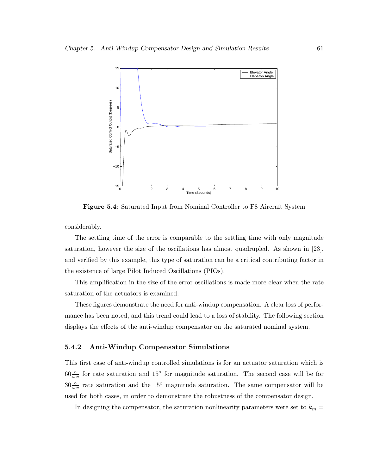

Figure 5.4: Saturated Input from Nominal Controller to F8 Aircraft System

considerably.

The settling time of the error is comparable to the settling time with only magnitude saturation, however the size of the oscillations has almost quadrupled. As shown in [23], and verified by this example, this type of saturation can be a critical contributing factor in the existence of large Pilot Induced Oscillations (PIOs).

This amplification in the size of the error oscillations is made more clear when the rate saturation of the actuators is examined.

These figures demonstrate the need for anti-windup compensation. A clear loss of performance has been noted, and this trend could lead to a loss of stability. The following section displays the effects of the anti-windup compensator on the saturated nominal system.

# 5.4.2 Anti-Windup Compensator Simulations

This first case of anti-windup controlled simulations is for an actuator saturation which is  $60\frac{6}{\sec}$  for rate saturation and  $15^{\circ}$  for magnitude saturation. The second case will be for  $30\frac{0}{sec}$  rate saturation and the 15° magnitude saturation. The same compensator will be used for both cases, in order to demonstrate the robustness of the compensator design.

In designing the compensator, the saturation nonlinearity parameters were set to  $k_m =$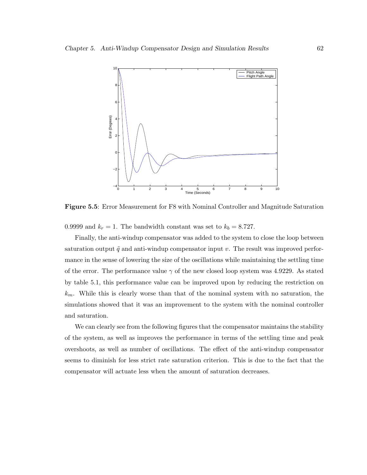

Figure 5.5: Error Measurement for F8 with Nominal Controller and Magnitude Saturation

0.9999 and  $k_r = 1$ . The bandwidth constant was set to  $k_b = 8.727$ .

Finally, the anti-windup compensator was added to the system to close the loop between saturation output  $\tilde{q}$  and anti-windup compensator input v. The result was improved performance in the sense of lowering the size of the oscillations while maintaining the settling time of the error. The performance value  $\gamma$  of the new closed loop system was 4.9229. As stated by table 5.1, this performance value can be improved upon by reducing the restriction on  $k_m$ . While this is clearly worse than that of the nominal system with no saturation, the simulations showed that it was an improvement to the system with the nominal controller and saturation.

We can clearly see from the following figures that the compensator maintains the stability of the system, as well as improves the performance in terms of the settling time and peak overshoots, as well as number of oscillations. The effect of the anti-windup compensator seems to diminish for less strict rate saturation criterion. This is due to the fact that the compensator will actuate less when the amount of saturation decreases.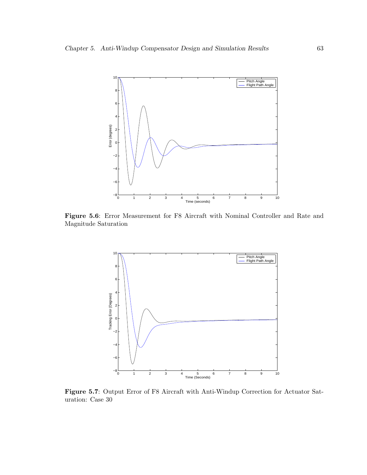

Figure 5.6: Error Measurement for F8 Aircraft with Nominal Controller and Rate and Magnitude Saturation



Figure 5.7: Output Error of F8 Aircraft with Anti-Windup Correction for Actuator Saturation: Case 30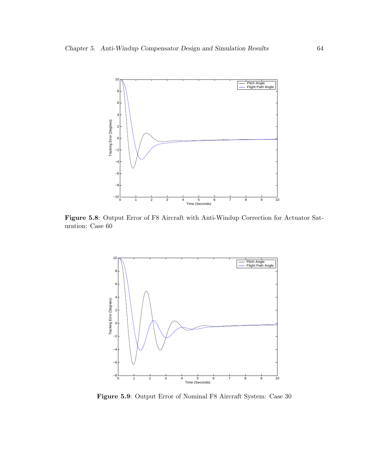

Figure 5.8: Output Error of F8 Aircraft with Anti-Windup Correction for Actuator Saturation: Case 60



Figure 5.9: Output Error of Nominal F8 Aircraft System: Case 30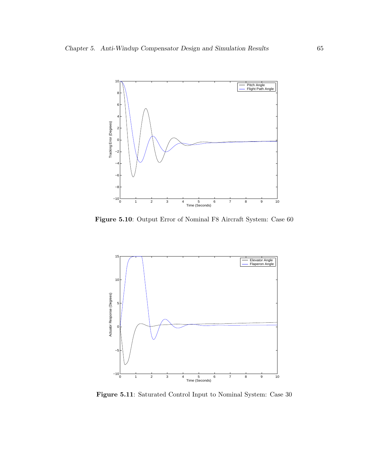

Figure 5.10: Output Error of Nominal F8 Aircraft System: Case 60



Figure 5.11: Saturated Control Input to Nominal System: Case 30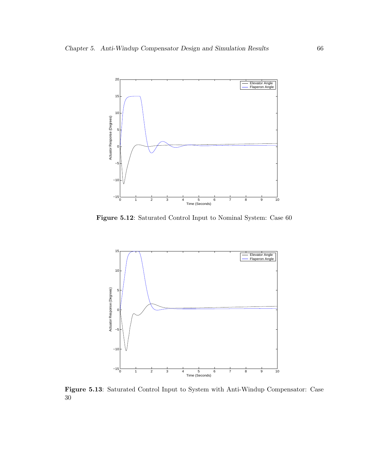

Figure 5.12: Saturated Control Input to Nominal System: Case 60



Figure 5.13: Saturated Control Input to System with Anti-Windup Compensator: Case 30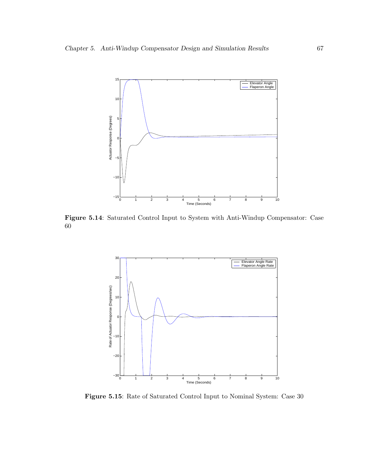

Figure 5.14: Saturated Control Input to System with Anti-Windup Compensator: Case 60



Figure 5.15: Rate of Saturated Control Input to Nominal System: Case 30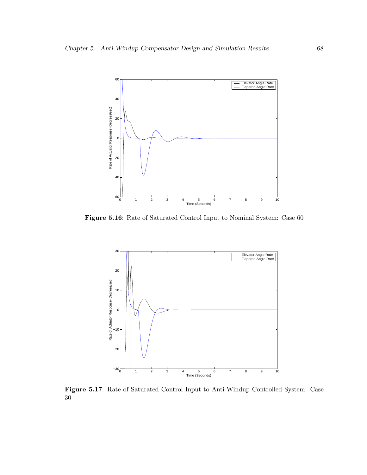

Figure 5.16: Rate of Saturated Control Input to Nominal System: Case 60



Figure 5.17: Rate of Saturated Control Input to Anti-Windup Controlled System: Case 30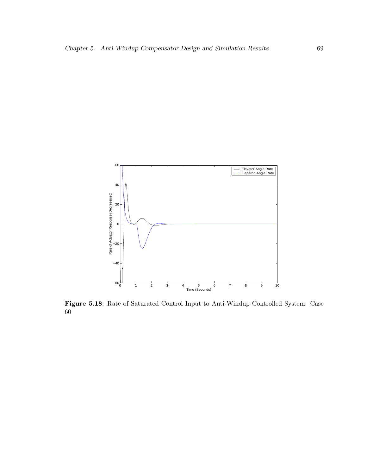

Figure 5.18: Rate of Saturated Control Input to Anti-Windup Controlled System: Case 60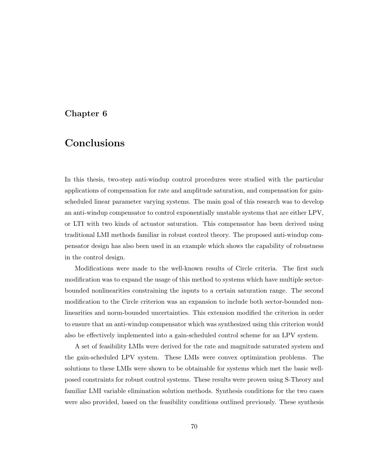## Chapter 6

## Conclusions

In this thesis, two-step anti-windup control procedures were studied with the particular applications of compensation for rate and amplitude saturation, and compensation for gainscheduled linear parameter varying systems. The main goal of this research was to develop an anti-windup compensator to control exponentially unstable systems that are either LPV, or LTI with two kinds of actuator saturation. This compensator has been derived using traditional LMI methods familiar in robust control theory. The proposed anti-windup compensator design has also been used in an example which shows the capability of robustness in the control design.

Modifications were made to the well-known results of Circle criteria. The first such modification was to expand the usage of this method to systems which have multiple sectorbounded nonlinearities constraining the inputs to a certain saturation range. The second modification to the Circle criterion was an expansion to include both sector-bounded nonlinearities and norm-bounded uncertainties. This extension modified the criterion in order to ensure that an anti-windup compensator which was synthesized using this criterion would also be effectively implemented into a gain-scheduled control scheme for an LPV system.

A set of feasibility LMIs were derived for the rate and magnitude saturated system and the gain-scheduled LPV system. These LMIs were convex optimization problems. The solutions to these LMIs were shown to be obtainable for systems which met the basic wellposed constraints for robust control systems. These results were proven using S-Theory and familiar LMI variable elimination solution methods. Synthesis conditions for the two cases were also provided, based on the feasibility conditions outlined previously. These synthesis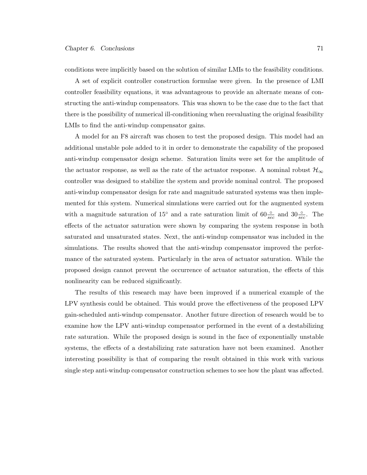conditions were implicitly based on the solution of similar LMIs to the feasibility conditions.

A set of explicit controller construction formulae were given. In the presence of LMI controller feasibility equations, it was advantageous to provide an alternate means of constructing the anti-windup compensators. This was shown to be the case due to the fact that there is the possibility of numerical ill-conditioning when reevaluating the original feasibility LMIs to find the anti-windup compensator gains.

A model for an F8 aircraft was chosen to test the proposed design. This model had an additional unstable pole added to it in order to demonstrate the capability of the proposed anti-windup compensator design scheme. Saturation limits were set for the amplitude of the actuator response, as well as the rate of the actuator response. A nominal robust  $\mathcal{H}_{\infty}$ controller was designed to stabilize the system and provide nominal control. The proposed anti-windup compensator design for rate and magnitude saturated systems was then implemented for this system. Numerical simulations were carried out for the augmented system with a magnitude saturation of 15<sup>°</sup> and a rate saturation limit of  $60\frac{°}{sec}$  and  $30\frac{°}{sec}$ . The effects of the actuator saturation were shown by comparing the system response in both saturated and unsaturated states. Next, the anti-windup compensator was included in the simulations. The results showed that the anti-windup compensator improved the performance of the saturated system. Particularly in the area of actuator saturation. While the proposed design cannot prevent the occurrence of actuator saturation, the effects of this nonlinearity can be reduced significantly.

The results of this research may have been improved if a numerical example of the LPV synthesis could be obtained. This would prove the effectiveness of the proposed LPV gain-scheduled anti-windup compensator. Another future direction of research would be to examine how the LPV anti-windup compensator performed in the event of a destabilizing rate saturation. While the proposed design is sound in the face of exponentially unstable systems, the effects of a destabilizing rate saturation have not been examined. Another interesting possibility is that of comparing the result obtained in this work with various single step anti-windup compensator construction schemes to see how the plant was affected.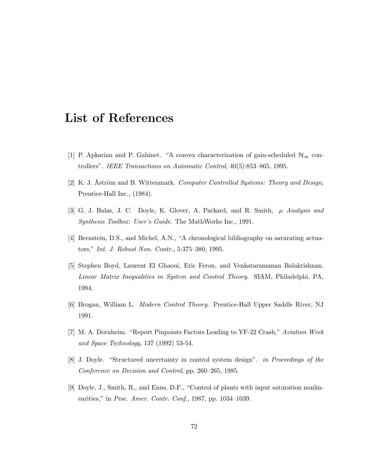## List of References

- [1] P. Apkarian and P. Gahinet. "A convex characterization of gain-scheduled  $\mathcal{H}_{\infty}$  controllers". IEEE Transactions on Automatic Control, 40(5):853–865, 1995.
- [2] K. J. Åström and B. Wittenmark. Computer Controlled Systems: Theory and Design, Prentice-Hall Inc., (1984).
- [3] G. J. Balas, J. C. Doyle, K. Glover, A. Packard, and R. Smith, µ Analysis and Synthesis Toolbox: User's Guide. The MathWorks Inc., 1991.
- [4] Bernstein, D.S., and Michel, A.N., "A chronological bibliography on saturating actuators," Int. J. Robust Non. Contr., 5:375–380, 1995.
- [5] Stephen Boyd, Laurent El Ghaoui, Eric Feron, and Venkataramanan Balakrishnan. Linear Matrix Inequalities in System and Control Theory. SIAM, Philadelphi, PA, 1994.
- [6] Brogan, William L. Modern Control Theory. Prentice-Hall Upper Saddle River, NJ 1991.
- [7] M. A. Dornheim. "Report Pinpoints Factors Leading to YF-22 Crash," Aviation Week and Space Technology, 137 (1992) 53-54.
- [8] J. Doyle. "Structured uncertainty in control system design". in Proceedings of the Conference on Decision and Control, pp. 260–265, 1985.
- [9] Doyle, J., Smith, R., and Enns, D.F., "Control of plants with input saturation nonlinearities," in Proc. Amer. Contr. Conf., 1987, pp. 1034–1039.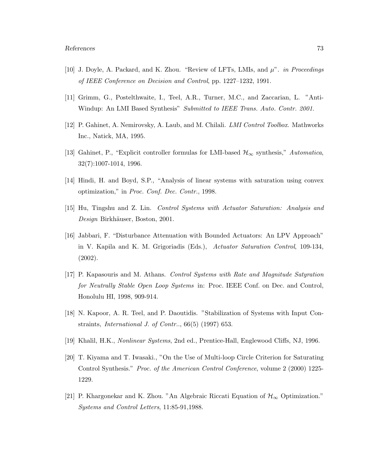- [10] J. Doyle, A. Packard, and K. Zhou. "Review of LFTs, LMIs, and  $\mu$ ". *in Proceedings* of IEEE Conference on Decision and Control, pp. 1227–1232, 1991.
- [11] Grimm, G., Postelthwaite, I., Teel, A.R., Turner, M.C., and Zaccarian, L. "Anti-Windup: An LMI Based Synthesis" Submitted to IEEE Trans. Auto. Contr. 2001.
- [12] P. Gahinet, A. Nemirovsky, A. Laub, and M. Chilali. LMI Control Toolbox. Mathworks Inc., Natick, MA, 1995.
- [13] Gahinet, P., "Explicit controller formulas for LMI-based  $\mathcal{H}_{\infty}$  synthesis," Automatica, 32(7):1007-1014, 1996.
- [14] Hindi, H. and Boyd, S.P., "Analysis of linear systems with saturation using convex optimization," in Proc. Conf. Dec. Contr., 1998.
- [15] Hu, Tingshu and Z. Lin. Control Systems with Actuator Saturation: Analysis and Design Birkhäuser, Boston, 2001.
- [16] Jabbari, F. "Disturbance Attenuation with Bounded Actuators: An LPV Approach" in V. Kapila and K. M. Grigoriadis (Eds.), Actuator Saturation Control, 109-134, (2002).
- [17] P. Kapasouris and M. Athans. Control Systems with Rate and Magnitude Satyration for Neutrally Stable Open Loop Systems in: Proc. IEEE Conf. on Dec. and Control, Honolulu HI, 1998, 909-914.
- [18] N. Kapoor, A. R. Teel, and P. Daoutidis. "Stabilization of Systems with Input Constraints, *International J. of Contr..*,  $66(5)$  (1997) 653.
- [19] Khalil, H.K., Nonlinear Systems, 2nd ed., Prentice-Hall, Englewood Cliffs, NJ, 1996.
- [20] T. Kiyama and T. Iwasaki., "On the Use of Multi-loop Circle Criterion for Saturating Control Synthesis." Proc. of the American Control Conference, volume 2 (2000) 1225- 1229.
- [21] P. Khargonekar and K. Zhou. "An Algebraic Riccati Equation of  $\mathcal{H}_{\infty}$  Optimization." Systems and Control Letters, 11:85-91,1988.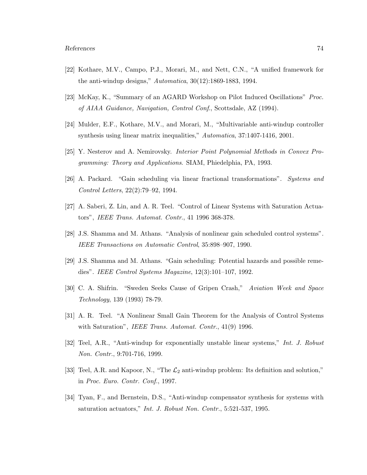- [22] Kothare, M.V., Campo, P.J., Morari, M., and Nett, C.N., "A unified framework for the anti-windup designs,"  $Automatica$ ,  $30(12):1869-1883$ , 1994.
- [23] McKay, K., "Summary of an AGARD Workshop on Pilot Induced Oscillations" Proc. of AIAA Guidance, Navigation, Control Conf., Scottsdale, AZ (1994).
- [24] Mulder, E.F., Kothare, M.V., and Morari, M., "Multivariable anti-windup controller synthesis using linear matrix inequalities," Automatica, 37:1407-1416, 2001.
- [25] Y. Nesterov and A. Nemirovsky. Interior Point Polynomial Methods in Convex Programming: Theory and Applications. SIAM, Phiedelphia, PA, 1993.
- [26] A. Packard. "Gain scheduling via linear fractional transformations". Systems and Control Letters, 22(2):79–92, 1994.
- [27] A. Saberi, Z. Lin, and A. R. Teel. "Control of Linear Systems with Saturation Actuators", IEEE Trans. Automat. Contr., 41 1996 368-378.
- [28] J.S. Shamma and M. Athans. "Analysis of nonlinear gain scheduled control systems". IEEE Transactions on Automatic Control, 35:898–907, 1990.
- [29] J.S. Shamma and M. Athans. "Gain scheduling: Potential hazards and possible remedies". IEEE Control Systems Magazine, 12(3):101–107, 1992.
- [30] C. A. Shifrin. "Sweden Seeks Cause of Gripen Crash," Aviation Week and Space Technology, 139 (1993) 78-79.
- [31] A. R. Teel. "A Nonlinear Small Gain Theorem for the Analysis of Control Systems with Saturation", *IEEE Trans. Automat. Contr.*, 41(9) 1996.
- [32] Teel, A.R., "Anti-windup for exponentially unstable linear systems," Int. J. Robust Non. Contr., 9:701-716, 1999.
- [33] Teel, A.R. and Kapoor, N., "The  $\mathcal{L}_2$  anti-windup problem: Its definition and solution," in Proc. Euro. Contr. Conf., 1997.
- [34] Tyan, F., and Bernstein, D.S., "Anti-windup compensator synthesis for systems with saturation actuators," Int. J. Robust Non. Contr., 5:521-537, 1995.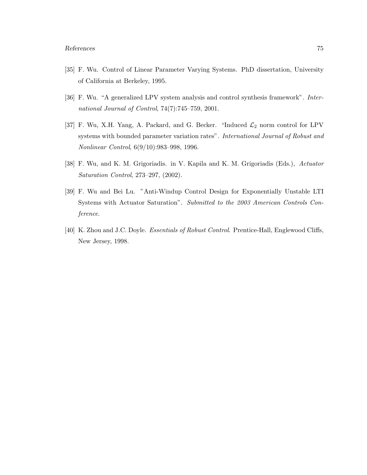- [35] F. Wu. Control of Linear Parameter Varying Systems. PhD dissertation, University of California at Berkeley, 1995.
- [36] F. Wu. "A generalized LPV system analysis and control synthesis framework". International Journal of Control, 74(7):745–759, 2001.
- [37] F. Wu, X.H. Yang, A. Packard, and G. Becker. "Induced  $\mathcal{L}_2$  norm control for LPV systems with bounded parameter variation rates". International Journal of Robust and Nonlinear Control, 6(9/10):983–998, 1996.
- [38] F. Wu, and K. M. Grigoriadis. in V. Kapila and K. M. Grigoriadis (Eds.), Actuator Saturation Control, 273–297, (2002).
- [39] F. Wu and Bei Lu. "Anti-Windup Control Design for Exponentially Unstable LTI Systems with Actuator Saturation". Submitted to the 2003 American Controls Conference.
- [40] K. Zhou and J.C. Doyle. Essentials of Robust Control. Prentice-Hall, Englewood Cliffs, New Jersey, 1998.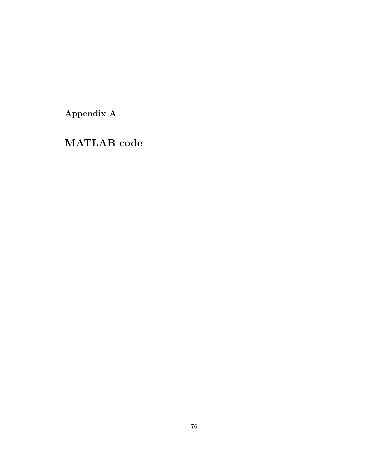Appendix A

MATLAB code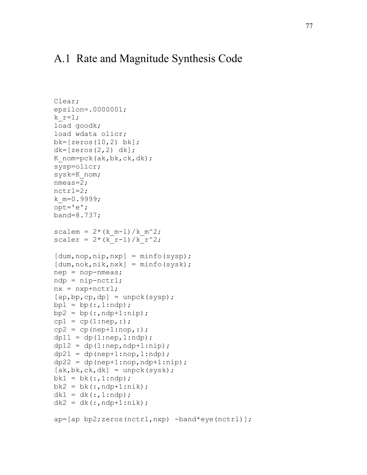## A.1 Rate and Magnitude Synthesis Code

```
Clear; 
epsilon=.0000001; 
k r=1;load goodk; 
load wdata olicr; 
bk=[zeros(10, 2) bk];
dk=[zeros(2,2) dk];K nom=pck(ak,bk,ck,dk);
sysp=olicr; 
sysk=K_nom; 
nmeas=2; 
nctrl=2; 
k_m=0.9999; 
opt='e'; 
band=8.737; 
scalem = 2*(k_{m-1})/k_{m^2};scaler = 2*(k_r-1)/k_r^2;[dum,nop, nip, nxp] = minfo(sysp);[dum, nok,nik,nxk] = minfo(sysk);nep = nop-nmeas;ndp = nip-nctrl;nx = nxp + nctr1;[ap,bp,cp,dp] = \text{unpck(sysp)};bpl = bp(:,1:ndp);bp2 = bp(:,ndp+1:nip);cpl = cp(1: nep,:);cp2 = cp(nep+1:nop, :);dp11 = dp(1: nep, 1:ndp);dp12 = dp(1: nep,ndp+1:nip);dp21 = dp(nep+1:nop, 1:ndp);dp22 = dp(nep+1:nop, ndp+1:nip);[ak, bk, ck, dk] = \text{unpck}(sysk);bk1 = bk(:,1:ndp);bk2 = bk(:,ndp+1:nik);dk1 = dk(:,1:ndp);dk2 = dk(:,ndp+1:nik);ap=[ap bp2;zeros(nctrl,nxp) -band*eye(nctrl)];
```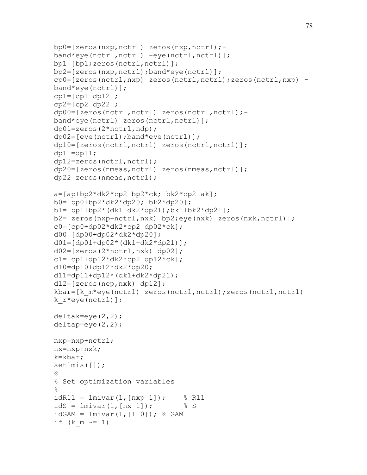```
bp0=[zeros(nxp,nctrl) zeros(nxp,nctrl);-
band*eye(nctrl,nctrl) -eye(nctrl,nctrl)];
bp1=[bp1;zeros(nctrl,nctrl)]; 
bp2=[zeros(nxp,nctrl);band*eye(nctrl)]; 
cp0=[zeros(nctrl,nxp) zeros(nctrl,nctrl);zeros(nctrl,nxp) -
band*eye(nctrl)]; 
cpl=[cp1 dp12];cp2=[cp2 dp22];
dp00=[zeros(nctrl,nctrl) zeros(nctrl,nctrl);-
band*eye(nctrl) zeros(nctrl,nctrl)];
dp01=zeros(2*nctrl,ndp); 
dp02=[eye(nctrl);band*eye(nctrl)]; 
dp10=[zeros(nctrl,nctrl) zeros(nctrl,nctrl)]; 
dp11=dp11;dp12=zeros(nctrl,nctrl); 
dp20=[zeros(nmeas,nctrl) zeros(nmeas,nctrl)]; 
dp22=zeros(nmeas,nctrl); 
a=[ap+bp2*dk2*cp2 bp2*ck; bk2*cp2 ak];b0=[bp0+bp2*dk2*dp20; bk2*dp20];b1=[bp1+bp2*(dk1+dk2*dp21);bk1+bk2*dp21];b2=[zeros(nxp+nctr],nxk) bp2;eye(nxk) zeros(nxk,nctrl)];
c0 = [cp0 + dp02 * dk2 * cp2 dp02 * ck];d00=[dp00+dp02*dk2*dp20]; 
d01=[dp01+dp02*(dk1+dk2*dp21)];
d02=[zeros(2*nctrl,nxk) dp02]; 
c1=[cp1+dp12*dk2*cp2 dp12*ck];d10=dp10+dp12*dk2*dp20;d11=dp11+dp12*(dk1+dk2*dp21); 
d12=[zeros(nep,nxk) dp12]; 
kbar=[k_m*eye(nctrl) zeros(nctrl,nctrl);zeros(nctrl,nctrl)
k_r*eye(nctrl)]; 
deltak=eye(2, 2);
deltap=eye(2, 2);
nxp=nxp+nctrl; 
nx=nxp+nxk; 
k=kbar; 
setlmis([]); 
\frac{8}{6}% Set optimization variables 
\frac{8}{6}idR11 = \text{lmivar}(1, [nxp 1]); % R11
idS = lmivar(1, [nx 1]); % S
idGAM = Imivar(1, [1 0]); % GAMif (k m \sim = 1)
```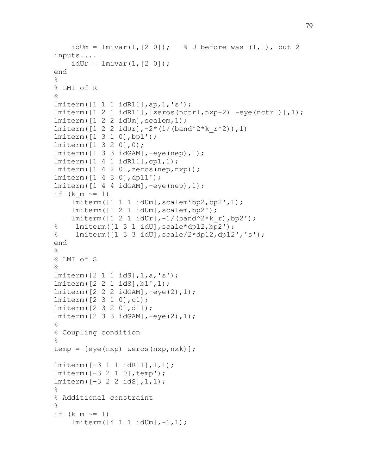```
idUm = lmin(1, [2 \ 0]); \frac{1}{8} U before was (1, 1), but 2
inputs.... 
    idUr = lmivar(1, [2 0]);end 
\frac{8}{\pi}% LMI of R 
\%lmiterm([1 1 1 idR11],ap,1,'s'); 
lmiterm([1 2 1 idR11],[zeros(nctrl,nxp-2) -eye(nctrl)],1); 
lmitem([1 2 2 idUm], scalar, 1);lmiterm([1 2 2  i dUr], -2*(1/(band^2*k r^2)), 1)
lmiterm([1 3 1 0],bp1'); 
lmiterm([1 3 2 0],0); 
lmiterm([1 3 3 idGAM],-eye(nep),1); 
lmiterm([1 4 1 idR11],cp1,1); 
lmiterm([1 4 2 0],zeros(nep,nxp)); 
lmiterm([1 4 3 0],dp11'); 
lmiterm([1 4 4 idGAM],-eye(nep),1); 
if (k m \sim = 1)
     lmiterm([1 1 1 idUm],scalem*bp2,bp2',1); 
     lmiterm([1 2 1 idUm],scalem,bp2'); 
    lmiterm([1 2 1 idUr], -1/(band^2*k_r),bp2');
% lmiterm([1 3 1 idU], scale*dp12, bp2');
% lmiterm([1 3 3 idU],scale/2*dp12,dp12','s'); 
end 
\frac{6}{5}% LMI of S 
% 
lmiterm([2 1 1 idS],1,a,'s'); 
lmiterm([2 2 1 idS],b1',1); 
lmiterm([2 2 2 idGAM],-eye(2),1); 
lmiterm([2 3 1 0],c1); 
lmiterm([2 3 2 0],d11); 
lmiterm([2 3 3 idGAM],-eye(2),1); 
\approx% Coupling condition 
\frac{6}{5}temp = [eye(nxp) zeros(nxp,nxk)]; 
lmiterm([-3 1 1 idR11],1,1); 
lmiterm([-3 2 1 0],temp'); 
lmiterm([-3 2 2 idS],1,1); 
\frac{8}{6}% Additional constraint 
\%if (k \, m \sim = 1) lmiterm([4 1 1 idUm],-1,1);
```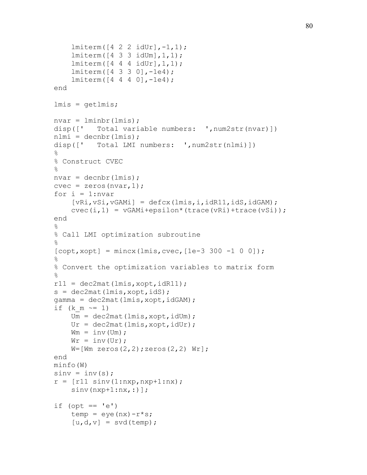```
 lmiterm([4 2 2 idUr],-1,1); 
     lmiterm([4 3 3 idUm],1,1); 
     lmiterm([4 4 4 idUr],1,1); 
     lmiterm([4 3 3 0],-1e4); 
     lmiterm([4 4 4 0],-1e4); 
end 
lmis = getlmis; 
nvar = lminbr(lmis);
disp([' Total variable numbers: ',num2str(nvar)])
nlmi =decnbr(lmis);
disp([' Total LMI numbers: ',num2str(nlmi)]) 
\approx% Construct CVEC 
\%nvar = <i>decnbr</i>(lmis);cvec = zeros(nvar,1);for i = 1:nvar[vRi, vSi, vGAMI] = defcx(lmis, i, idR11, idS, idGAM);cvec(i,1) = vGAMi+epsilon(trac(wRi)+trace(vSi));end 
\approx% Call LMI optimization subroutine 
\frac{6}{5}[{\rm copt}, {\rm xopt}] = mincx(lmis, cvec, [1e-3 300 -1 0 0]);
\frac{8}{6}% Convert the optimization variables to matrix form 
\frac{8}{6}r11 = dec2mat(1mis, xopt, idR11);s = dec2mat(lmis, xopt, idS);
gamma = dec2mat(1mis, xopt, idGAM);if (k \text{ m} \sim = 1)Um = dec2mat(lmis, xopt, idUm);Ur = dec2mat(lmis, xopt, idUr);Wm = inv(Um);Wr = inv(Ur);W=[Wm \text{ zeros}(2,2);zeros(2,2) Wr];
end 
minfo(W) 
\text{sinv} = \text{inv}(s);
r = [r11 \text{ sin}v(1:nxp, nxp+1:nx);sinv(nxp+1:nx,:)];
if (opt == 'e')temp = eye(nx)-r*s;[u,d,v] = svd(temp);
```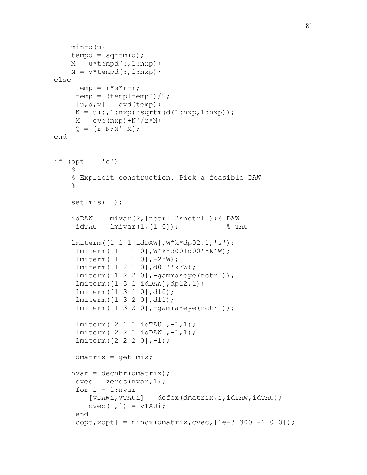```
 minfo(u) 
    tempd = sqrtm(d);M = u*tempd(:,1:nxp);N = v*tempd(:,1:nxp);else 
     temp = r*s*r-r;temp = (temp + temp')/2;[u,d,v] = svd(temp);N = u(:,1:nxp) * sqrtm(d(1:nxp,1:nxp));M = eye(nxp) + N'/r*N;Q = [r N; N' M];end 
if (opt == 'e')\frac{6}{5} % Explicit construction. Pick a feasible DAW 
    \approx setlmis([]); 
    idDAW = Imivar(2, [nctrl 2*nctrl]); DAW
     idTAU = Imivar(1, [1 0]); \ TAU
     lmiterm([1 1 1 idDAW],W*k*dp02,1,'s'); 
      lmiterm([1 1 1 0],W*k*d00+d00'*k*W); 
     lmitem([1 1 1 0], -2*W); lmiterm([1 2 1 0],d01'*k*W); 
      lmiterm([1 2 2 0],-gamma*eye(nctrl)); 
      lmiterm([1 3 1 idDAW],dp12,1); 
      lmiterm([1 3 1 0],d10); 
      lmiterm([1 3 2 0],d11); 
      lmiterm([1 3 3 0],-gamma*eye(nctrl)); 
      lmiterm([2 1 1 idTAU],-1,1); 
      lmiterm([2 2 1 idDAW],-1,1); 
      lmiterm([2 2 2 0],-1); 
     dmatrix = qetlmis;nvar = decnbr (dmatrix);
     cvec = zeros(nvar,1);for i = 1:nvar[vDAWi, vTAUi] = defcx(dmatrix, i, idDAW, idTAU);cvec(i,1) = vTAUi; end 
    [{\rm copt}, {\rm xopt}] = mincx(dmatrix, cvec, [1e-3 300 -1 0 0]);
```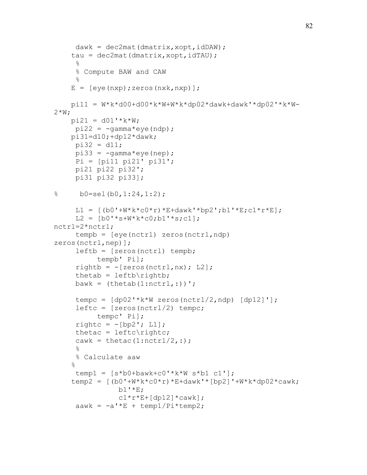```
dawk = dec2mat(dmatrix, xopt, idDAW);tau = dec2mat(dmatrix, xopt, idTAU);\frac{6}{6} % Compute BAW and CAW 
     \frac{6}{6}E = [eye(nxp);zeros(nxk,nxp)]; pi11 = W*k*d00+d00*k*W+W*k*dp02*dawk+dawk'*dp02'*k*W-
2*W;
    pi21 = d01' * k * W;pi22 = -gammaamma*eye(ndp);
     pi31=d10;+dp12*dawk; 
     pi32 = d11;pi33 = -\gamma \text{amma} \text{exp}(\text{nep});
      Pi = [pi11 pi21' pi31'; 
      pi21 pi22 pi32'; 
      pi31 pi32 pi33]; 
\% b0=sel(b0,1:24,1:2);
     L1 = [ (b0' + W * k * c0 * r) * E + dawk' * bp2'; b1' * E; c1 * r * E];L2 = [b0'*s+W* k*c0;b1'*s; c1];nctrl=2*nctrl; 
      tempb = [eye(nctrl) zeros(nctrl,ndp) 
zeros(nctrl,nep)]; 
      left = [zeros(nctrl) tempb;
            tempb' Pi]; 
     rightb = -[zeros(nctrl, nx); L2];thetab = left\rightarrow;
     bawk = (theta(1:nctr1,:))';
     tempc = [dp02' * k * w zeros(nctrl/2,ndp) [dp12]';
     left c = [zeros(nctrl/2) tempc; tempc' Pi]; 
     rightc = -[bp2'; L1];thetac = leftc\rightleftharpoonscawk = thetac(1:nctr1/2,:);\approx % Calculate aaw 
    \frac{6}{5}temp1 = [s * b0 + bawk + c0' * k * W s * b1 c1'];
    temp2 = [(b0' + W * k * c0 * r) * E + dawk' * [bp2]' + W * k * dp02 * cawk;b1' * E;c1*r*E+[dp12]*cawk];
     aawk = -a' * E + temp1/Pi*temp2;
```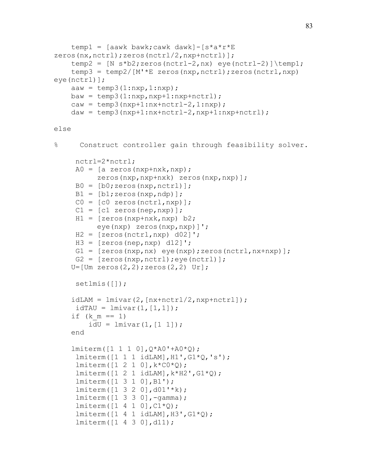```
temp1 = [aawk bawk; cawk dawk] - [s^*a^*r^*E]zeros(nx,nctrl);zeros(nctrl/2,nxp+nctrl)];
    temp2 = [N s * b2; zeros(nctrl-2, nx) eye(nctrl-2) \temp1;
    temp3 = temp2/[M' * E zeros(nxp, nctrl); zeros(nctrl, nxp)eye(nctrl)]; 
    aaw = temp3(1:nxp, 1:nxp);baw = temp3(1:nxp, nxp+1:nxp+nctrl);caw = temp3(nxp+1:nx+nctr1-2,1:nxp);daw = temp3(nxp+1:nx+nctrl-2, nxp+1:nxp+nctrl);else 
% Construct controller gain through feasibility solver. 
      nctrl=2*nctrl; 
     A0 = [a \text{ zeros}(nxp+nxk,nxp); zeros(nxp,nxp+nxk) zeros(nxp,nxp)]; 
     B0 = [b0; zeros(nxp, nctrl)];
     B1 = [b1; zeros(nxp, ndp)];CO = [c0 zeros(nctrl, nxp)];
     C1 = [c1 \text{ zeros}(nep, nxp)];
     H1 = [zeros(nxp+nxk,nxp) b2; eye(nxp) zeros(nxp,nxp)]'; 
     H2 = [zeros(nctrl, nxp) d02]';
     H3 = [zeros(nep, nxp) d12]';
     G1 = [zeros(nxp,nx) eye(nxp);zeros(nctrl,nx+nxp)];G2 = [zeros(nxp, nctrl); eye(nctrl)];U = [Um zeros(2, 2); zeros(2, 2) un];
      setlmis([]); 
    idLAM = lmivar(2, [nx+nctrl/2,nxp+nctrl]);idTAU = Imivar(1, [1,1]);
    if (k m == 1)idU = lmivar(1, [1 1]); end 
     lmiterm([1 1 1 0],Q*A0'+A0*Q); 
      lmiterm([1 1 1 idLAM],H1',G1*Q,'s'); 
     lmitem([1 2 1 0], k*CO*Q); lmiterm([1 2 1 idLAM],k*H2',G1*Q); 
      lmiterm([1 3 1 0],B1'); 
      lmiterm([1 3 2 0],d01'*k); 
      lmiterm([1 3 3 0],-gamma); 
     lmitem([1 4 1 0], C1*Q);lmitem([1 4 1 idLAM], H3', GL<sup>*</sup>Q); lmiterm([1 4 3 0],d11);
```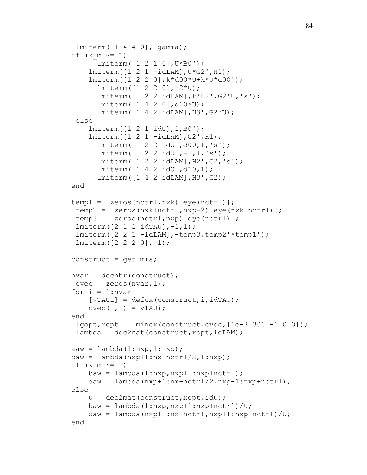```
 lmiterm([1 4 4 0],-gamma); 
if (k \, m \sim = 1) lmiterm([1 2 1 0],U*B0'); 
    lmitem([1 2 1 - idLAM], U*G2', H1); lmiterm([1 2 2 0],k*d00*U+k*U*d00'); 
       lmiterm([1 2 2 0],-2*U); 
       lmiterm([1 2 2 idLAM],k*H2',G2*U,'s'); 
       lmiterm([1 4 2 0],d10*U); 
       lmiterm([1 4 2 idLAM],H3',G2*U); 
  else 
     lmiterm([1 2 1 idU],1,B0'); 
     lmiterm([1 2 1 -idLAM],G2',H1); 
       lmiterm([1 2 2 idU],d00,1,'s'); 
       lmiterm([1 2 2 idU],-1,1,'s'); 
       lmiterm([1 2 2 idLAM],H2',G2,'s'); 
       lmiterm([1 4 2 idU],d10,1); 
       lmiterm([1 4 2 idLAM],H3',G2); 
 end 
temp1 = [zeros(nctrl, nxk) eye(nctrl)]; temp2 = [zeros(nxk+nctrl,nxp-2) eye(nxk+nctrl)]; 
 temp3 = [zeros(nctrl, nxp) eye(nctrl)]; lmiterm([2 1 1 idTAU],-1,1); 
  lmiterm([2 2 1 -idLAM],-temp3,temp2'*temp1'); 
  lmiterm([2 2 2 0],-1); 
constant = qetlmis;nvar = decnbr (construct);
 cvec = zeros(nvar,1);for i = 1:nvar[vTAUi] = defcx (construct, i, idTAU);
    cvec(i,1) = vTAUi; end 
 [qopt, xopt] = mincx (construct, cvec, [1e-3 300 -1 0 0]);
 lambda = dec2mat(construct, xopt, idLAM);aaw = lambda(1:nxp,1:nxp);
caw = lambda(nxp+1:nx+nctr1/2,1:nxp);
if (k \t m \t \sim = 1)baw = lambda(1:nxp,nxp+1:nxp+nctrl);daw = lambda(nxp+1:nx+nctrl/2,nxp+1:nxp+nctrl); else 
    U = dec2mat(construct, xopt, idU);baw = lambda(1:nxp, nxp+1:nxp+nctrl)/U;
    daw = lambda(nxp+1:nx+nctrl, nxp+1:nxp+nctrl)/U;
 end
```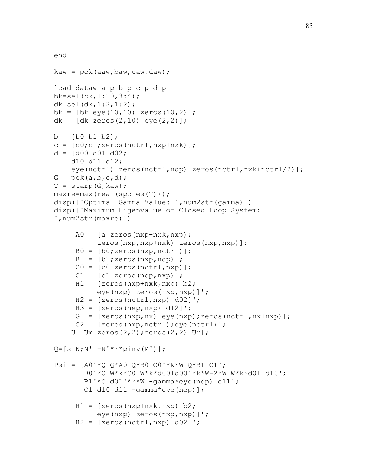```
end 
kaw = pck(aaw, baw, caw, daw);load dataw a_p b_p c_p d_p 
bk=sel(bk,1:10,3:4); 
dk=sel(dx, 1:2, 1:2);
bk = [bk \text{ eye}(10, 10) \text{ zeros}(10, 2)];
dk = [dk \text{ zeros}(2, 10) \text{ eye}(2, 2)];
b = [b0 b1 b2];c = [c0; c1; zeros(nctrl, nxp+nxk)];
d = [d00 d01 d02; d10 d11 d12; 
     eye(nctrl) zeros(nctrl,ndp) zeros(nctrl,nxk+nctrl/2)]; 
G = pck(a, b, c, d);T = starp(G, kaw);
maxre=max(real(spoles(T))); 
disp(['Optimal Gamma Value: ',num2str(gamma)])
disp(['Maximum Eigenvalue of Closed Loop System: 
',num2str(maxre)]) 
     A0 = [a \text{ zeros}(nxp+nxk,nxp); zeros(nxp,nxp+nxk) zeros(nxp,nxp)]; 
     B0 = [b0; zeros(nxp, nctrl)];
     B1 = [b1; zeros(nxp, ndp)];
     CO = [c0 zeros(nctrl, nxp)];C1 = [c1 \text{ zeros}(nep, nxp)];
     H1 = [zeros(nxp+nxk,nxp) b2;
            eye(nxp) zeros(nxp,nxp)]'; 
     H2 = [zeros(nctrl, nxp) d02]';
     H3 = [zeros(nep, nxp) d12]';
     G1 = [zeros(nxp,nx) eye(nxp);zeros(nctrl,nx+nxp)];G2 = [zeros(nxp, nctrl); eye(nctrl)];
    U=[Um zeros(2,2);zeros(2,2) Ur];Q=[s \ N;N' -N' *r * pinv(M') ];
Psi = [A0' * Q + Q * A0 Q * B0 + CO' * k * W Q * B1 C1'; B0'*Q+W*k*C0 W*k*d00+d00'*k*W-2*W W*k*d01 d10'; 
       B1' * Q d01' * k * W - \gammaamma*eye(ndp) d11';
        C1 d10 d11 -gamma*eye(nep)]; 
     H1 = [zeros(nxp+nxk,nxp) b2;
            eye(nxp) zeros(nxp,nxp)]'; 
     H2 = [zeros(nctrl, nxp) d02]';
```